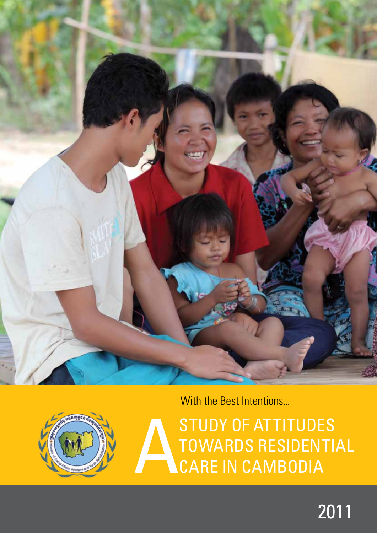

With the Best Intentions...



ASTUDY OF ATTITUDES<br>TOWARDS RESIDENTI towards residential care in Cambodia

# 2011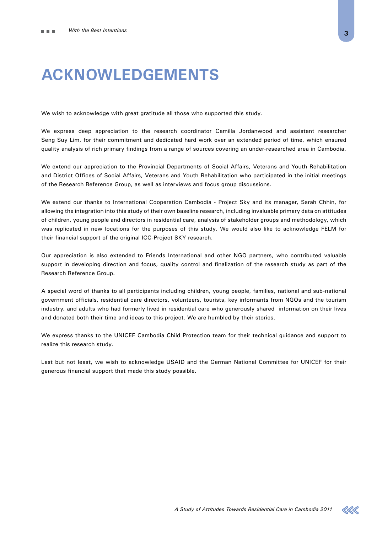## **Acknowledgements**

We wish to acknowledge with great gratitude all those who supported this study.

We express deep appreciation to the research coordinator Camilla Jordanwood and assistant researcher Seng Suy Lim, for their commitment and dedicated hard work over an extended period of time, which ensured quality analysis of rich primary findings from a range of sources covering an under-researched area in Cambodia.

We extend our appreciation to the Provincial Departments of Social Affairs, Veterans and Youth Rehabilitation and District Offices of Social Affairs, Veterans and Youth Rehabilitation who participated in the initial meetings of the Research Reference Group, as well as interviews and focus group discussions.

We extend our thanks to International Cooperation Cambodia - Project Sky and its manager, Sarah Chhin, for allowing the integration into this study of their own baseline research, including invaluable primary data on attitudes of children, young people and directors in residential care, analysis of stakeholder groups and methodology, which was replicated in new locations for the purposes of this study. We would also like to acknowledge FELM for their financial support of the original ICC-Project SKY research.

Our appreciation is also extended to Friends International and other NGO partners, who contributed valuable support in developing direction and focus, quality control and finalization of the research study as part of the Research Reference Group.

A special word of thanks to all participants including children, young people, families, national and sub-national government officials, residential care directors, volunteers, tourists, key informants from NGOs and the tourism industry, and adults who had formerly lived in residential care who generously shared information on their lives and donated both their time and ideas to this project. We are humbled by their stories.

We express thanks to the UNICEF Cambodia Child Protection team for their technical guidance and support to realize this research study.

Last but not least, we wish to acknowledge USAID and the German National Committee for UNICEF for their generous financial support that made this study possible.

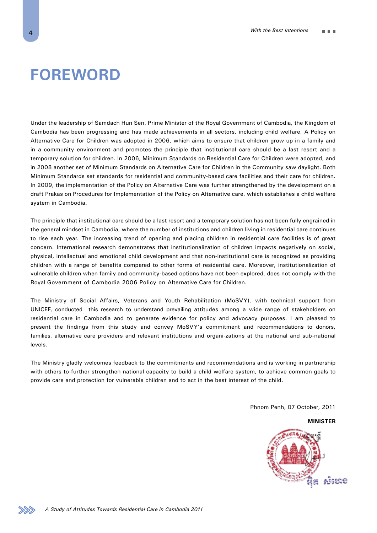## **Foreword**

Under the leadership of Samdach Hun Sen, Prime Minister of the Royal Government of Cambodia, the Kingdom of Cambodia has been progressing and has made achievements in all sectors, including child welfare. A Policy on Alternative Care for Children was adopted in 2006, which aims to ensure that children grow up in a family and in a community environment and promotes the principle that institutional care should be a last resort and a temporary solution for children. In 2006, Minimum Standards on Residential Care for Children were adopted, and in 2008 another set of Minimum Standards on Alternative Care for Children in the Community saw daylight. Both Minimum Standards set standards for residential and community-based care facilities and their care for children. In 2009, the implementation of the Policy on Alternative Care was further strengthened by the development on a draft Prakas on Procedures for Implementation of the Policy on Alternative care, which establishes a child welfare system in Cambodia.

The principle that institutional care should be a last resort and a temporary solution has not been fully engrained in the general mindset in Cambodia, where the number of institutions and children living in residential care continues to rise each year. The increasing trend of opening and placing children in residential care facilities is of great concern. International research demonstrates that institutionalization of children impacts negatively on social, physical, intellectual and emotional child development and that non-institutional care is recognized as providing children with a range of benefits compared to other forms of residential care. Moreover, institutionalization of vulnerable children when family and community-based options have not been explored, does not comply with the Royal Government of Cambodia 2006 Policy on Alternative Care for Children.

The Ministry of Social Affairs, Veterans and Youth Rehabilitation (MoSVY), with technical support from UNICEF, conducted this research to understand prevailing attitudes among a wide range of stakeholders on residential care in Cambodia and to generate evidence for policy and advocacy purposes. I am pleased to present the findings from this study and convey MoSVY's commitment and recommendations to donors, families, alternative care providers and relevant institutions and organi-zations at the national and sub-national levels.

The Ministry gladly welcomes feedback to the commitments and recommendations and is working in partnership with others to further strengthen national capacity to build a child welfare system, to achieve common goals to provide care and protection for vulnerable children and to act in the best interest of the child.

Phnom Penh, 07 October, 2011

**MINISTER**



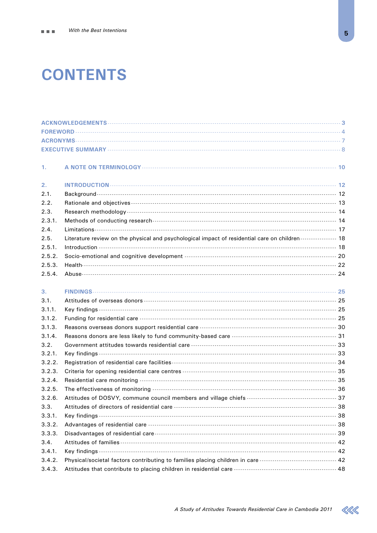# **CONTENTS**

| 1.     |                                                                                                |  |
|--------|------------------------------------------------------------------------------------------------|--|
| 2.     |                                                                                                |  |
| 2.1.   |                                                                                                |  |
| 2.2.   |                                                                                                |  |
| 2.3.   |                                                                                                |  |
| 2.3.1. |                                                                                                |  |
| 2.4.   |                                                                                                |  |
| 2.5.   | Literature review on the physical and psychological impact of residential care on children  18 |  |
| 2.5.1. |                                                                                                |  |
| 2.5.2. |                                                                                                |  |
| 2.5.3. |                                                                                                |  |
| 2.5.4. |                                                                                                |  |
| 3.     |                                                                                                |  |
| 3.1.   |                                                                                                |  |
| 3.1.1. |                                                                                                |  |
| 3.1.2. | Funding for residential care ………………………………………………………………………………………… 25                             |  |
| 3.1.3. |                                                                                                |  |
| 3.1.4. |                                                                                                |  |
| 3.2.   |                                                                                                |  |
| 3.2.1. |                                                                                                |  |
| 3.2.2. |                                                                                                |  |
| 3.2.3. |                                                                                                |  |
| 3.2.4. |                                                                                                |  |
| 3.2.5. |                                                                                                |  |
| 3.2.6. |                                                                                                |  |
| 3.3.   |                                                                                                |  |
| 3.3.1. |                                                                                                |  |
| 3.3.2. |                                                                                                |  |
| 3.3.3. |                                                                                                |  |
| 3.4.   |                                                                                                |  |
| 3.4.1. |                                                                                                |  |
| 3.4.2. | Physical/societal factors contributing to families placing children in care  42                |  |
| 3.4.3. |                                                                                                |  |

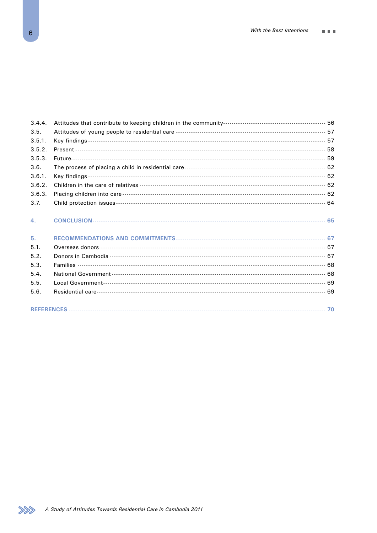| 3.4.4. |  |
|--------|--|
| 3.5.   |  |
| 3.5.1. |  |
| 3.5.2. |  |
| 3.5.3. |  |
| 3.6.   |  |
| 3.6.1. |  |
| 3.6.2. |  |
| 3.6.3. |  |
| 3.7.   |  |
| 4.     |  |
| 5.     |  |
| 5.1.   |  |
| 5.2.   |  |
| 5.3.   |  |
| 5.4.   |  |
| 5.5.   |  |
| 5.6.   |  |
|        |  |

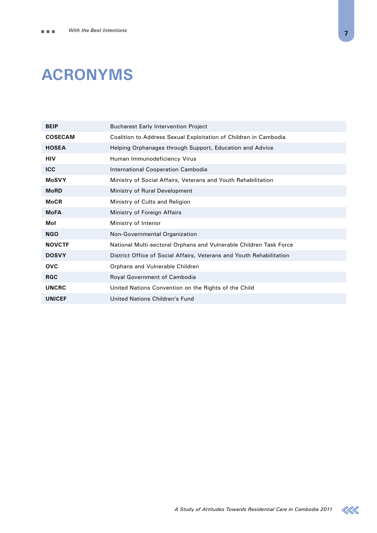# **Acronyms**

| <b>BEIP</b>    | <b>Bucharest Early Intervention Project</b>                          |
|----------------|----------------------------------------------------------------------|
| <b>COSECAM</b> | Coalition to Address Sexual Exploitation of Children in Cambodia     |
| <b>HOSEA</b>   | Helping Orphanages through Support, Education and Advice             |
| <b>HIV</b>     | Human Immunodeficiency Virus                                         |
| <b>ICC</b>     | International Cooperation Cambodia                                   |
| <b>MoSVY</b>   | Ministry of Social Affairs, Veterans and Youth Rehabilitation        |
| <b>MoRD</b>    | Ministry of Rural Development                                        |
| <b>MoCR</b>    | Ministry of Cults and Religion                                       |
| <b>MoFA</b>    | Ministry of Foreign Affairs                                          |
| Mol            | Ministry of Interior                                                 |
| <b>NGO</b>     | Non-Governmental Organization                                        |
| <b>NOVCTF</b>  | National Multi-sectoral Orphans and Vulnerable Children Task Force   |
| <b>DOSVY</b>   | District Office of Social Affairs, Veterans and Youth Rehabilitation |
| <b>OVC</b>     | Orphans and Vulnerable Children                                      |
| <b>RGC</b>     | Royal Government of Cambodia                                         |
| <b>UNCRC</b>   | United Nations Convention on the Rights of the Child                 |
| <b>UNICEF</b>  | United Nations Children's Fund                                       |

 $\ll$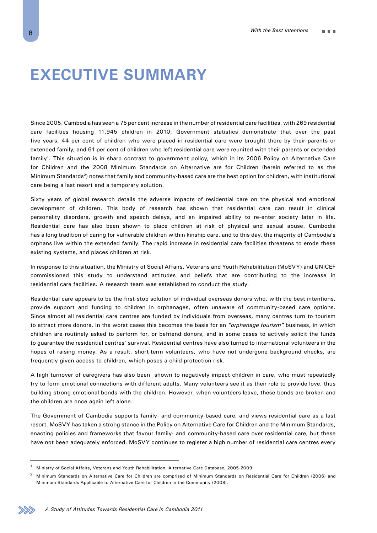## **Executive Summary**

Since 2005, Cambodia has seen a 75 per cent increase in the number of residential care facilities, with 269 residential care facilities housing 11,945 children in 2010. Government statistics demonstrate that over the past five years, 44 per cent of children who were placed in residential care were brought there by their parents or extended family, and 61 per cent of children who left residential care were reunited with their parents or extended family<sup>1</sup>. This situation is in sharp contrast to government policy, which in its 2006 Policy on Alternative Care for Children and the 2008 Minimum Standards on Alternative are for Children (herein referred to as the Minimum Standards2) notes that family and community-based care are the best option for children, with institutional care being a last resort and a temporary solution.

Sixty years of global research details the adverse impacts of residential care on the physical and emotional development of children. This body of research has shown that residential care can result in clinical personality disorders, growth and speech delays, and an impaired ability to re-enter society later in life. Residential care has also been shown to place children at risk of physical and sexual abuse. Cambodia has a long tradition of caring for vulnerable children within kinship care, and to this day, the majority of Cambodia's orphans live within the extended family. The rapid increase in residential care facilities threatens to erode these existing systems, and places children at risk.

In response to this situation, the Ministry of Social Affairs, Veterans and Youth Rehabilitation (MoSVY) and UNICEF commissioned this study to understand attitudes and beliefs that are contributing to the increase in residential care facilities. A research team was established to conduct the study.

Residential care appears to be the first-stop solution of individual overseas donors who, with the best intentions, provide support and funding to children in orphanages, often unaware of community-based care options. Since almost all residential care centres are funded by individuals from overseas, many centres turn to tourism to attract more donors. In the worst cases this becomes the basis for an *"orphanage tourism"* business, in which children are routinely asked to perform for, or befriend donors, and in some cases to actively solicit the funds to guarantee the residential centres' survival. Residential centres have also turned to international volunteers in the hopes of raising money. As a result, short-term volunteers, who have not undergone background checks, are frequently given access to children, which poses a child protection risk.

A high turnover of caregivers has also been shown to negatively impact children in care, who must repeatedly try to form emotional connections with different adults. Many volunteers see it as their role to provide love, thus building strong emotional bonds with the children. However, when volunteers leave, these bonds are broken and the children are once again left alone.

The Government of Cambodia supports family- and community-based care, and views residential care as a last resort. MoSVY has taken a strong stance in the Policy on Alternative Care for Children and the Minimum Standards, enacting policies and frameworks that favour family- and community-based care over residential care, but these have not been adequately enforced. MoSVY continues to register a high number of residential care centres every



<sup>1</sup> Ministry of Social Affairs, Veterans and Youth Rehabilitation, Alternative Care Database, 2005-2009.

<sup>&</sup>lt;sup>2</sup> Minimum Standards on Alternative Care for Children are comprised of Minimum Standards on Residential Care for Children (2006) and Minimum Standards Applicable to Alternative Care for Children in the Community (2008).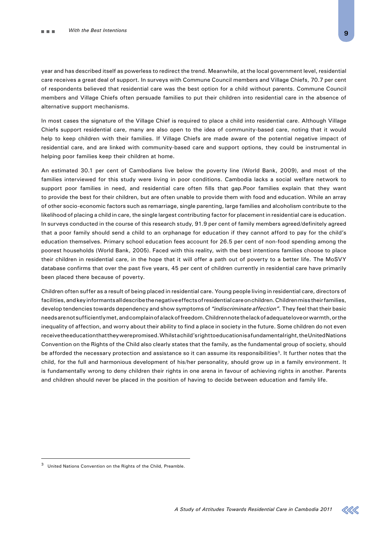year and has described itself as powerless to redirect the trend. Meanwhile, at the local government level, residential care receives a great deal of support. In surveys with Commune Council members and Village Chiefs, 70.7 per cent of respondents believed that residential care was the best option for a child without parents. Commune Council members and Village Chiefs often persuade families to put their children into residential care in the absence of alternative support mechanisms.

In most cases the signature of the Village Chief is required to place a child into residential care. Although Village Chiefs support residential care, many are also open to the idea of community-based care, noting that it would help to keep children with their families. If Village Chiefs are made aware of the potential negative impact of residential care, and are linked with community-based care and support options, they could be instrumental in helping poor families keep their children at home.

An estimated 30.1 per cent of Cambodians live below the poverty line (World Bank, 2009), and most of the families interviewed for this study were living in poor conditions. Cambodia lacks a social welfare network to support poor families in need, and residential care often fills that gap.Poor families explain that they want to provide the best for their children, but are often unable to provide them with food and education. While an array of other socio-economic factors such as remarriage, single parenting, large families and alcoholism contribute to the likelihood of placing a child in care, the single largest contributing factor for placement in residential care is education. In surveys conducted in the course of this research study, 91.9 per cent of family members agreed/definitely agreed that a poor family should send a child to an orphanage for education if they cannot afford to pay for the child's education themselves. Primary school education fees account for 26.5 per cent of non-food spending among the poorest households (World Bank, 2005). Faced with this reality, with the best intentions families choose to place their children in residential care, in the hope that it will offer a path out of poverty to a better life. The MoSVY database confirms that over the past five years, 45 per cent of children currently in residential care have primarily been placed there because of poverty.

Children often suffer as a result of being placed in residential care. Young people living in residential care, directors of facilities, and key informants all describe the negative effects of residential care on children. Children miss their families, develop tendencies towards dependency and show symptoms of *"indiscriminate affection".* They feel that their basic needs are not sufficiently met, and complain of a lack of freedom. Children note the lack of adequate love or warmth, or the inequality of affection, and worry about their ability to find a place in society in the future. Some children do not even receive the education that they were promised. Whilst a child's right to education is a fundamental right, the United Nations Convention on the Rights of the Child also clearly states that the family, as the fundamental group of society, should be afforded the necessary protection and assistance so it can assume its responsibilities<sup>3</sup>. It further notes that the child, for the full and harmonious development of his/her personality, should grow up in a family environment. It is fundamentally wrong to deny children their rights in one arena in favour of achieving rights in another. Parents and children should never be placed in the position of having to decide between education and family life.

United Nations Convention on the Rights of the Child, Preamble.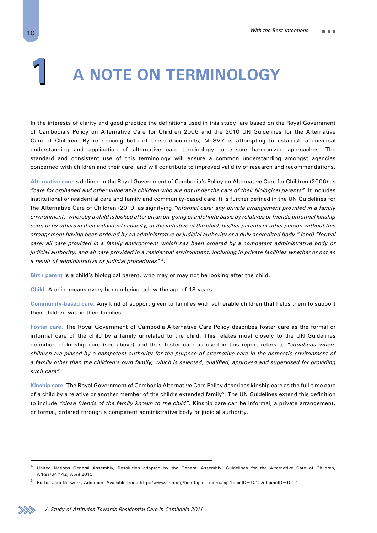# **A Note on Terminology 1**

In the interests of clarity and good practice the definitions used in this study are based on the Royal Government of Cambodia's Policy on Alternative Care for Children 2006 and the 2010 UN Guidelines for the Alternative Care of Children. By referencing both of these documents, MoSVY is attempting to establish a universal understanding and application of alternative care terminology to ensure harmonized approaches. The standard and consistent use of this terminology will ensure a common understanding amongst agencies concerned with children and their care, and will contribute to improved validity of research and recommendations.

**Alternative care** is defined in the Royal Government of Cambodia's Policy on Alternative Care for Children (2006) as *"care for orphaned and other vulnerable children who are not under the care of their biological parents".* It includes institutional or residential care and family and community-based care. It is further defined in the UN Guidelines for the Alternative Care of Children (2010) as signifying *"informal care: any private arrangement provided in a family environment, whereby a child is looked after on an on-going or indefinite basis by relatives or friends (informal kinship care) or by others in their individual capacity, at the initiative of the child, his/her parents or other person without this arrangement having been ordered by an administrative or judicial authority or a duly accredited body." [and] "formal care: all care provided in a family environment which has been ordered by a competent administrative body or judicial authority, and all care provided in a residential environment, including in private facilities whether or not as a result of administrative or judicial procedures" <sup>4</sup>*.

**Birth parent** is a child's biological parent, who may or may not be looking after the child.

**Child.** A child means every human being below the age of 18 years.

**Community-based care.** Any kind of support given to families with vulnerable children that helps them to support their children within their families.

**Foster care.** The Royal Government of Cambodia Alternative Care Policy describes foster care as the formal or informal care of the child by a family unrelated to the child. This relates most closely to the UN Guidelines definition of kinship care (see above) and thus foster care as used in this report refers to "*situations where children are placed by a competent authority for the purpose of alternative care in the domestic environment of a family other than the children's own family, which is selected, qualified, approved and supervised for providing such care".*

**Kinship care.** The Royal Government of Cambodia Alternative Care Policy describes kinship care as the full-time care of a child by a relative or another member of the child's extended family<sup>5</sup>. The UN Guidelines extend this definition to include *"close friends of the family known to the child".* Kinship care can be informal, a private arrangement, or formal, ordered through a competent administrative body or judicial authority.

<sup>4</sup> United Nations General Assembly, Resolution adopted by the General Assembly, Guidelines for the Alternative Care of Children, A/Res/64/142, April 2010.

<sup>5</sup> Better Care Network, Adoption. Available from: http://www.crin.org/bcn/topic \_ more.asp?topicID=1012&themeID=1012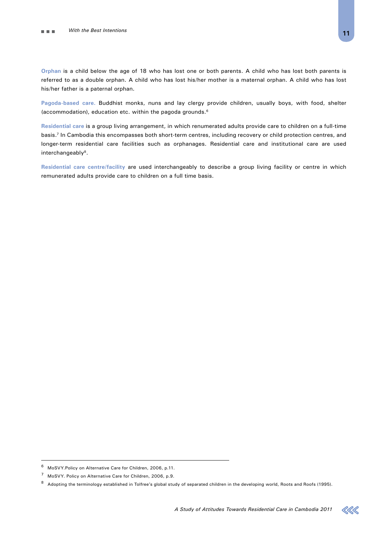**Orphan** is a child below the age of 18 who has lost one or both parents. A child who has lost both parents is referred to as a double orphan. A child who has lost his/her mother is a maternal orphan. A child who has lost his/her father is a paternal orphan.

**Pagoda-based care.** Buddhist monks, nuns and lay clergy provide children, usually boys, with food, shelter (accommodation), education etc. within the pagoda grounds.6

**Residential care** is a group living arrangement, in which renumerated adults provide care to children on a full-time basis.7 In Cambodia this encompasses both short-term centres, including recovery or child protection centres, and longer-term residential care facilities such as orphanages. Residential care and institutional care are used interchangeably<sup>8</sup>.

**Residential care centre/facility** are used interchangeably to describe a group living facility or centre in which remunerated adults provide care to children on a full time basis.



<sup>6</sup> MoSVY.Policy on Alternative Care for Children, 2006, p.11.

<sup>7</sup> MoSVY. Policy on Alternative Care for Children, 2006, p.9.

<sup>8</sup> Adopting the terminology established in Tolfree's global study of separated children in the developing world, Roots and Roofs (1995).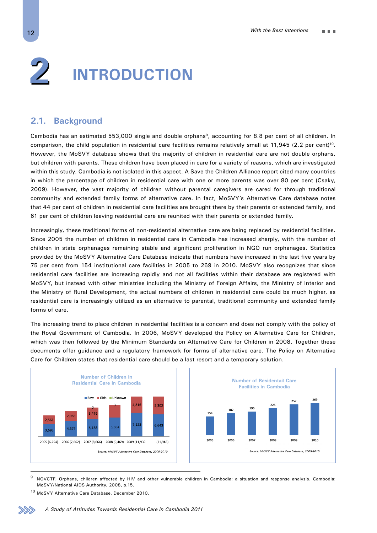# **Introduction 2**

## **2.1. Background**

Cambodia has an estimated 553,000 single and double orphans<sup>9</sup>, accounting for 8.8 per cent of all children. In comparison, the child population in residential care facilities remains relatively small at 11,945 (2.2 per cent)<sup>10</sup>. However, the MoSVY database shows that the majority of children in residential care are not double orphans, but children with parents. These children have been placed in care for a variety of reasons, which are investigated within this study. Cambodia is not isolated in this aspect. A Save the Children Alliance report cited many countries in which the percentage of children in residential care with one or more parents was over 80 per cent (Csaky, 2009). However, the vast majority of children without parental caregivers are cared for through traditional community and extended family forms of alternative care. In fact, MoSVY's Alternative Care database notes that 44 per cent of children in residential care facilities are brought there by their parents or extended family, and 61 per cent of children leaving residential care are reunited with their parents or extended family.

Increasingly, these traditional forms of non-residential alternative care are being replaced by residential facilities. Since 2005 the number of children in residential care in Cambodia has increased sharply, with the number of children in state orphanages remaining stable and significant proliferation in NGO run orphanages. Statistics provided by the MoSVY Alternative Care Database indicate that numbers have increased in the last five years by 75 per cent from 154 institutional care facilities in 2005 to 269 in 2010. MoSVY also recognizes that since residential care facilities are increasing rapidly and not all facilities within their database are registered with MoSVY, but instead with other ministries including the Ministry of Foreign Affairs, the Ministry of Interior and the Ministry of Rural Development, the actual numbers of children in residential care could be much higher, as residential care is increasingly utilized as an alternative to parental, traditional community and extended family forms of care.

The increasing trend to place children in residential facilities is a concern and does not comply with the policy of the Royal Government of Cambodia. In 2006, MoSVY developed the Policy on Alternative Care for Children, which was then followed by the Minimum Standards on Alternative Care for Children in 2008. Together these documents offer guidance and a regulatory framework for forms of alternative care. The Policy on Alternative Care for Children states that residential care should be a last resort and a temporary solution.





<sup>9</sup> NOVCTF. Orphans, children affected by HIV and other vulnerable children in Cambodia: a situation and response analysis. Cambodia: MoSVY/National AIDS Authority, 2008, p.15.

<sup>10</sup> MoSVY Alternative Care Database, December 2010.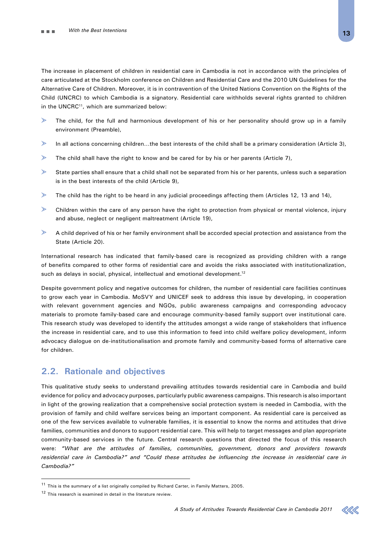The increase in placement of children in residential care in Cambodia is not in accordance with the principles of care articulated at the Stockholm conference on Children and Residential Care and the 2010 UN Guidelines for the Alternative Care of Children. Moreover, it is in contravention of the United Nations Convention on the Rights of the Child (UNCRC) to which Cambodia is a signatory. Residential care withholds several rights granted to children in the UNCRC<sup>11</sup>, which are summarized below:

- $\geq$ The child, for the full and harmonious development of his or her personality should grow up in a family environment (Preamble),
- $\geqslant$ In all actions concerning children…the best interests of the child shall be a primary consideration (Article 3),
- $\geqslant$ The child shall have the right to know and be cared for by his or her parents (Article 7),
- $\blacktriangleright$ State parties shall ensure that a child shall not be separated from his or her parents, unless such a separation is in the best interests of the child (Article 9),
- $\geqslant$ The child has the right to be heard in any judicial proceedings affecting them (Articles 12, 13 and 14),
- ➣ Children within the care of any person have the right to protection from physical or mental violence, injury and abuse, neglect or negligent maltreatment (Article 19),
- $\geqslant$ A child deprived of his or her family environment shall be accorded special protection and assistance from the State (Article 20).

International research has indicated that family-based care is recognized as providing children with a range of benefits compared to other forms of residential care and avoids the risks associated with institutionalization, such as delays in social, physical, intellectual and emotional development.<sup>12</sup>

Despite government policy and negative outcomes for children, the number of residential care facilities continues to grow each year in Cambodia. MoSVY and UNICEF seek to address this issue by developing, in cooperation with relevant government agencies and NGOs, public awareness campaigns and corresponding advocacy materials to promote family-based care and encourage community-based family support over institutional care. This research study was developed to identify the attitudes amongst a wide range of stakeholders that influence the increase in residential care, and to use this information to feed into child welfare policy development, inform advocacy dialogue on de-institutionalisation and promote family and community-based forms of alternative care for children.

## **2.2. Rationale and objectives**

This qualitative study seeks to understand prevailing attitudes towards residential care in Cambodia and build evidence for policy and advocacy purposes, particularly public awareness campaigns. This research is also important in light of the growing realization that a comprehensive social protection system is needed in Cambodia, with the provision of family and child welfare services being an important component. As residential care is perceived as one of the few services available to vulnerable families, it is essential to know the norms and attitudes that drive families, communities and donors to support residential care. This will help to target messages and plan appropriate community-based services in the future. Central research questions that directed the focus of this research were: *"What are the attitudes of families, communities, government, donors and providers towards residential care in Cambodia?" and "Could these attitudes be influencing the increase in residential care in Cambodia?"*

 $11$  This is the summary of a list originally compiled by Richard Carter, in Family Matters, 2005.

<sup>&</sup>lt;sup>12</sup> This research is examined in detail in the literature review.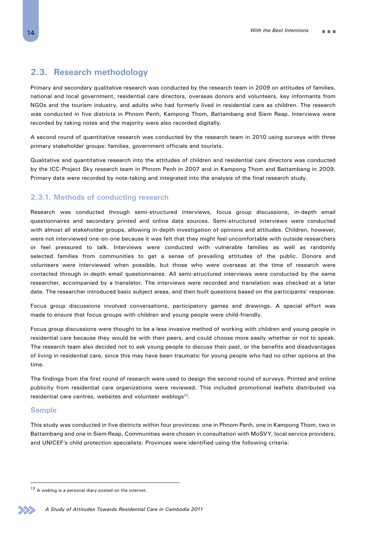## **2.3. Research methodology**

Primary and secondary qualitative research was conducted by the research team in 2009 on attitudes of families, national and local government, residential care directors, overseas donors and volunteers, key informants from NGOs and the tourism industry, and adults who had formerly lived in residential care as children. The research was conducted in five districts in Phnom Penh, Kampong Thom, Battambang and Siem Reap. Interviews were recorded by taking notes and the majority were also recorded digitally.

A second round of quantitative research was conducted by the research team in 2010 using surveys with three primary stakeholder groups: families, government officials and tourists.

Qualitative and quantitative research into the attitudes of children and residential care directors was conducted by the ICC-Project Sky research team in Phnom Penh in 2007 and in Kampong Thom and Battambang in 2009. Primary data were recorded by note-taking and integrated into the analysis of the final research study.

## **2.3.1. Methods of conducting research**

Research was conducted through semi-structured interviews, focus group discussions, in-depth email questionnaires and secondary printed and online data sources. Semi-structured interviews were conducted with almost all stakeholder groups, allowing in-depth investigation of opinions and attitudes. Children, however, were not interviewed one-on-one because it was felt that they might feel uncomfortable with outside researchers or feel pressured to talk. Interviews were conducted with vulnerable families as well as randomly selected families from communities to get a sense of prevailing attitudes of the public. Donors and volunteers were interviewed when possible, but those who were overseas at the time of research were contacted through in-depth email questionnaires. All semi-structured interviews were conducted by the same researcher, accompanied by a translator. The interviews were recorded and translation was checked at a later date. The researcher introduced basic subject areas, and then built questions based on the participants' response.

Focus group discussions involved conversations, participatory games and drawings. A special effort was made to ensure that focus groups with children and young people were child-friendly.

Focus group discussions were thought to be a less invasive method of working with children and young people in residential care because they would be with their peers, and could choose more easily whether or not to speak. The research team also decided not to ask young people to discuss their past, or the benefits and disadvantages of living in residential care, since this may have been traumatic for young people who had no other options at the time.

The findings from the first round of research were used to design the second round of surveys. Printed and online publicity from residential care organizations were reviewed. This included promotional leaflets distributed via residential care centres, websites and volunteer weblogs<sup>13</sup>.

### **Sample**

This study was conducted in five districts within four provinces: one in Phnom Penh, one in Kampong Thom, two in Battambang and one in Siem Reap. Communities were chosen in consultation with MoSVY, local service providers, and UNICEF's child protection specialists. Provinces were identified using the following criteria:



<sup>13</sup> A weblog is a personal diary posted on the internet.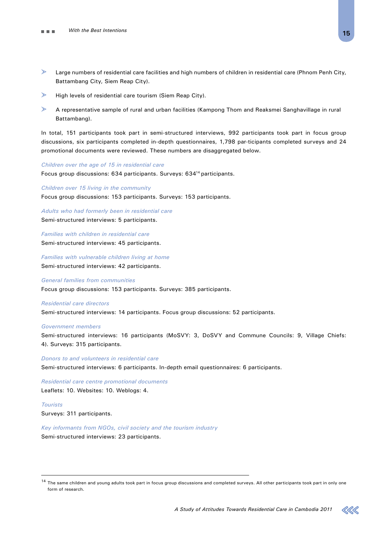- $\geqslant$ Large numbers of residential care facilities and high numbers of children in residential care (Phnom Penh City, Battambang City, Siem Reap City).
- $\geq$ High levels of residential care tourism (Siem Reap City).
- $\geqslant$ A representative sample of rural and urban facilities (Kampong Thom and Reaksmei Sanghavillage in rural Battambang).

In total, 151 participants took part in semi-structured interviews, 992 participants took part in focus group discussions, six participants completed in-depth questionnaires, 1,798 par-ticipants completed surveys and 24 promotional documents were reviewed. These numbers are disaggregated below.

#### *Children over the age of 15 in residential care*

Focus group discussions: 634 participants. Surveys: 63414 participants.

*Children over 15 living in the community* Focus group discussions: 153 participants. Surveys: 153 participants.

*Adults who had formerly been in residential care* Semi-structured interviews: 5 participants.

*Families with children in residential care* Semi-structured interviews: 45 participants.

*Families with vulnerable children living at home* Semi-structured interviews: 42 participants.

#### *General families from communities*

Focus group discussions: 153 participants. Surveys: 385 participants.

#### *Residential care directors*

Semi-structured interviews: 14 participants. Focus group discussions: 52 participants.

#### *Government members*

Semi-structured interviews: 16 participants (MoSVY: 3, DoSVY and Commune Councils: 9, Village Chiefs: 4). Surveys: 315 participants.

*Donors to and volunteers in residential care* Semi-structured interviews: 6 participants. In-depth email questionnaires: 6 participants.

*Residential care centre promotional documents*  Leaflets: 10. Websites: 10. Weblogs: 4.

*Tourists*

Surveys: 311 participants.

*Key informants from NGOs, civil society and the tourism industry*

Semi-structured interviews: 23 participants.

<sup>&</sup>lt;sup>14</sup> The same children and young adults took part in focus group discussions and completed surveys. All other participants took part in only one form of research.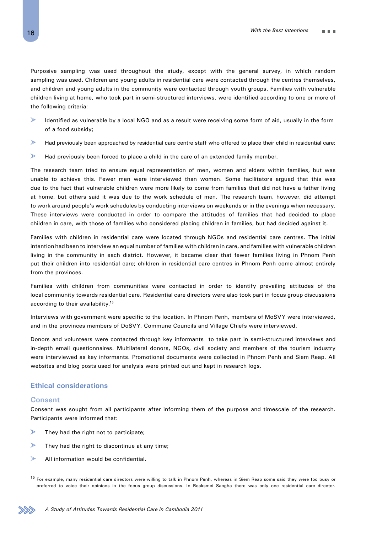Purposive sampling was used throughout the study, except with the general survey, in which random sampling was used. Children and young adults in residential care were contacted through the centres themselves, and children and young adults in the community were contacted through youth groups. Families with vulnerable children living at home, who took part in semi-structured interviews, were identified according to one or more of the following criteria:

- $\rightarrow$ Identified as vulnerable by a local NGO and as a result were receiving some form of aid, usually in the form of a food subsidy;
- $\rightarrow$ Had previously been approached by residential care centre staff who offered to place their child in residential care;
- $\mathbb{R}$ Had previously been forced to place a child in the care of an extended family member.

The research team tried to ensure equal representation of men, women and elders within families, but was unable to achieve this. Fewer men were interviewed than women. Some facilitators argued that this was due to the fact that vulnerable children were more likely to come from families that did not have a father living at home, but others said it was due to the work schedule of men. The research team, however, did attempt to work around people's work schedules by conducting interviews on weekends or in the evenings when necessary. These interviews were conducted in order to compare the attitudes of families that had decided to place children in care, with those of families who considered placing children in families, but had decided against it.

Families with children in residential care were located through NGOs and residential care centres. The initial intention had been to interview an equal number of families with children in care, and families with vulnerable children living in the community in each district. However, it became clear that fewer families living in Phnom Penh put their children into residential care; children in residential care centres in Phnom Penh come almost entirely from the provinces.

Families with children from communities were contacted in order to identify prevailing attitudes of the local community towards residential care. Residential care directors were also took part in focus group discussions according to their availability.<sup>15</sup>

Interviews with government were specific to the location. In Phnom Penh, members of MoSVY were interviewed, and in the provinces members of DoSVY, Commune Councils and Village Chiefs were interviewed.

Donors and volunteers were contacted through key informants to take part in semi-structured interviews and in-depth email questionnaires. Multilateral donors, NGOs, civil society and members of the tourism industry were interviewed as key informants. Promotional documents were collected in Phnom Penh and Siem Reap. All websites and blog posts used for analysis were printed out and kept in research logs.

## **Ethical considerations**

#### **Consent**

Consent was sought from all participants after informing them of the purpose and timescale of the research. Participants were informed that:

- $\rightarrow$ They had the right not to participate;
- $\blacktriangleright$ They had the right to discontinue at any time;
- $\geqslant$ All information would be confidential.

<sup>&</sup>lt;sup>15</sup> For example, many residential care directors were willing to talk in Phnom Penh, whereas in Siem Reap some said they were too busy or preferred to voice their opinions in the focus group discussions. In Reaksmei Sangha there was only one residential care director.

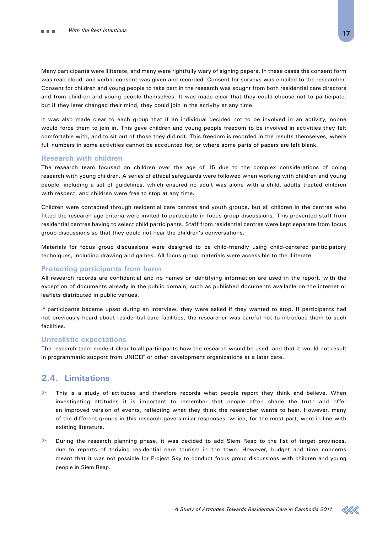Many participants were illiterate, and many were rightfully wary of signing papers. In these cases the consent form was read aloud, and verbal consent was given and recorded. Consent for surveys was emailed to the researcher. Consent for children and young people to take part in the research was sought from both residential care directors and from children and young people themselves. It was made clear that they could choose not to participate, but if they later changed their mind, they could join in the activity at any time.

It was also made clear to each group that if an individual decided not to be involved in an activity, noone would force them to join in. This gave children and young people freedom to be involved in activities they felt comfortable with, and to sit out of those they did not. This freedom is recorded in the results themselves, where full numbers in some activities cannot be accounted for, or where some parts of papers are left blank.

#### **Research with children**

The research team focused on children over the age of 15 due to the complex considerations of doing research with young children. A series of ethical safeguards were followed when working with children and young people, including a set of guidelines, which ensured no adult was alone with a child, adults treated children with respect, and children were free to stop at any time.

Children were contacted through residential care centres and youth groups, but all children in the centres who fitted the research age criteria were invited to participate in focus group discussions. This prevented staff from residential centres having to select child participants. Staff from residential centres were kept separate from focus group discussions so that they could not hear the children's conversations.

Materials for focus group discussions were designed to be child-friendly using child-centered participatory techniques, including drawing and games. All focus group materials were accessible to the illiterate.

#### **Protecting participants from harm**

All research records are confidential and no names or identifying information are used in the report, with the exception of documents already in the public domain, such as published documents available on the internet or leaflets distributed in public venues.

If participants became upset during an interview, they were asked if they wanted to stop. If participants had not previously heard about residential care facilities, the researcher was careful not to introduce them to such facilities.

### **Unrealistic expectations**

The research team made it clear to all participants how the research would be used, and that it would not result in programmatic support from UNICEF or other development organizations at a later date.

## **2.4. Limitations**

- This is a study of attitudes and therefore records what people report they think and believe. When investigating attitudes it is important to remember that people often shade the truth and offer an improved version of events, reflecting what they think the researcher wants to hear. However, many of the different groups in this research gave similar responses, which, for the most part, were in line with existing literature.
- During the research planning phase, it was decided to add Siem Reap to the list of target provinces, due to reports of thriving residential care tourism in the town. However, budget and time concerns meant that it was not possible for Project Sky to conduct focus group discussions with children and young people in Siem Reap.

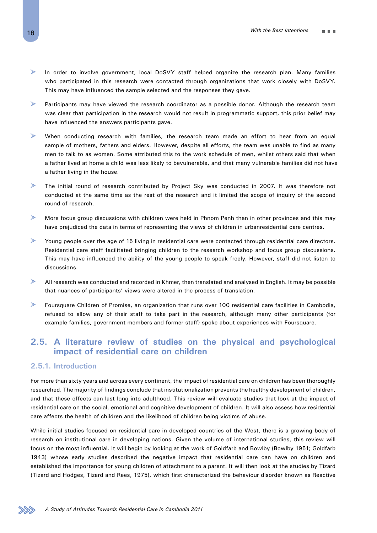- $\mathcal{P}$ In order to involve government, local DoSVY staff helped organize the research plan. Many families who participated in this research were contacted through organizations that work closely with DoSVY. This may have influenced the sample selected and the responses they gave.
- $\mathcal{P}$ Participants may have viewed the research coordinator as a possible donor. Although the research team was clear that participation in the research would not result in programmatic support, this prior belief may have influenced the answers participants gave.
- $\geqslant$ When conducting research with families, the research team made an effort to hear from an equal sample of mothers, fathers and elders. However, despite all efforts, the team was unable to find as many men to talk to as women. Some attributed this to the work schedule of men, whilst others said that when a father lived at home a child was less likely to bevulnerable, and that many vulnerable families did not have a father living in the house.
- $\mathcal{P}$ The initial round of research contributed by Project Sky was conducted in 2007. It was therefore not conducted at the same time as the rest of the research and it limited the scope of inquiry of the second round of research.
- $\mathcal{P}$ More focus group discussions with children were held in Phnom Penh than in other provinces and this may have prejudiced the data in terms of representing the views of children in urbanresidential care centres.
- $\geq$ Young people over the age of 15 living in residential care were contacted through residential care directors. Residential care staff facilitated bringing children to the research workshop and focus group discussions. This may have influenced the ability of the young people to speak freely. However, staff did not listen to discussions.
- $\geqslant$ All research was conducted and recorded in Khmer, then translated and analysed in English. It may be possible that nuances of participants' views were altered in the process of translation.
- $\mathcal{P}$ Foursquare Children of Promise, an organization that runs over 100 residential care facilities in Cambodia, refused to allow any of their staff to take part in the research, although many other participants (for example families, government members and former staff) spoke about experiences with Foursquare.

## **2.5. A literature review of studies on the physical and psychological impact of residential care on children**

## **2.5.1. Introduction**

For more than sixty years and across every continent, the impact of residential care on children has been thoroughly researched. The majority of findings conclude that institutionalization prevents the healthy development of children, and that these effects can last long into adulthood. This review will evaluate studies that look at the impact of residential care on the social, emotional and cognitive development of children. It will also assess how residential care affects the health of children and the likelihood of children being victims of abuse.

While initial studies focused on residential care in developed countries of the West, there is a growing body of research on institutional care in developing nations. Given the volume of international studies, this review will focus on the most influential. It will begin by looking at the work of Goldfarb and Bowlby (Bowlby 1951; Goldfarb 1943) whose early studies described the negative impact that residential care can have on children and established the importance for young children of attachment to a parent. It will then look at the studies by Tizard (Tizard and Hodges, Tizard and Rees, 1975), which first characterized the behaviour disorder known as Reactive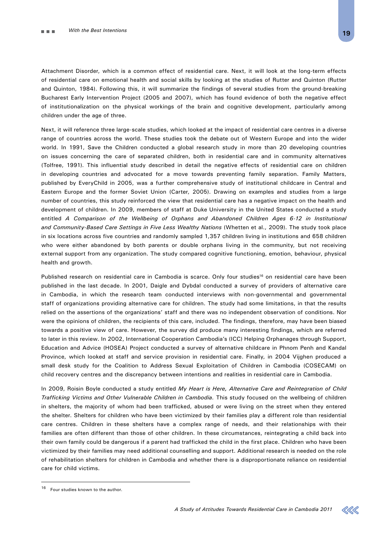Attachment Disorder, which is a common effect of residential care. Next, it will look at the long-term effects of residential care on emotional health and social skills by looking at the studies of Rutter and Quinton (Rutter and Quinton, 1984). Following this, it will summarize the findings of several studies from the ground-breaking Bucharest Early Intervention Project (2005 and 2007), which has found evidence of both the negative effect of institutionalization on the physical workings of the brain and cognitive development, particularly among children under the age of three.

Next, it will reference three large-scale studies, which looked at the impact of residential care centres in a diverse range of countries across the world. These studies took the debate out of Western Europe and into the wider world. In 1991, Save the Children conducted a global research study in more than 20 developing countries on issues concerning the care of separated children, both in residential care and in community alternatives (Tolfree, 1991). This influential study described in detail the negative effects of residential care on children in developing countries and advocated for a move towards preventing family separation. Family Matters, published by EveryChild in 2005, was a further comprehensive study of institutional childcare in Central and Eastern Europe and the former Soviet Union (Carter, 2005). Drawing on examples and studies from a large number of countries, this study reinforced the view that residential care has a negative impact on the health and development of children. In 2009, members of staff at Duke University in the United States conducted a study entitled *A Comparison of the Wellbeing of Orphans and Abandoned Children Ages 6-12 in Institutional and Community-Based Care Settings in Five Less Wealthy Nations* (Whetten et al., 2009). The study took place in six locations across five countries and randomly sampled 1,357 children living in institutions and 658 children who were either abandoned by both parents or double orphans living in the community, but not receiving external support from any organization. The study compared cognitive functioning, emotion, behaviour, physical health and growth.

Published research on residential care in Cambodia is scarce. Only four studies<sup>16</sup> on residential care have been published in the last decade. In 2001, Daigle and Dybdal conducted a survey of providers of alternative care in Cambodia, in which the research team conducted interviews with non-governmental and governmental staff of organizations providing alternative care for children. The study had some limitations, in that the results relied on the assertions of the organizations' staff and there was no independent observation of conditions. Nor were the opinions of children, the recipients of this care, included. The findings, therefore, may have been biased towards a positive view of care. However, the survey did produce many interesting findings, which are referred to later in this review. In 2002, International Cooperation Cambodia's (ICC) Helping Orphanages through Support, Education and Advice (HOSEA) Project conducted a survey of alternative childcare in Phnom Penh and Kandal Province, which looked at staff and service provision in residential care. Finally, in 2004 Vijghen produced a small desk study for the Coalition to Address Sexual Exploitation of Children in Cambodia (COSECAM) on child recovery centres and the discrepancy between intentions and realities in residential care in Cambodia.

In 2009, Roisin Boyle conducted a study entitled *My Heart is Here, Alternative Care and Reintegration of Child Trafficking Victims and Other Vulnerable Children in Cambodia.* This study focused on the wellbeing of children in shelters, the majority of whom had been trafficked, abused or were living on the street when they entered the shelter. Shelters for children who have been victimized by their families play a different role than residential care centres. Children in these shelters have a complex range of needs, and their relationships with their families are often different than those of other children. In these circumstances, reintegrating a child back into their own family could be dangerous if a parent had trafficked the child in the first place. Children who have been victimized by their families may need additional counselling and support. Additional research is needed on the role of rehabilitation shelters for children in Cambodia and whether there is a disproportionate reliance on residential care for child victims.



<sup>16</sup> Four studies known to the author.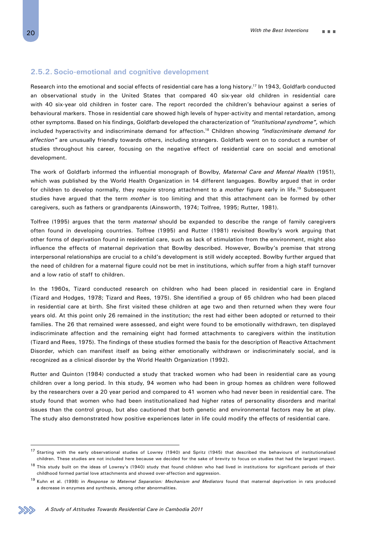## **2.5.2. Socio-emotional and cognitive development**

Research into the emotional and social effects of residential care has a long history.<sup>17</sup> In 1943, Goldfarb conducted an observational study in the United States that compared 40 six-year old children in residential care with 40 six-year old children in foster care. The report recorded the children's behaviour against a series of behavioural markers. Those in residential care showed high levels of hyper-activity and mental retardation, among other symptoms. Based on his findings, Goldfarb developed the characterization of *"institutional syndrome",* which included hyperactivity and indiscriminate demand for affection.18 Children showing *"indiscriminate demand for affection"* are unusually friendly towards others, including strangers. Goldfarb went on to conduct a number of studies throughout his career, focusing on the negative effect of residential care on social and emotional development.

The work of Goldfarb informed the influential monograph of Bowlby, *Maternal Care and Mental Health* (1951), which was published by the World Health Organization in 14 different languages. Bowlby argued that in order for children to develop normally, they require strong attachment to a *mother* figure early in life.19 Subsequent studies have argued that the term *mother* is too limiting and that this attachment can be formed by other caregivers, such as fathers or grandparents (Ainsworth, 1974; Tolfree, 1995; Rutter, 1981).

Tolfree (1995) argues that the term *maternal* should be expanded to describe the range of family caregivers often found in developing countries. Tolfree (1995) and Rutter (1981) revisited Bowlby's work arguing that other forms of deprivation found in residential care, such as lack of stimulation from the environment, might also influence the effects of maternal deprivation that Bowlby described. However, Bowlby's premise that strong interpersonal relationships are crucial to a child's development is still widely accepted. Bowlby further argued that the need of children for a maternal figure could not be met in institutions, which suffer from a high staff turnover and a low ratio of staff to children.

In the 1960s, Tizard conducted research on children who had been placed in residential care in England (Tizard and Hodges, 1978; Tizard and Rees, 1975). She identified a group of 65 children who had been placed in residential care at birth. She first visited these children at age two and then returned when they were four years old. At this point only 26 remained in the institution; the rest had either been adopted or returned to their families. The 26 that remained were assessed, and eight were found to be emotionally withdrawn, ten displayed indiscriminate affection and the remaining eight had formed attachments to caregivers within the institution (Tizard and Rees, 1975). The findings of these studies formed the basis for the description of Reactive Attachment Disorder, which can manifest itself as being either emotionally withdrawn or indiscriminately social, and is recognized as a clinical disorder by the World Health Organization (1992).

Rutter and Quinton (1984) conducted a study that tracked women who had been in residential care as young children over a long period. In this study, 94 women who had been in group homes as children were followed by the researchers over a 20 year period and compared to 41 women who had never been in residential care. The study found that women who had been institutionalized had higher rates of personality disorders and marital issues than the control group, but also cautioned that both genetic and environmental factors may be at play. The study also demonstrated how positive experiences later in life could modify the effects of residential care.

<sup>17</sup> Starting with the early observational studies of Lowrey (1940) and Spritz (1945) that described the behaviours of institutionalized children. These studies are not included here because we decided for the sake of brevity to focus on studies that had the largest impact.

<sup>&</sup>lt;sup>18</sup> This study built on the ideas of Lowrey's (1940) study that found children who had lived in institutions for significant periods of their childhood formed partial love attachments and showed over-affection and aggression.

<sup>19</sup> Kuhn et al. (1998) in *Response to Maternal Separation: Mechanism and Mediators* found that maternal deprivation in rats produced a decrease in enzymes and synthesis, among other abnormalities.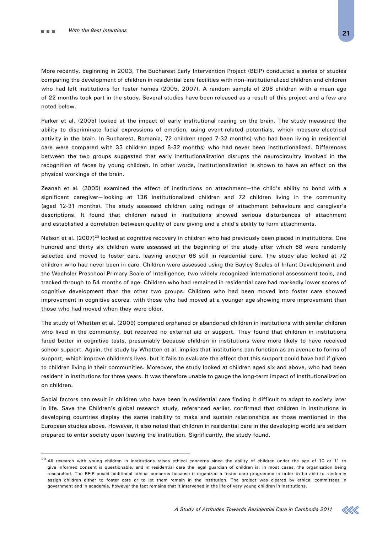More recently, beginning in 2003, The Bucharest Early Intervention Project (BEIP) conducted a series of studies comparing the development of children in residential care facilities with non-institutionalized children and children who had left institutions for foster homes (2005, 2007). A random sample of 208 children with a mean age of 22 months took part in the study. Several studies have been released as a result of this project and a few are noted below.

Parker et al. (2005) looked at the impact of early institutional rearing on the brain. The study measured the ability to discriminate facial expressions of emotion, using event-related potentials, which measure electrical activity in the brain. In Bucharest, Romania, 72 children (aged 7-32 months) who had been living in residential care were compared with 33 children (aged 8-32 months) who had never been institutionalized. Differences between the two groups suggested that early institutionalization disrupts the neurocircuitry involved in the recognition of faces by young children. In other words, institutionalization is shown to have an effect on the physical workings of the brain.

Zeanah et al. (2005) examined the effect of institutions on attachment—the child's ability to bond with a significant caregiver—looking at 136 institutionalized children and 72 children living in the community (aged 12-31 months). The study assessed children using ratings of attachment behaviours and caregiver's descriptions. It found that children raised in institutions showed serious disturbances of attachment and established a correlation between quality of care giving and a child's ability to form attachments.

Nelson et al. (2007)<sup>20</sup> looked at cognitive recovery in children who had previously been placed in institutions. One hundred and thirty six children were assessed at the beginning of the study after which 68 were randomly selected and moved to foster care, leaving another 68 still in residential care. The study also looked at 72 children who had never been in care. Children were assessed using the Bayley Scales of Infant Development and the Wechsler Preschool Primary Scale of Intelligence, two widely recognized international assessment tools, and tracked through to 54 months of age. Children who had remained in residential care had markedly lower scores of cognitive development than the other two groups. Children who had been moved into foster care showed improvement in cognitive scores, with those who had moved at a younger age showing more improvement than those who had moved when they were older.

The study of Whetten et al. (2009) compared orphaned or abandoned children in institutions with similar children who lived in the community, but received no external aid or support. They found that children in institutions fared better in cognitive tests, presumably because children in institutions were more likely to have received school support. Again, the study by Whetten et al. implies that institutions can function as an avenue to forms of support, which improve children's lives, but it fails to evaluate the effect that this support could have had if given to children living in their communities. Moreover, the study looked at children aged six and above, who had been resident in institutions for three years. It was therefore unable to gauge the long-term impact of institutionalization on children.

Social factors can result in children who have been in residential care finding it difficult to adapt to society later in life. Save the Children's global research study, referenced earlier, confirmed that children in institutions in developing countries display the same inability to make and sustain relationships as those mentioned in the European studies above. However, it also noted that children in residential care in the developing world are seldom prepared to enter society upon leaving the institution. Significantly, the study found,



<sup>&</sup>lt;sup>20</sup> All research with voung children in institutions raises ethical concerns since the ability of children under the age of 10 or 11 to give informed consent is questionable, and in residential care the legal guardian of children is, in most cases, the organization being researched. The BEIP posed additional ethical concerns because it organized a foster care programme in order to be able to randomly assign children either to foster care or to let them remain in the institution. The project was cleared by ethical committees in government and in academia, however the fact remains that it intervened in the life of very young children in institutions.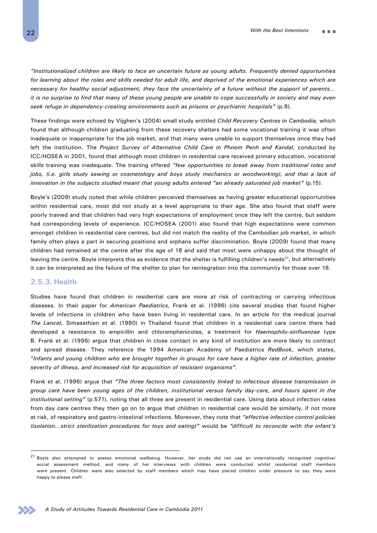*"Institutionalized children are likely to face an uncertain future as young adults. Frequently denied opportunities*  for learning about the roles and skills needed for adult life, and deprived of the emotional experiences which are *necessary for healthy social adjustment, they face the uncertainty of a future without the support of parents… it is no surprise to find that many of these young people are unable to cope successfully in society and may even seek refuge in dependency-creating environments such as prisons or psychiatric hospitals"* (p.8).

These findings were echoed by Vijghen's (2004) small study entitled *Child Recovery Centres in Cambodia,* which found that although children graduating from these recovery shelters had some vocational training it was often inadequate or inappropriate for the job market, and that many were unable to support themselves once they had left the institution. The *Project Survey of Alternative Child Care in Phnom Penh and Kandal*, conducted by ICC/HOSEA in 2001, found that although most children in residential care received primary education, vocational skills training was inadequate. The training offered *"few opportunities to break away from traditional roles and jobs, (i.e. girls study sewing or cosmetology and boys study mechanics or woodworking), and that a lack of innovation in the subjects studied meant that young adults entered "an already saturated job market"* (p.15).

Boyle's (2009) study noted that while children perceived themselves as having greater educational opportunities within residential care, most did not study at a level appropriate to their age. She also found that staff were poorly trained and that children had very high expectations of employment once they left the centre, but seldom had corresponding levels of experience. ICC/HOSEA (2001) also found that high expectations were common amongst children in residential care centres, but did not match the reality of the Cambodian job market, in which family often plays a part in securing positions and orphans suffer discrimination. Boyle (2009) found that many children had remained at the centre after the age of 18 and said that most were unhappy about the thought of leaving the centre. Boyle interprets this as evidence that the shelter is fulfilling children's needs<sup>21</sup>, but alternatively it can be interpreted as the failure of the shelter to plan for reintegration into the community for those over 18.

## **2.5.3. Health**

Studies have found that children in residential care are more at risk of contracting or carrying infectious diseases. In their paper for *American Paediatrics*, Frank et al. (1996) cite several studies that found higher levels of infections in children who have been living in residential care. In an article for the medical journal *The Lancet,* Simasathien et al. (1980) in Thailand found that children in a residential care centre there had developed a resistance to ampicillin and chloramphenicolas, a treatment for *Haemophilu-sinfluenzae* type B. Frank et al. (1996) argue that children in close contact in any kind of institution are more likely to contract and spread disease. They reference the 1994 American Academy of Paediatrics *RedBook,* which states, "*Infants and young children who are brought together in groups for care have a higher rate of infection, greater severity of illness, and increased risk for acquisition of resistant organisms".* 

Frank et al. (1996) argue that *"The three factors most consistently linked to infectious disease transmission in group care have been young ages of the children, institutional versus family day-care, and hours spent in the institutional setting"* (p.571), noting that all three are present in residential care. Using data about infection rates from day care centres they then go on to argue that children in residential care would be similarly, if not more at risk, of respiratory and gastro-intestinal infections. Moreover, they note that *"effective infection control policies (isolation…strict sterilization procedures for toys and eating)"* would be *"difficult to reconcile with the infant's* 



 $21$  Boyle also attempted to assess emotional wellbeing. However, her study did not use an internationally recognized cognitive/ social assessment method, and many of her interviews with children were conducted whilst residential staff members were present. Children were also selected by staff members which may have placed children under pressure to say they were happy to please staff.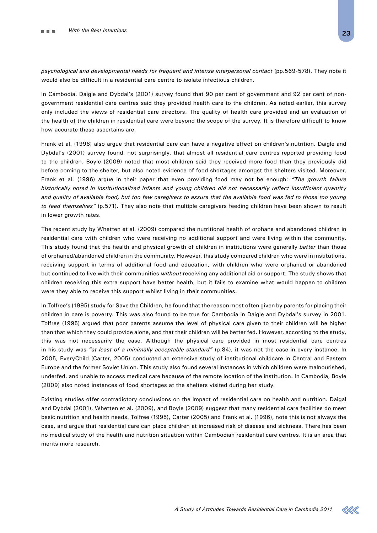*psychological and developmental needs for frequent and intense interpersonal contact* (pp.569-578). They note it would also be difficult in a residential care centre to isolate infectious children.

In Cambodia, Daigle and Dybdal's (2001) survey found that 90 per cent of government and 92 per cent of nongovernment residential care centres said they provided health care to the children. As noted earlier, this survey only included the views of residential care directors. The quality of health care provided and an evaluation of the health of the children in residential care were beyond the scope of the survey. It is therefore difficult to know how accurate these ascertains are.

Frank et al. (1996) also argue that residential care can have a negative effect on children's nutrition. Daigle and Dybdal's (2001) survey found, not surprisingly, that almost all residential care centres reported providing food to the children. Boyle (2009) noted that most children said they received more food than they previously did before coming to the shelter, but also noted evidence of food shortages amongst the shelters visited. Moreover, Frank et al. (1996) argue in their paper that even providing food may not be enough: *"The growth failure historically noted in institutionalized infants and young children did not necessarily reflect insufficient quantity and quality of available food, but too few caregivers to assure that the available food was fed to those too young to feed themselves"* (p.571). They also note that multiple caregivers feeding children have been shown to result in lower growth rates.

The recent study by Whetten et al. (2009) compared the nutritional health of orphans and abandoned children in residential care with children who were receiving no additional support and were living within the community. This study found that the health and physical growth of children in institutions were generally *better* than those of orphaned/abandoned children in the community. However, this study compared children who were in institutions, receiving support in terms of additional food and education, with children who were orphaned or abandoned but continued to live with their communities *without* receiving any additional aid or support. The study shows that children receiving this extra support have better health, but it fails to examine what would happen to children were they able to receive this support whilst living in their communities.

In Tolfree's (1995) study for Save the Children, he found that the reason most often given by parents for placing their children in care is poverty. This was also found to be true for Cambodia in Daigle and Dybdal's survey in 2001. Tolfree (1995) argued that poor parents assume the level of physical care given to their children will be higher than that which they could provide alone, and that their children will be better fed. However, according to the study, this was not necessarily the case. Although the physical care provided in most residential care centres in his study was *"at least of a minimally acceptable standard"* (p.84), it was not the case in every instance. In 2005, EveryChild (Carter, 2005) conducted an extensive study of institutional childcare in Central and Eastern Europe and the former Soviet Union. This study also found several instances in which children were malnourished, underfed, and unable to access medical care because of the remote location of the institution. In Cambodia, Boyle (2009) also noted instances of food shortages at the shelters visited during her study.

Existing studies offer contradictory conclusions on the impact of residential care on health and nutrition. Daigal and Dybdal (2001), Whetten et al. (2009), and Boyle (2009) suggest that many residential care facilities do meet basic nutrition and health needs. Tolfree (1995), Carter (2005) and Frank et al. (1996), note this is not always the case, and argue that residential care can place children at increased risk of disease and sickness. There has been no medical study of the health and nutrition situation within Cambodian residential care centres. It is an area that merits more research.

*A Study of Attitudes Towards Residential Care in Cambodia 2011*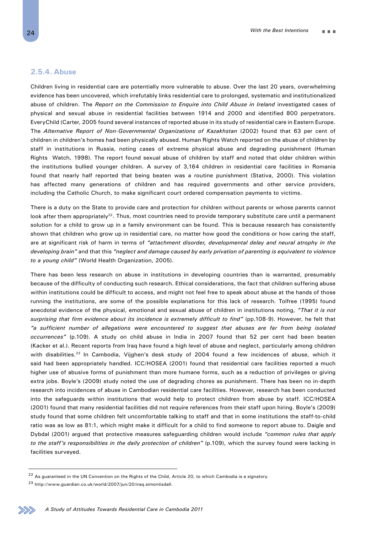## **2.5.4. Abuse**

Children living in residential care are potentially more vulnerable to abuse. Over the last 20 years, overwhelming evidence has been uncovered, which irrefutably links residential care to prolonged, systematic and institutionalized abuse of children. The *Report on the Commission to Enquire into Child Abuse in Ireland* investigated cases of physical and sexual abuse in residential facilities between 1914 and 2000 and identified 800 perpetrators. EveryChild (Carter, 2005 found several instances of reported abuse in its study of residential care in Eastern Europe. The *Alternative Report of Non-Governmental Organizations of Kazakhstan* (2002) found that 63 per cent of children in children's homes had been physically abused. Human Rights Watch reported on the abuse of children by staff in institutions in Russia, noting cases of extreme physical abuse and degrading punishment (Human Rights Watch, 1998). The report found sexual abuse of children by staff and noted that older children within the institutions bullied younger children. A survey of 3,164 children in residential care facilities in Romania found that nearly half reported that being beaten was a routine punishment (Stativa, 2000). This violation has affected many generations of children and has required governments and other service providers, including the Catholic Church, to make significant court ordered compensation payments to victims.

There is a duty on the State to provide care and protection for children without parents or whose parents cannot look after them appropriately<sup>22</sup>. Thus, most countries need to provide temporary substitute care until a permanent solution for a child to grow up in a family environment can be found. This is because research has consistently shown that children who grow up in residential care, no matter how good the conditions or how caring the staff, are at significant risk of harm in terms of *"attachment disorder, developmental delay and neural atrophy in the developing brain"* and that this *"neglect and damage caused by early privation of parenting is equivalent to violence to a young child"* (World Health Organization, 2005).

There has been less research on abuse in institutions in developing countries than is warranted, presumably because of the difficulty of conducting such research. Ethical considerations, the fact that children suffering abuse within institutions could be difficult to access, and might not feel free to speak about abuse at the hands of those running the institutions, are some of the possible explanations for this lack of research. Tolfree (1995) found anecdotal evidence of the physical, emotional and sexual abuse of children in institutions noting, *"That it is not surprising that firm evidence about its incidence is extremely difficult to find"* (pp.108-9). However, he felt that *"a sufficient number of allegations were encountered to suggest that abuses are far from being isolated occurrences"* (p.109). A study on child abuse in India in 2007 found that 52 per cent had been beaten (Kacker et al.). Recent reports from Iraq have found a high level of abuse and neglect, particularly among children with disabilities.<sup>23</sup> In Cambodia, Vijghen's desk study of 2004 found a few incidences of abuse, which it said had been appropriately handled. ICC/HOSEA (2001) found that residential care facilities reported a much higher use of abusive forms of punishment than more humane forms, such as a reduction of privileges or giving extra jobs. Boyle's (2009) study noted the use of degrading chores as punishment. There has been no in-depth research into incidences of abuse in Cambodian residential care facilities. However, research has been conducted into the safeguards within institutions that would help to protect children from abuse by staff. ICC/HOSEA (2001) found that many residential facilities did not require references from their staff upon hiring. Boyle's (2009) study found that some children felt uncomfortable talking to staff and that in some institutions the staff-to-child ratio was as low as 81:1, which might make it difficult for a child to find someone to report abuse to. Daigle and Dybdal (2001) argued that protective measures safeguarding children would include *"common rules that apply to the staff's responsibilities in the daily protection of children"* (p.109), which the survey found were lacking in facilities surveyed.

<sup>&</sup>lt;sup>22</sup> As guaranteed in the UN Convention on the Rights of the Child, Article 20, to which Cambodia is a signatory.

<sup>23</sup> http://www.guardian.co.uk/world/2007/jun/20/iraq.simontisdall.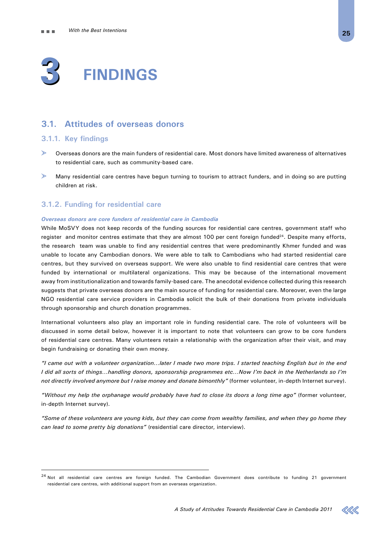

## **3.1. Attitudes of overseas donors**

## **3.1.1. Key findings**

- Overseas donors are the main funders of residential care. Most donors have limited awareness of alternatives to residential care, such as community-based care.
- $\mathbf{r}$ Many residential care centres have begun turning to tourism to attract funders, and in doing so are putting children at risk.

## **3.1.2. Funding for residential care**

### *Overseas donors are core funders of residential care in Cambodia*

While MoSVY does not keep records of the funding sources for residential care centres, government staff who register and monitor centres estimate that they are almost 100 per cent foreign funded<sup>24</sup>. Despite many efforts, the research team was unable to find any residential centres that were predominantly Khmer funded and was unable to locate any Cambodian donors. We were able to talk to Cambodians who had started residential care centres, but they survived on overseas support. We were also unable to find residential care centres that were funded by international or multilateral organizations. This may be because of the international movement away from institutionalization and towards family-based care. The anecdotal evidence collected during this research suggests that private overseas donors are the main source of funding for residential care. Moreover, even the large NGO residential care service providers in Cambodia solicit the bulk of their donations from private individuals through sponsorship and church donation programmes.

International volunteers also play an important role in funding residential care. The role of volunteers will be discussed in some detail below, however it is important to note that volunteers can grow to be core funders of residential care centres. Many volunteers retain a relationship with the organization after their visit, and may begin fundraising or donating their own money.

*"I came out with a volunteer organization…later I made two more trips. I started teaching English but in the end I did all sorts of things…handling donors, sponsorship programmes etc…Now I'm back in the Netherlands so I'm not directly involved anymore but I raise money and donate bimonthly"* (former volunteer, in-depth Internet survey).

*"Without my help the orphanage would probably have had to close its doors a long time ago"* (former volunteer, in-depth Internet survey).

*"Some of these volunteers are young kids, but they can come from wealthy families, and when they go home they can lead to some pretty big donations"* (residential care director, interview).



 $24$  Not all residential care centres are foreign funded. The Cambodian Government does contribute to funding 21 government residential care centres, with additional support from an overseas organization.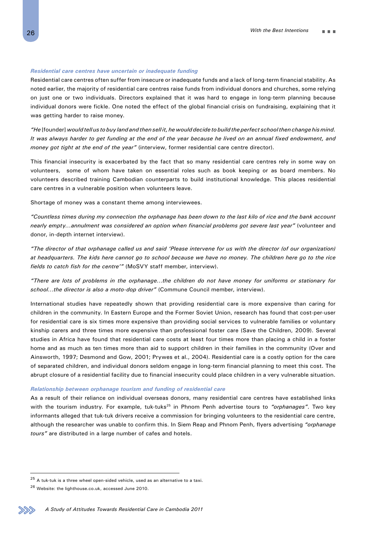#### *Residential care centres have uncertain or inadequate funding*

Residential care centres often suffer from insecure or inadequate funds and a lack of long-term financial stability. As noted earlier, the majority of residential care centres raise funds from individual donors and churches, some relying on just one or two individuals. Directors explained that it was hard to engage in long-term planning because individual donors were fickle. One noted the effect of the global financial crisis on fundraising, explaining that it was getting harder to raise money.

*"He* [founder] *would tell us to buy land and then sell it, he would decide to build the perfect school then change his mind. It was always harder to get funding at the end of the year because he lived on an annual fixed endowment, and money got tight at the end of the year"* (interview, former residential care centre director).

This financial insecurity is exacerbated by the fact that so many residential care centres rely in some way on volunteers, some of whom have taken on essential roles such as book keeping or as board members. No volunteers described training Cambodian counterparts to build institutional knowledge. This places residential care centres in a vulnerable position when volunteers leave.

Shortage of money was a constant theme among interviewees.

*"Countless times during my connection the orphanage has been down to the last kilo of rice and the bank account nearly empty…annulment was considered an option when financial problems got severe last year"* (volunteer and donor, in-depth internet interview).

*"The director of that orphanage called us and said 'Please intervene for us with the director (of our organization) at headquarters. The kids here cannot go to school because we have no money. The children here go to the rice fields to catch fish for the centre'"* (MoSVY staff member, interview).

*"There are lots of problems in the orphanage…the children do not have money for uniforms or stationary for school…the director is also a moto-dop driver"* (Commune Council member, interview).

International studies have repeatedly shown that providing residential care is more expensive than caring for children in the community. In Eastern Europe and the Former Soviet Union, research has found that cost-per-user for residential care is six times more expensive than providing social services to vulnerable families or voluntary kinship carers and three times more expensive than professional foster care (Save the Children, 2009). Several studies in Africa have found that residential care costs at least four times more than placing a child in a foster home and as much as ten times more than aid to support children in their families in the community (Over and Ainsworth, 1997; Desmond and Gow, 2001; Prywes et al., 2004). Residential care is a costly option for the care of separated children, and individual donors seldom engage in long-term financial planning to meet this cost. The abrupt closure of a residential facility due to financial insecurity could place children in a very vulnerable situation.

#### *Relationship between orphanage tourism and funding of residential care*

As a result of their reliance on individual overseas donors, many residential care centres have established links with the tourism industry. For example, tuk-tuks<sup>25</sup> in Phnom Penh advertise tours to *"orphanages"*. Two key informants alleged that tuk-tuk drivers receive a commission for bringing volunteers to the residential care centre, although the researcher was unable to confirm this. In Siem Reap and Phnom Penh, flyers advertising *"orphanage tours"* are distributed in a large number of cafes and hotels.



 $^{25}$  A tuk-tuk is a three wheel open-sided vehicle, used as an alternative to a taxi.

<sup>26</sup> Website: the lighthouse.co.uk, accessed June 2010.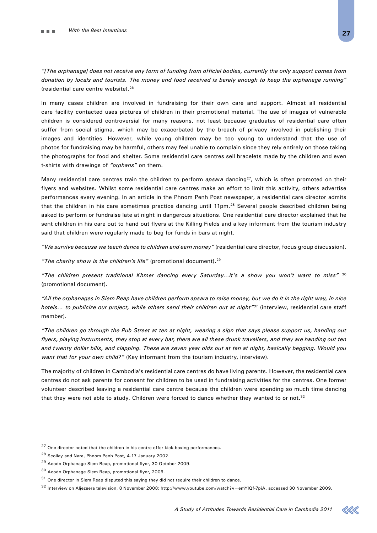*"[The orphanage] does not receive any form of funding from official bodies, currently the only support comes from donation by locals and tourists. The money and food received is barely enough to keep the orphanage running"* (residential care centre website).26

In many cases children are involved in fundraising for their own care and support. Almost all residential care facility contacted uses pictures of children in their promotional material. The use of images of vulnerable children is considered controversial for many reasons, not least because graduates of residential care often suffer from social stigma, which may be exacerbated by the breach of privacy involved in publishing their images and identities. However, while young children may be too young to understand that the use of photos for fundraising may be harmful, others may feel unable to complain since they rely entirely on those taking the photographs for food and shelter. Some residential care centres sell bracelets made by the children and even t-shirts with drawings of *"orphans"* on them.

Many residential care centres train the children to perform *apsara* dancing27, which is often promoted on their flyers and websites. Whilst some residential care centres make an effort to limit this activity, others advertise performances every evening. In an article in the Phnom Penh Post newspaper, a residential care director admits that the children in his care sometimes practice dancing until 11pm.<sup>28</sup> Several people described children being asked to perform or fundraise late at night in dangerous situations. One residential care director explained that he sent children in his care out to hand out flyers at the Killing Fields and a key informant from the tourism industry said that children were regularly made to beg for funds in bars at night.

*"We survive because we teach dance to children and earn money"* (residential care director, focus group discussion).

*"The charity show is the children's life"* (promotional document).29

*"The children present traditional Khmer dancing every Saturday…it's a show you won't want to miss"* <sup>30</sup> (promotional document).

*"All the orphanages in Siem Reap have children perform apsara to raise money, but we do it in the right way, in nice hotels… to publicize our project, while others send their children out at night"31* (interview, residential care staff member).

*"The children go through the Pub Street at ten at night, wearing a sign that says please support us, handing out flyers, playing instruments, they stop at every bar, there are all these drunk travellers, and they are handing out ten and twenty dollar bills, and clapping. These are seven year olds out at ten at night, basically begging. Would you want that for your own child?"* (Key informant from the tourism industry, interview).

The majority of children in Cambodia's residential care centres do have living parents. However, the residential care centres do not ask parents for consent for children to be used in fundraising activities for the centres. One former volunteer described leaving a residential care centre because the children were spending so much time dancing that they were not able to study. Children were forced to dance whether they wanted to or not.<sup>32</sup>

 $27$  One director noted that the children in his centre offer kick-boxing performances.

<sup>28</sup> Scollay and Nara, Phnom Penh Post, 4-17 January 2002.

<sup>29</sup> Acodo Orphanage Siem Reap, promotional flyer, 30 October 2009.

<sup>30</sup> Acodo Orphanage Siem Reap, promotional flyer, 2009.

 $31$  One director in Siem Reap disputed this saying they did not require their children to dance.

<sup>32</sup> Interview on Aljezeera television, 8 November 2008: http://www.youtube.com/watch?v=emYlQf-7piA, accessed 30 November 2009.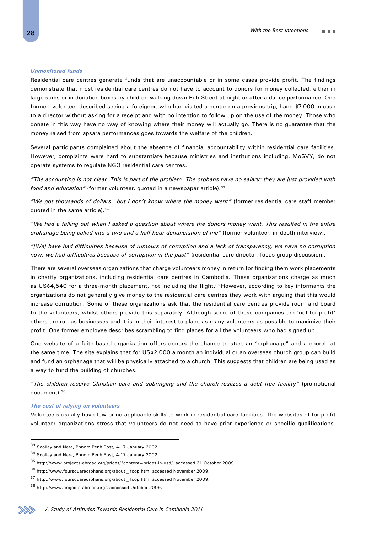#### *Unmonitored funds*

Residential care centres generate funds that are unaccountable or in some cases provide profit. The findings demonstrate that most residential care centres do not have to account to donors for money collected, either in large sums or in donation boxes by children walking down Pub Street at night or after a dance performance. One former volunteer described seeing a foreigner, who had visited a centre on a previous trip, hand \$7,000 in cash to a director without asking for a receipt and with no intention to follow up on the use of the money. Those who donate in this way have no way of knowing where their money will actually go. There is no guarantee that the money raised from apsara performances goes towards the welfare of the children.

Several participants complained about the absence of financial accountability within residential care facilities. However, complaints were hard to substantiate because ministries and institutions including, MoSVY, do not operate systems to regulate NGO residential care centres.

*"The accounting is not clear. This is part of the problem. The orphans have no salary; they are just provided with food and education"* (former volunteer, quoted in a newspaper article).33

*"We got thousands of dollars…but I don't know where the money went"* (former residential care staff member quoted in the same article).<sup>34</sup>

*"We had a falling out when I asked a question about where the donors money went. This resulted in the entire orphanage being called into a two and a half hour denunciation of me"* (former volunteer, in-depth interview).

*"[We] have had difficulties because of rumours of corruption and a lack of transparency, we have no corruption now, we had difficulties because of corruption in the past"* (residential care director, focus group discussion).

There are several overseas organizations that charge volunteers money in return for finding them work placements in charity organizations, including residential care centres in Cambodia. These organizations charge as much as US\$4,540 for a three-month placement, not including the flight.<sup>35</sup> However, according to key informants the organizations do not generally give money to the residential care centres they work with arguing that this would increase corruption. Some of these organizations ask that the residential care centres provide room and board to the volunteers, whilst others provide this separately. Although some of these companies are 'not-for-profit' others are run as businesses and it is in their interest to place as many volunteers as possible to maximize their profit. One former employee describes scrambling to find places for all the volunteers who had signed up.

One website of a faith-based organization offers donors the chance to start an "orphanage" and a church at the same time. The site explains that for US\$2,000 a month an individual or an overseas church group can build and fund an orphanage that will be physically attached to a church. This suggests that children are being used as a way to fund the building of churches.

*"The children receive Christian care and upbringing and the church realizes a debt free facility"* (promotional document).36

#### *The cost of relying on volunteers*

Volunteers usually have few or no applicable skills to work in residential care facilities. The websites of for-profit volunteer organizations stress that volunteers do not need to have prior experience or specific qualifications.

<sup>33</sup> Scollay and Nara, Phnom Penh Post, 4-17 January 2002.

<sup>34</sup> Scollay and Nara, Phnom Penh Post, 4-17 January 2002.

<sup>35</sup> http://www.projects-abroad.org/prices/?content=prices-in-usd/, accessed 31 October 2009.

<sup>36</sup> http://www.foursquareorphans.org/about \_ fcop.htm, accessed November 2009.

 $^{37}$ http://www.foursquareorphans.org/about \_ fcop.htm, accessed November 2009.

<sup>38</sup> http://www.projects-abroad.org/, accessed October 2009.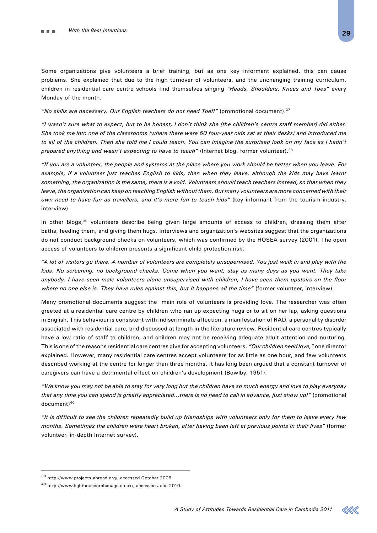Some organizations give volunteers a brief training, but as one key informant explained, this can cause problems. She explained that due to the high turnover of volunteers, and the unchanging training curriculum, children in residential care centre schools find themselves singing *"Heads, Shoulders, Knees and Toes"* every Monday of the month.

*"No skills are necessary. Our English teachers do not need Toefl"* (promotional document).37

*"I wasn't sure what to expect, but to be honest, I don't think she [the children's centre staff member] did either. She took me into one of the classrooms (where there were 50 four-year olds sat at their desks) and introduced me*  to all of the children. Then she told me I could teach. You can imagine the surprised look on my face as I hadn't *prepared anything and wasn't expecting to have to teach"* (Internet blog, former volunteer).38

*"If you are a volunteer, the people and systems at the place where you work should be better when you leave. For*  example, if a volunteer just teaches English to kids, then when they leave, although the kids may have learnt *something, the organization is the same, there is a void. Volunteers should teach teachers instead, so that when they leave, the organization can keep on teaching English without them. But many volunteers are more concerned with their own need to have fun as travellers, and it's more fun to teach kids"* (key informant from the tourism industry, interview).

In other blogs,<sup>39</sup> volunteers describe being given large amounts of access to children, dressing them after baths, feeding them, and giving them hugs. Interviews and organization's websites suggest that the organizations do not conduct background checks on volunteers, which was confirmed by the HOSEA survey (2001). The open access of volunteers to children presents a significant child protection risk.

*"A lot of visitors go there. A number of volunteers are completely unsupervised. You just walk in and play with the kids. No screening, no background checks. Come when you want, stay as many days as you want. They take anybody. I have seen male volunteers alone unsupervised with children, I have seen them upstairs on the floor where no one else is. They have rules against this, but it happens all the time"* (former volunteer, interview).

Many promotional documents suggest the main role of volunteers is providing love. The researcher was often greeted at a residential care centre by children who ran up expecting hugs or to sit on her lap, asking questions in English. This behaviour is consistent with indiscriminate affection, a manifestation of RAD, a personality disorder associated with residential care, and discussed at length in the literature review. Residential care centres typically have a low ratio of staff to children, and children may not be receiving adequate adult attention and nurturing. This is one of the reasons residential care centres give for accepting volunteers. *"Our children need love,"* one director explained. However, many residential care centres accept volunteers for as little as one hour, and few volunteers described working at the centre for longer than three months. It has long been argued that a constant turnover of caregivers can have a detrimental effect on children's development (Bowlby, 1951).

*"We know you may not be able to stay for very long but the children have so much energy and love to play everyday that any time you can spend is greatly appreciated…there is no need to call in advance, just show up!"* (promotional document)<sup>40</sup>

*"It is difficult to see the children repeatedly build up friendships with volunteers only for them to leave every few months. Sometimes the children were heart broken, after having been left at previous points in their lives"* (former volunteer, in-depth Internet survey).



<sup>39</sup> http://www.projects-abroad.org/, accessed October 2009.

<sup>40</sup> http://www.lighthouseorphanage.co.uk/, accessed June 2010.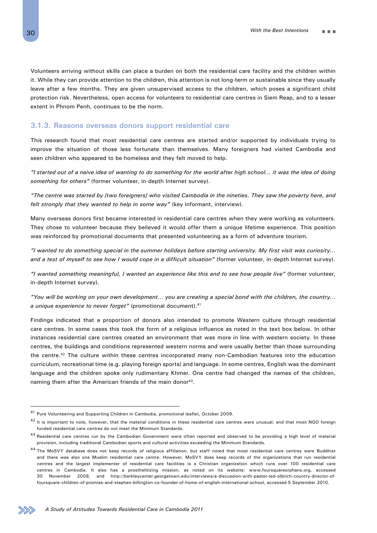Volunteers arriving without skills can place a burden on both the residential care facility and the children within it. While they can provide attention to the children, this attention is not long-term or sustainable since they usually leave after a few months. They are given unsupervised access to the children, which poses a significant child protection risk. Nevertheless, open access for volunteers to residential care centres in Siem Reap, and to a lesser extent in Phnom Penh, continues to be the norm.

### **3.1.3. Reasons overseas donors support residential care**

This research found that most residential care centres are started and/or supported by individuals trying to improve the situation of those less fortunate than themselves. Many foreigners had visited Cambodia and seen children who appeared to be homeless and they felt moved to help.

*"I started out of a naive idea of wanting to do something for the world after high school… it was the idea of doing something for others"* (former volunteer, in-depth Internet survey).

*"The centre was started by [two foreigners] who visited Cambodia in the nineties. They saw the poverty here, and felt strongly that they wanted to help in some way"* (key informant, interview).

Many overseas donors first became interested in residential care centres when they were working as volunteers. They chose to volunteer because they believed it would offer them a unique lifetime experience. This position was reinforced by promotional documents that presented volunteering as a form of adventure tourism.

*"I wanted to do something special in the summer holidays before starting university. My first visit was curiosity… and a test of myself to see how I would cope in a difficult situation"* (former volunteer, in-depth Internet survey).

*"I wanted something meaningful, I wanted an experience like this and to see how people live"* (former volunteer, in-depth Internet survey).

*"You will be working on your own development… you are creating a special bond with the children, the country… a unique experience to never forget"* (promotional document).41

Findings indicated that a proportion of donors also intended to promote Western culture through residential care centres. In some cases this took the form of a religious influence as noted in the text box below. In other instances residential care centres created an environment that was more in line with western society. In these centres, the buildings and conditions represented western norms and were usually better than those surrounding the centre.42 The culture within these centres incorporated many non-Cambodian features into the education curriculum, recreational time (e.g. playing foreign sports) and language. In some centres, English was the dominant language and the children spoke only rudimentary Khmer. One centre had changed the names of the children, naming them after the American friends of the main donor<sup>43</sup>.



<sup>41</sup> Pure Volunteering and Supporting Children in Cambodia, promotional leaflet, October 2009.

 $42$  It is important to note, however, that the material conditions in these residential care centres were unusual, and that most NGO foreign funded residential care centres do not meet the Minimum Standards.

 $43$  Residential care centres run by the Cambodian Government were often reported and observed to be providing a high level of material provision, including traditional Cambodian sports and cultural activities exceeding the Minimum Standards.

<sup>44</sup> The MoSVY database does not keep records of religious affiliation, but staff noted that most residential care centres were Buddhist and there was also one Muslim residential care centre. However, MoSVY does keep records of the organizations that run residential centres and the largest implementer of residential care facilities is a Christian organization which runs over 100 residential care centres in Cambodia. It also has a prosthelitizing mission, as noted on its website: www.foursquareorphans.org, accessed 30 November 2009, and http://berkleycenter.georgetown.edu/interviews/a-discussion-with-pastor-ted-olbrich-country-director-offoursquare-children-of-promise-and-stephen-billington-co-founder-of-home-of-english-international-school, accessed 5 September 2010.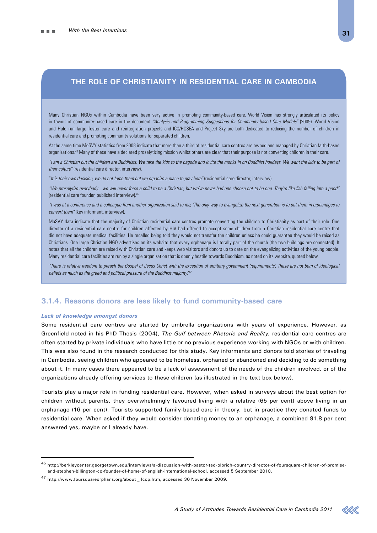## **The role of Christianity in residential care in Cambodia**

Many Christian NGOs within Cambodia have been very active in promoting community-based care. World Vision has strongly articulated its policy in favour of community-based care in the document *"Analysis and Programming Suggestions for Community-based Care Models"* (2009). World Vision and Halo run large foster care and reintegration projects and ICC/HOSEA and Project Sky are both dedicated to reducing the number of children in residential care and promoting community solutions for separated children.

At the same time MoSVY statistics from 2008 indicate that more than a third of residential care centres are owned and managed by Christian faith-based organizations.44 Many of these have a declared proselytizing mission whilst others are clear that their purpose is not converting children in their care.

*"I am a Christian but the children are Buddhists. We take the kids to the pagoda and invite the monks in on Buddhist holidays. We want the kids to be part of their culture"* (residential care director, interview).

"*It is their own decision, we do not force them but we organize a place to pray here"* (residential care director, interview).

*"We proselytize everybody…we will never force a child to be a Christian, but we've never had one choose not to be one. They're like fish falling into a pond"* (residential care founder, published interview).45

*"I was at a conference and a colleague from another organization said to me, 'The only way to evangelize the next generation is to put them in orphanages to convert them"* (key informant, interview).

MoSVY data indicate that the majority of Christian residential care centres promote converting the children to Christianity as part of their role. One director of a residential care centre for children affected by HIV had offered to accept some children from a Christian residential care centre that did not have adequate medical facilities. He recalled being told they would not transfer the children unless he could guarantee they would be raised as Christians. One large Christian NGO advertises on its website that every orphanage is literally part of the church (the two buildings are connected). It notes that all the children are raised with Christian care and keeps web visitors and donors up to date on the evangelizing activities of the young people. Many residential care facilities are run by a single organization that is openly hostile towards Buddhism, as noted on its website, quoted below.

*"There is relative freedom to preach the Gospel of Jesus Christ with the exception of arbitrary government 'requirements'. These are not born of ideological*  beliefs as much as the greed and political pressure of the Buddhist majority.<sup>"47</sup>

## **3.1.4. Reasons donors are less likely to fund community-based care**

#### *Lack of knowledge amongst donors*

Some residential care centres are started by umbrella organizations with years of experience. However, as Greenfield noted in his PhD Thesis (2004), *The Gulf between Rhetoric and Reality*, residential care centres are often started by private individuals who have little or no previous experience working with NGOs or with children. This was also found in the research conducted for this study. Key informants and donors told stories of traveling in Cambodia, seeing children who appeared to be homeless, orphaned or abandoned and deciding to do something about it. In many cases there appeared to be a lack of assessment of the needs of the children involved, or of the organizations already offering services to these children (as illustrated in the text box below).

Tourists play a major role in funding residential care. However, when asked in surveys about the best option for children without parents, they overwhelmingly favoured living with a relative (65 per cent) above living in an orphanage (16 per cent). Tourists supported family-based care in theory, but in practice they donated funds to residential care. When asked if they would consider donating money to an orphanage, a combined 91.8 per cent answered yes, maybe or I already have.



 $^{45}$ http://berkleycenter.georgetown.edu/interviews/a-discussion-with-pastor-ted-olbrich-country-director-of-foursquare-children-of-promiseand-stephen-billington-co-founder-of-home-of-english-international-school, accessed 5 September 2010.

<sup>47</sup> http://www.foursquareorphans.org/about \_ fcop.htm, accessed 30 November 2009.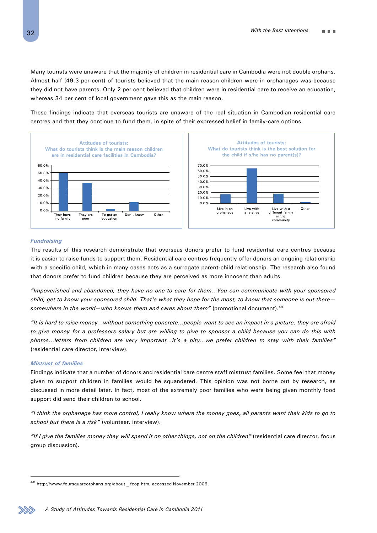Many tourists were unaware that the majority of children in residential care in Cambodia were not double orphans. Almost half (49.3 per cent) of tourists believed that the main reason children were in orphanages was because they did not have parents. Only 2 per cent believed that children were in residential care to receive an education, whereas 34 per cent of local government gave this as the main reason.

These findings indicate that overseas tourists are unaware of the real situation in Cambodian residential care centres and that they continue to fund them, in spite of their expressed belief in family-care options.



#### *Fundraising*

The results of this research demonstrate that overseas donors prefer to fund residential care centres because it is easier to raise funds to support them. Residential care centres frequently offer donors an ongoing relationship with a specific child, which in many cases acts as a surrogate parent-child relationship. The research also found that donors prefer to fund children because they are perceived as more innocent than adults.

*"Impoverished and abandoned, they have no one to care for them…You can communicate with your sponsored child, get to know your sponsored child. That's what they hope for the most, to know that someone is out there somewhere in the world—who knows them and cares about them"* (promotional document).48

*"It is hard to raise money…without something concrete…people want to see an impact in a picture, they are afraid to give money for a professors salary but are willing to give to sponsor a child because you can do this with photos…letters from children are very important…it's a pity…we prefer children to stay with their families"*  (residential care director, interview).

#### *Mistrust of families*

Findings indicate that a number of donors and residential care centre staff mistrust families. Some feel that money given to support children in families would be squandered. This opinion was not borne out by research, as discussed in more detail later. In fact, most of the extremely poor families who were being given monthly food support did send their children to school.

*"I think the orphanage has more control, I really know where the money goes, all parents want their kids to go to school but there is a risk"* (volunteer, interview).

*"If I give the families money they will spend it on other things, not on the children"* (residential care director, focus group discussion).



<sup>48</sup> http://www.foursquareorphans.org/about \_ fcop.htm, accessed November 2009.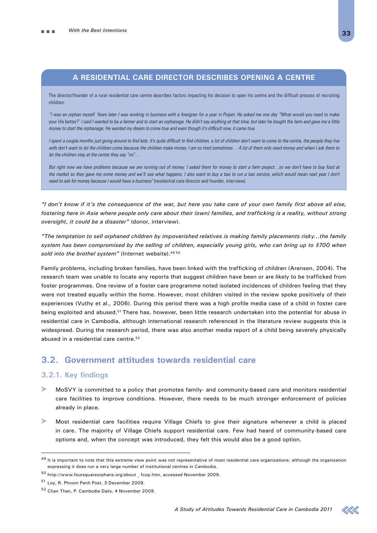## **A residential care director describes opening a centre**

The director/founder of a rural residential care centre describes factors impacting his decision to open his centre and the difficult process of recruiting children:

*"I was an orphan myself. Years later I was working in business with a foreigner for a year in Poipet. He asked me one day "*What would you need to make your life better?' I said I wanted to be a farmer and to start an orphanage. He didn't say anything at that time, but later he bought the farm and gave me a little *money to start the orphanage. He wanted my dream to come true and even though it's difficult now, it came true.* 

*I spent a couple months just going around to find kids. It's quite difficult to find children, a lot of children don't want to come to the centre, the people they live with don't want to let the children come because the children make money. I am so tired sometimes… A lot of them only need money and when I ask them to let the children stay at the centre they say "no"…*

*But right now we have problems because we are running out of money. I asked them for money to start a farm project…so we don't have to buy food at*  the market so they gave me some money and we'll see what happens. I also want to buy a taxi to run a taxi service, which would mean next year I don't *need to ask for money because I would have a business"* (residential care director and founder, interview).

*"I don't know if it's the consequence of the war, but here you take care of your own family first above all else, fostering here in Asia where people only care about their (own) families, and trafficking is a reality, without strong oversight, it could be a disaster"* (donor, interview).

*"The temptation to sell orphaned children by impoverished relatives is making family placements risky…the family system has been compromised by the selling of children, especially young girls, who can bring up to \$700 when*  sold into the brothel system" (Internet website).<sup>49 50</sup>

Family problems, including broken families, have been linked with the trafficking of children (Arensen, 2004). The research team was unable to locate any reports that suggest children have been or are likely to be trafficked from foster programmes. One review of a foster care programme noted isolated incidences of children feeling that they were not treated equally within the home. However, most children visited in the review spoke positively of their experiences (Vuthy et al., 2006). During this period there was a high profile media case of a child in foster care being exploited and abused.<sup>51</sup> There has, however, been little research undertaken into the potential for abuse in residential care in Cambodia, although international research referenced in the literature review suggests this is widespread. During the research period, there was also another media report of a child being severely physically abused in a residential care centre.<sup>52</sup>

## **3.2. Government attitudes towards residential care**

### **3.2.1. Key findings**

- MoSVY is committed to a policy that promotes family- and community-based care and monitors residential care facilities to improve conditions. However, there needs to be much stronger enforcement of policies already in place.
- Most residential care facilities require Village Chiefs to give their signature whenever a child is placed in care. The majority of Village Chiefs support residential care. Few had heard of community-based care options and, when the concept was introduced, they felt this would also be a good option.

<sup>&</sup>lt;sup>49</sup> It is important to note that this extreme view point was not representative of most residential care organizations, although the organization expressing it does run a very large number of institutional centres in Cambodia.

 $^{50}$ http://www.foursquareorphans.org/about  $\_$  fcop.htm, accessed November 2009.

<sup>51</sup> Loy, R. Phnom Penh Post, 3 December 2009.

<sup>52</sup> Chan Than, P. Cambodia Daily, 4 November 2009.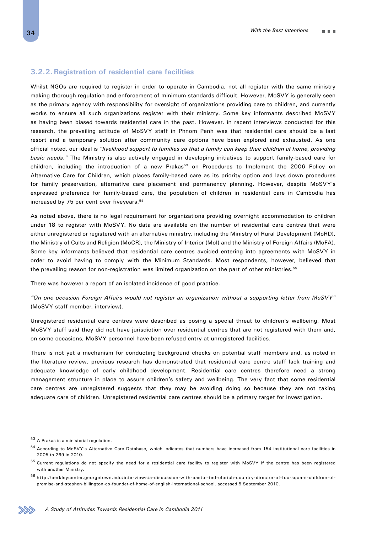## **3.2.2. Registration of residential care facilities**

Whilst NGOs are required to register in order to operate in Cambodia, not all register with the same ministry making thorough regulation and enforcement of minimum standards difficult. However, MoSVY is generally seen as the primary agency with responsibility for oversight of organizations providing care to children, and currently works to ensure all such organizations register with their ministry. Some key informants described MoSVY as having been biased towards residential care in the past. However, in recent interviews conducted for this research, the prevailing attitude of MoSVY staff in Phnom Penh was that residential care should be a last resort and a temporary solution after community care options have been explored and exhausted. As one official noted, our ideal is *"livelihood support to families so that a family can keep their children at home, providing basic needs."* The Ministry is also actively engaged in developing initiatives to support family-based care for children, including the introduction of a new Prakas<sup>53</sup> on Procedures to Implement the 2006 Policy on Alternative Care for Children, which places family-based care as its priority option and lays down procedures for family preservation, alternative care placement and permanency planning. However, despite MoSVY's expressed preference for family-based care, the population of children in residential care in Cambodia has increased by 75 per cent over fiveyears.<sup>54</sup>

As noted above, there is no legal requirement for organizations providing overnight accommodation to children under 18 to register with MoSVY. No data are available on the number of residential care centres that were either unregistered or registered with an alternative ministry, including the Ministry of Rural Development (MoRD), the Ministry of Cults and Religion (MoCR), the Ministry of Interior (MoI) and the Ministry of Foreign Affairs (MoFA). Some key informants believed that residential care centres avoided entering into agreements with MoSVY in order to avoid having to comply with the Minimum Standards. Most respondents, however, believed that the prevailing reason for non-registration was limited organization on the part of other ministries.<sup>55</sup>

There was however a report of an isolated incidence of good practice.

*"On one occasion Foreign Affairs would not register an organization without a supporting letter from MoSVY"*  (MoSVY staff member, interview).

Unregistered residential care centres were described as posing a special threat to children's wellbeing. Most MoSVY staff said they did not have jurisdiction over residential centres that are not registered with them and, on some occasions, MoSVY personnel have been refused entry at unregistered facilities.

There is not yet a mechanism for conducting background checks on potential staff members and, as noted in the literature review, previous research has demonstrated that residential care centre staff lack training and adequate knowledge of early childhood development. Residential care centres therefore need a strong management structure in place to assure children's safety and wellbeing. The very fact that some residential care centres are unregistered suggests that they may be avoiding doing so because they are not taking adequate care of children. Unregistered residential care centres should be a primary target for investigation.

<sup>53</sup> A Prakas is a ministerial regulation.

<sup>54</sup> According to MoSVY's Alternative Care Database, which indicates that numbers have increased from 154 institutional care facilities in 2005 to 269 in 2010.

<sup>&</sup>lt;sup>55</sup> Current regulations do not specify the need for a residential care facility to register with MoSVY if the centre has been registered with another Ministry.

<sup>56</sup> http://berkleycenter.georgetown.edu/interviews/a-discussion-with-pastor-ted-olbrich-country-director-of-foursquare-children-ofpromise-and-stephen-billington-co-founder-of-home-of-english-international-school, accessed 5 September 2010.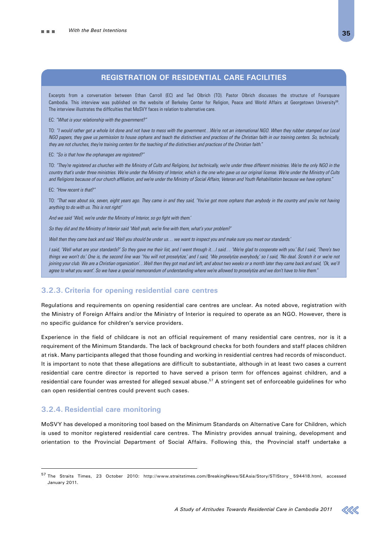## **Registration of residential care facilities**

Excerpts from a conversation between Ethan Carroll (EC) and Ted Olbrich (TO). Pastor Olbrich discusses the structure of Foursquare Cambodia. This interview was published on the website of Berkeley Center for Religion, Peace and World Affairs at Georgetown University<sup>56</sup>. The interview illustrates the difficulties that MoSVY faces in relation to alternative care.

EC: *"What is your relationship with the government?"*

TO: *"I would rather get a whole lot done and not have to mess with the government…We're not an international NGO. When they rubber stamped our Local NGO papers, they gave us permission to house orphans and teach the distinctives and practices of the Christian faith in our training centers. So, technically, they are not churches, they're training centers for the teaching of the distinctives and practices of the Christian faith."*

#### EC: *"So is that how the orphanages are registered?"*

TO: *"They're registered as churches with the Ministry of Cults and Religions, but technically, we're under three different ministries. We're the only NGO in the country that's under three ministries. We're under the Ministry of Interior, which is the one who gave us our original license. We're under the Ministry of Cults and Religions because of our church affiliation, and we're under the Ministry of Social Affairs, Veteran and Youth Rehabilitation because we have orphans."*

EC: *"How recent is that?"*

TO: *"That was about six, seven, eight years ago. They came in and they said, 'You've got more orphans than anybody in the country and you're not having anything to do with us. This is not right!'*

*And we said 'Well, we're under the Ministry of Interior, so go fight with them.'*

*So they did and the Ministry of Interior said 'Well yeah, we're fine with them, what's your problem?'*

*Well then they came back and said 'Well you should be under us… we want to inspect you and make sure you meet our standards.'*

*I said, 'Well what are your standards?' So they gave me their list, and I went through it…I said… 'We're glad to cooperate with you.' But I said, 'There's two things we won't do.' One is, the second line was 'You will not proselytize,' and I said, 'We proselytize everybody,' so I said, 'No deal. Scratch it or we're not joining your club. We are a Christian organization'…Well then they got mad and left, and about two weeks or a month later they came back and said, 'Ok, we'll agree to what you want'. So we have a special memorandum of understanding where we're allowed to proselytize and we don't have to hire them."*

### **3.2.3. Criteria for opening residential care centres**

Regulations and requirements on opening residential care centres are unclear. As noted above, registration with the Ministry of Foreign Affairs and/or the Ministry of Interior is required to operate as an NGO. However, there is no specific guidance for children's service providers.

Experience in the field of childcare is not an official requirement of many residential care centres, nor is it a requirement of the Minimum Standards. The lack of background checks for both founders and staff places children at risk. Many participants alleged that those founding and working in residential centres had records of misconduct. It is important to note that these allegations are difficult to substantiate, although in at least two cases a current residential care centre director is reported to have served a prison term for offences against children, and a residential care founder was arrested for alleged sexual abuse.<sup>57</sup> A stringent set of enforceable guidelines for who can open residential centres could prevent such cases.

## **3.2.4. Residential care monitoring**

MoSVY has developed a monitoring tool based on the Minimum Standards on Alternative Care for Children, which is used to monitor registered residential care centres. The Ministry provides annual training, development and orientation to the Provincial Department of Social Affairs. Following this, the Provincial staff undertake a



<sup>57</sup> The Straits Times, 23 October 2010: http://www.straitstimes.com/BreakingNews/SEAsia/Story/STIStory \_ 594418.html, accessed January 2011.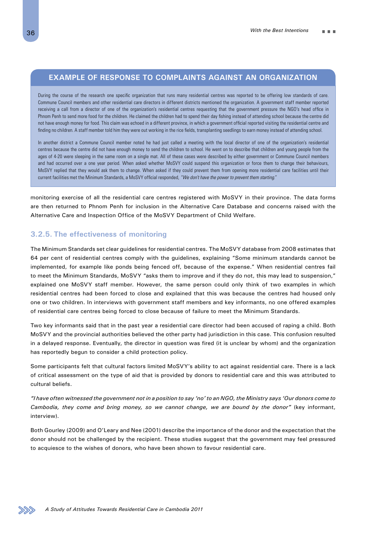## **Example of response to complaints against an organization**

During the course of the research one specific organization that runs many residential centres was reported to be offering low standards of care. Commune Council members and other residential care directors in different districts mentioned the organization. A government staff member reported receiving a call from a director of one of the organization's residential centres requesting that the government pressure the NGO's head office in Phnom Penh to send more food for the children. He claimed the children had to spend their day fishing instead of attending school because the centre did not have enough money for food. This claim was echoed in a different province, in which a government official reported visiting the residential centre and finding no children. A staff member told him they were out working in the rice fields, transplanting seedlings to earn money instead of attending school.

In another district a Commune Council member noted he had just called a meeting with the local director of one of the organization's residential centres because the centre did not have enough money to send the children to school. He went on to describe that children and young people from the ages of 4-20 were sleeping in the same room on a single mat. All of these cases were described by either government or Commune Council members and had occurred over a one year period. When asked whether MoSVY could suspend this organization or force them to change their behaviours, MoSVY replied that they would ask them to change. When asked if they could prevent them from opening more residential care facilities until their current facilities met the Minimum Standards, a MoSVY official responded, *"We don't have the power to prevent them starting."*

monitoring exercise of all the residential care centres registered with MoSVY in their province. The data forms are then returned to Phnom Penh for inclusion in the Alternative Care Database and concerns raised with the Alternative Care and Inspection Office of the MoSVY Department of Child Welfare.

## **3.2.5. The effectiveness of monitoring**

The Minimum Standards set clear guidelines for residential centres. The MoSVY database from 2008 estimates that 64 per cent of residential centres comply with the guidelines, explaining "Some minimum standards cannot be implemented, for example like ponds being fenced off, because of the expense." When residential centres fail to meet the Minimum Standards, MoSVY "asks them to improve and if they do not, this may lead to suspension," explained one MoSVY staff member. However, the same person could only think of two examples in which residential centres had been forced to close and explained that this was because the centres had housed only one or two children. In interviews with government staff members and key informants, no one offered examples of residential care centres being forced to close because of failure to meet the Minimum Standards.

Two key informants said that in the past year a residential care director had been accused of raping a child. Both MoSVY and the provincial authorities believed the other party had jurisdiction in this case. This confusion resulted in a delayed response. Eventually, the director in question was fired (it is unclear by whom) and the organization has reportedly begun to consider a child protection policy.

Some participants felt that cultural factors limited MoSVY's ability to act against residential care. There is a lack of critical assessment on the type of aid that is provided by donors to residential care and this was attributed to cultural beliefs.

*"I have often witnessed the government not in a position to say 'no' to an NGO, the Ministry says 'Our donors come to Cambodia, they come and bring money, so we cannot change, we are bound by the donor"* (key informant, interview).

Both Gourley (2009) and O'Leary and Nee (2001) describe the importance of the donor and the expectation that the donor should not be challenged by the recipient. These studies suggest that the government may feel pressured to acquiesce to the wishes of donors, who have been shown to favour residential care.

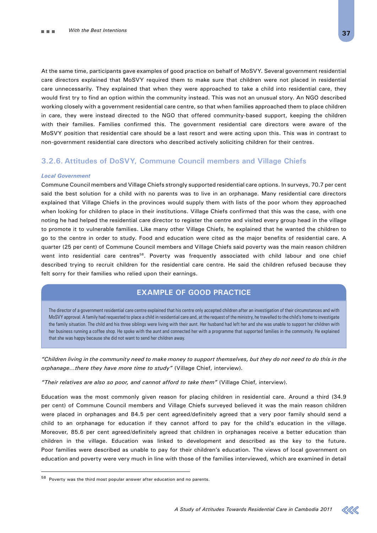At the same time, participants gave examples of good practice on behalf of MoSVY. Several government residential care directors explained that MoSVY required them to make sure that children were not placed in residential care unnecessarily. They explained that when they were approached to take a child into residential care, they would first try to find an option within the community instead. This was not an unusual story. An NGO described working closely with a government residential care centre, so that when families approached them to place children in care, they were instead directed to the NGO that offered community-based support, keeping the children with their families. Families confirmed this. The government residential care directors were aware of the MoSVY position that residential care should be a last resort and were acting upon this. This was in contrast to non-government residential care directors who described actively soliciting children for their centres.

# **3.2.6. Attitudes of DoSVY, Commune Council members and Village Chiefs**

#### *Local Government*

Commune Council members and Village Chiefs strongly supported residential care options. In surveys, 70.7 per cent said the best solution for a child with no parents was to live in an orphanage. Many residential care directors explained that Village Chiefs in the provinces would supply them with lists of the poor whom they approached when looking for children to place in their institutions. Village Chiefs confirmed that this was the case, with one noting he had helped the residential care director to register the centre and visited every group head in the village to promote it to vulnerable families. Like many other Village Chiefs, he explained that he wanted the children to go to the centre in order to study. Food and education were cited as the major benefits of residential care. A quarter (25 per cent) of Commune Council members and Village Chiefs said poverty was the main reason children went into residential care centres<sup>58</sup>. Poverty was frequently associated with child labour and one chief described trying to recruit children for the residential care centre. He said the children refused because they felt sorry for their families who relied upon their earnings.

# **Example of good practice**

The director of a government residential care centre explained that his centre only accepted children after an investigation of their circumstances and with MoSVY approval. A family had requested to place a child in residential care and, at the request of the ministry, he travelled to the child's home to investigate the family situation. The child and his three siblings were living with their aunt. Her husband had left her and she was unable to support her children with her business running a coffee shop. He spoke with the aunt and connected her with a programme that supported families in the community. He explained that she was happy because she did not want to send her children away.

*"Children living in the community need to make money to support themselves, but they do not need to do this in the orphanage…there they have more time to study"* (Village Chief, interview).

*"Their relatives are also so poor, and cannot afford to take them"* (Village Chief, interview).

Education was the most commonly given reason for placing children in residential care. Around a third (34.9 per cent) of Commune Council members and Village Chiefs surveyed believed it was the main reason children were placed in orphanages and 84.5 per cent agreed/definitely agreed that a very poor family should send a child to an orphanage for education if they cannot afford to pay for the child's education in the village. Moreover, 85.6 per cent agreed/definitely agreed that children in orphanages receive a better education than children in the village. Education was linked to development and described as the key to the future. Poor families were described as unable to pay for their children's education. The views of local government on education and poverty were very much in line with those of the families interviewed, which are examined in detail



 $58\,$  Poverty was the third most popular answer after education and no parents.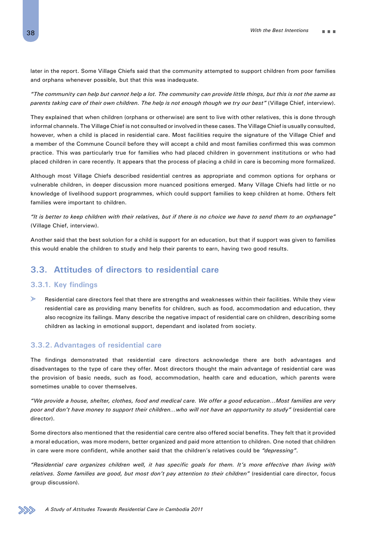later in the report. Some Village Chiefs said that the community attempted to support children from poor families and orphans whenever possible, but that this was inadequate.

*"The community can help but cannot help a lot. The community can provide little things, but this is not the same as parents taking care of their own children. The help is not enough though we try our best"* (Village Chief, interview).

They explained that when children (orphans or otherwise) are sent to live with other relatives, this is done through informal channels. The Village Chief is not consulted or involved in these cases. The Village Chief is usually consulted, however, when a child is placed in residential care. Most facilities require the signature of the Village Chief and a member of the Commune Council before they will accept a child and most families confirmed this was common practice. This was particularly true for families who had placed children in government institutions or who had placed children in care recently. It appears that the process of placing a child in care is becoming more formalized.

Although most Village Chiefs described residential centres as appropriate and common options for orphans or vulnerable children, in deeper discussion more nuanced positions emerged. Many Village Chiefs had little or no knowledge of livelihood support programmes, which could support families to keep children at home. Others felt families were important to children.

*"It is better to keep children with their relatives, but if there is no choice we have to send them to an orphanage"* (Village Chief, interview).

Another said that the best solution for a child is support for an education, but that if support was given to families this would enable the children to study and help their parents to earn, having two good results.

# **3.3. Attitudes of directors to residential care**

### **3.3.1. Key findings**

↘ Residential care directors feel that there are strengths and weaknesses within their facilities. While they view residential care as providing many benefits for children, such as food, accommodation and education, they also recognize its failings. Many describe the negative impact of residential care on children, describing some children as lacking in emotional support, dependant and isolated from society.

### **3.3.2. Advantages of residential care**

The findings demonstrated that residential care directors acknowledge there are both advantages and disadvantages to the type of care they offer. Most directors thought the main advantage of residential care was the provision of basic needs, such as food, accommodation, health care and education, which parents were sometimes unable to cover themselves.

*"We provide a house, shelter, clothes, food and medical care. We offer a good education…Most families are very poor and don't have money to support their children…who will not have an opportunity to study"* (residential care director).

Some directors also mentioned that the residential care centre also offered social benefits. They felt that it provided a moral education, was more modern, better organized and paid more attention to children. One noted that children in care were more confident, while another said that the children's relatives could be *"depressing"*.

*"Residential care organizes children well, it has specific goals for them. It's more effective than living with relatives. Some families are good, but most don't pay attention to their children"* (residential care director, focus group discussion).

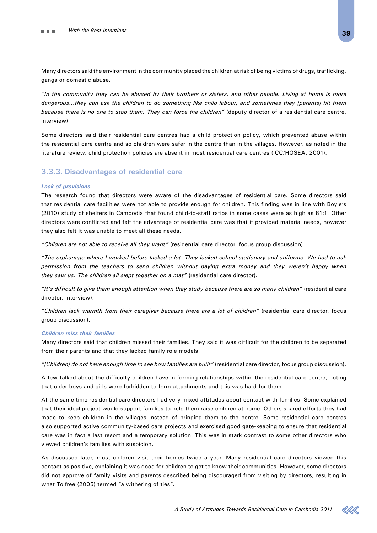Many directors said the environment in the community placed the children at risk of being victims of drugs, trafficking, gangs or domestic abuse.

*"In the community they can be abused by their brothers or sisters, and other people. Living at home is more dangerous…they can ask the children to do something like child labour, and sometimes they [parents] hit them because there is no one to stop them. They can force the children"* (deputy director of a residential care centre, interview).

Some directors said their residential care centres had a child protection policy, which prevented abuse within the residential care centre and so children were safer in the centre than in the villages. However, as noted in the literature review, child protection policies are absent in most residential care centres (ICC/HOSEA, 2001).

# **3.3.3. Disadvantages of residential care**

#### *Lack of provisions*

The research found that directors were aware of the disadvantages of residential care. Some directors said that residential care facilities were not able to provide enough for children. This finding was in line with Boyle's (2010) study of shelters in Cambodia that found child-to-staff ratios in some cases were as high as 81:1. Other directors were conflicted and felt the advantage of residential care was that it provided material needs, however they also felt it was unable to meet all these needs.

*"Children are not able to receive all they want"* (residential care director, focus group discussion).

*"The orphanage where I worked before lacked a lot. They lacked school stationary and uniforms. We had to ask permission from the teachers to send children without paying extra money and they weren't happy when they saw us. The children all slept together on a mat"* (residential care director).

*"It's difficult to give them enough attention when they study because there are so many children"* (residential care director, interview).

*"Children lack warmth from their caregiver because there are a lot of children"* (residential care director, focus group discussion).

#### *Children miss their families*

Many directors said that children missed their families. They said it was difficult for the children to be separated from their parents and that they lacked family role models.

*"[Children] do not have enough time to see how families are built"* (residential care director, focus group discussion).

A few talked about the difficulty children have in forming relationships within the residential care centre, noting that older boys and girls were forbidden to form attachments and this was hard for them.

At the same time residential care directors had very mixed attitudes about contact with families. Some explained that their ideal project would support families to help them raise children at home. Others shared efforts they had made to keep children in the villages instead of bringing them to the centre. Some residential care centres also supported active community-based care projects and exercised good gate-keeping to ensure that residential care was in fact a last resort and a temporary solution. This was in stark contrast to some other directors who viewed children's families with suspicion.

As discussed later, most children visit their homes twice a year. Many residential care directors viewed this contact as positive, explaining it was good for children to get to know their communities. However, some directors did not approve of family visits and parents described being discouraged from visiting by directors, resulting in what Tolfree (2005) termed "a withering of ties".

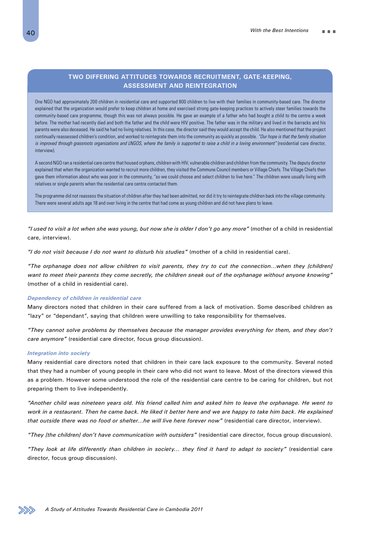# **Two differing attitudes towards recruitment, gate-keeping, assessment and reintegration**

One NGO had approximately 200 children in residential care and supported 800 children to live with their families in community-based care. The director explained that the organization would prefer to keep children at home and exercised strong gate-keeping practices to actively steer families towards the community-based care programme, though this was not always possible. He gave an example of a father who had bought a child to the centre a week before. The mother had recently died and both the father and the child were HIV positive. The father was in the military and lived in the barracks and his parents were also deceased. He said he had no living relatives. In this case, the director said they would accept the child. He also mentioned that the project continually reassessed children's condition, and worked to reintegrate them into the community as quickly as possible. *"Our hope is that the family situation is improved through grassroots organizations and LNGOS, where the family is supported to raise a child in a loving environment"* (residential care director, interview).

A second NGO ran a residential care centre that housed orphans, children with HIV, vulnerable children and children from the community. The deputy director explained that when the organization wanted to recruit more children, they visited the Commune Council members or Village Chiefs. The Village Chiefs then gave them information about who was poor in the community, "so we could choose and select children to live here." The children were usually living with relatives or single parents when the residential care centre contacted them.

The programme did not reassess the situation of children after they had been admitted, nor did it try to reintegrate children back into the village community. There were several adults age 18 and over living in the centre that had come as young children and did not have plans to leave.

*"I used to visit a lot when she was young, but now she is older I don't go any more"* (mother of a child in residential care, interview).

*"I do not visit because I do not want to disturb his studies"* (mother of a child in residential care).

*"The orphanage does not allow children to visit parents, they try to cut the connection…when they [children] want to meet their parents they come secretly, the children sneak out of the orphanage without anyone knowing"* (mother of a child in residential care).

#### *Dependency of children in residential care*

Many directors noted that children in their care suffered from a lack of motivation. Some described children as "lazy" or "dependant", saying that children were unwilling to take responsibility for themselves.

*"They cannot solve problems by themselves because the manager provides everything for them, and they don't care anymore"* (residential care director, focus group discussion).

#### *Integration into society*

Many residential care directors noted that children in their care lack exposure to the community. Several noted that they had a number of young people in their care who did not want to leave. Most of the directors viewed this as a problem. However some understood the role of the residential care centre to be caring for children, but not preparing them to live independently.

*"Another child was nineteen years old. His friend called him and asked him to leave the orphanage. He went to work in a restaurant. Then he came back. He liked it better here and we are happy to take him back. He explained that outside there was no food or shelter…he will live here forever now"* (residential care director, interview).

*"They [the children] don't have communication with outsiders"* (residential care director, focus group discussion).

*"They look at life differently than children in society… they find it hard to adapt to society"* (residential care director, focus group discussion).

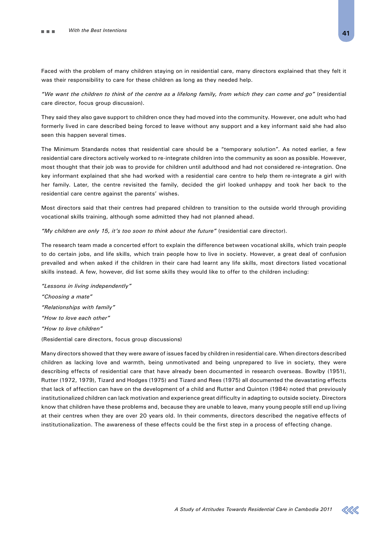Faced with the problem of many children staying on in residential care, many directors explained that they felt it was their responsibility to care for these children as long as they needed help.

*"We want the children to think of the centre as a lifelong family, from which they can come and go"* (residential care director, focus group discussion).

They said they also gave support to children once they had moved into the community. However, one adult who had formerly lived in care described being forced to leave without any support and a key informant said she had also seen this happen several times.

The Minimum Standards notes that residential care should be a "temporary solution". As noted earlier, a few residential care directors actively worked to re-integrate children into the community as soon as possible. However, most thought that their job was to provide for children until adulthood and had not considered re-integration. One key informant explained that she had worked with a residential care centre to help them re-integrate a girl with her family. Later, the centre revisited the family, decided the girl looked unhappy and took her back to the residential care centre against the parents' wishes.

Most directors said that their centres had prepared children to transition to the outside world through providing vocational skills training, although some admitted they had not planned ahead.

*"My children are only 15, it's too soon to think about the future"* (residential care director).

The research team made a concerted effort to explain the difference between vocational skills, which train people to do certain jobs, and life skills, which train people how to live in society. However, a great deal of confusion prevailed and when asked if the children in their care had learnt any life skills, most directors listed vocational skills instead. A few, however, did list some skills they would like to offer to the children including:

*"Lessons in living independently" "Choosing a mate" "Relationships with family" "How to love each other" "How to love children"* (Residential care directors, focus group discussions)

Many directors showed that they were aware of issues faced by children in residential care. When directors described children as lacking love and warmth, being unmotivated and being unprepared to live in society, they were describing effects of residential care that have already been documented in research overseas. Bowlby (1951), Rutter (1972, 1979), Tizard and Hodges (1975) and Tizard and Rees (1975) all documented the devastating effects that lack of affection can have on the development of a child and Rutter and Quinton (1984) noted that previously institutionalized children can lack motivation and experience great difficulty in adapting to outside society. Directors know that children have these problems and, because they are unable to leave, many young people still end up living at their centres when they are over 20 years old. In their comments, directors described the negative effects of institutionalization. The awareness of these effects could be the first step in a process of effecting change.

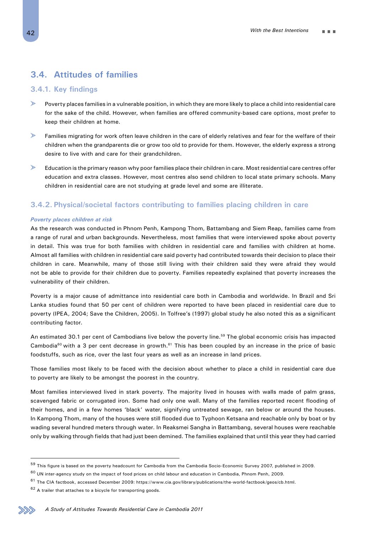# **3.4. Attitudes of families**

# **3.4.1. Key findings**

- $\mathbf{L}$ Poverty places families in a vulnerable position, in which they are more likely to place a child into residential care for the sake of the child. However, when families are offered community-based care options, most prefer to keep their children at home.
- $\geq$ Families migrating for work often leave children in the care of elderly relatives and fear for the welfare of their children when the grandparents die or grow too old to provide for them. However, the elderly express a strong desire to live with and care for their grandchildren.
- $\mathbb{R}$ Education is the primary reason why poor families place their children in care. Most residential care centres offer education and extra classes. However, most centres also send children to local state primary schools. Many children in residential care are not studying at grade level and some are illiterate.

# **3.4.2. Physical/societal factors contributing to families placing children in care**

#### *Poverty places children at risk*

As the research was conducted in Phnom Penh, Kampong Thom, Battambang and Siem Reap, families came from a range of rural and urban backgrounds. Nevertheless, most families that were interviewed spoke about poverty in detail. This was true for both families with children in residential care and families with children at home. Almost all families with children in residential care said poverty had contributed towards their decision to place their children in care. Meanwhile, many of those still living with their children said they were afraid they would not be able to provide for their children due to poverty. Families repeatedly explained that poverty increases the vulnerability of their children.

Poverty is a major cause of admittance into residential care both in Cambodia and worldwide. In Brazil and Sri Lanka studies found that 50 per cent of children were reported to have been placed in residential care due to poverty (IPEA, 2004; Save the Children, 2005). In Tolfree's (1997) global study he also noted this as a significant contributing factor.

An estimated 30.1 per cent of Cambodians live below the poverty line.<sup>59</sup> The global economic crisis has impacted Cambodia<sup>60</sup> with a 3 per cent decrease in growth.<sup>61</sup> This has been coupled by an increase in the price of basic foodstuffs, such as rice, over the last four years as well as an increase in land prices.

Those families most likely to be faced with the decision about whether to place a child in residential care due to poverty are likely to be amongst the poorest in the country.

Most families interviewed lived in stark poverty. The majority lived in houses with walls made of palm grass, scavenged fabric or corrugated iron. Some had only one wall. Many of the families reported recent flooding of their homes, and in a few homes 'black' water, signifying untreated sewage, ran below or around the houses. In Kampong Thom, many of the houses were still flooded due to Typhoon Ketsana and reachable only by boat or by wading several hundred meters through water. In Reaksmei Sangha in Battambang, several houses were reachable only by walking through fields that had just been demined. The families explained that until this year they had carried

<sup>&</sup>lt;sup>59</sup> This figure is based on the poverty headcount for Cambodia from the Cambodia Socio-Economic Survey 2007, published in 2009.

 $60$  UN inter-agency study on the impact of food prices on child labour and education in Cambodia, Phnom Penh, 2009.

 $61$  The CIA factbook, accessed December 2009: https://www.cia.gov/library/publications/the-world-factbook/geos/cb.html.

<sup>62</sup> A trailer that attaches to a bicycle for transporting goods.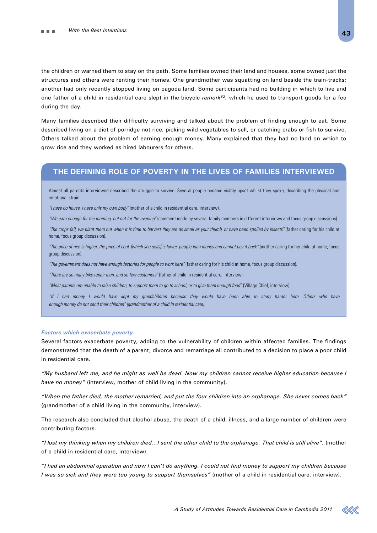the children or warned them to stay on the path. Some families owned their land and houses, some owned just the structures and others were renting their homes. One grandmother was squatting on land beside the train-tracks; another had only recently stopped living on pagoda land. Some participants had no building in which to live and one father of a child in residential care slept in the bicycle *remork62*, which he used to transport goods for a fee during the day.

Many families described their difficulty surviving and talked about the problem of finding enough to eat. Some described living on a diet of porridge not rice, picking wild vegetables to sell, or catching crabs or fish to survive. Others talked about the problem of earning enough money. Many explained that they had no land on which to grow rice and they worked as hired labourers for others.

# **The defining role of poverty in the lives of families interviewed**

Almost all parents interviewed described the struggle to survive. Several people became visibly upset whilst they spoke, describing the physical and emotional strain.

*"I have no house, I have only my own body"* (mother of a child in residential care, interview).

*"We earn enough for the morning, but not for the evening"* (comment made by several family members in different interviews and focus group discussions).

*"The crops fail, we plant them but when it is time to harvest they are as small as your thumb, or have been spoiled by insects"* (father caring for his child at home, focus group discussion).

*"The price of rice is higher, the price of coal, [which she sells] is lower, people loan money and cannot pay it back"* (mother caring for her child at home, focus group discussion).

"The government does not have enough factories for people to work here" (father caring for his child at home, focus group discussion).

*"There are so many bike repair men, and so few customers"* (father of child in residential care, interview).

*"Most parents are unable to raise children, to support them to go to school, or to give them enough food"* (Village Chief, interview).

*"If I had money I would have kept my grandchildren because they would have been able to study harder here. Others who have enough money do not send their children" (grandmother of a child in residential care).*

#### *Factors which exacerbate poverty*

Several factors exacerbate poverty, adding to the vulnerability of children within affected families. The findings demonstrated that the death of a parent, divorce and remarriage all contributed to a decision to place a poor child in residential care.

*"My husband left me, and he might as well be dead. Now my children cannot receive higher education because I have no money"* (interview, mother of child living in the community).

*"When the father died, the mother remarried, and put the four children into an orphanage. She never comes back"* (grandmother of a child living in the community, interview).

The research also concluded that alcohol abuse, the death of a child, illness, and a large number of children were contributing factors.

*"I lost my thinking when my children died…I sent the other child to the orphanage. That child is still alive".* (mother of a child in residential care, interview).

*"I had an abdominal operation and now I can't do anything. I could not find money to support my children because I was so sick and they were too young to support themselves"* (mother of a child in residential care, interview).

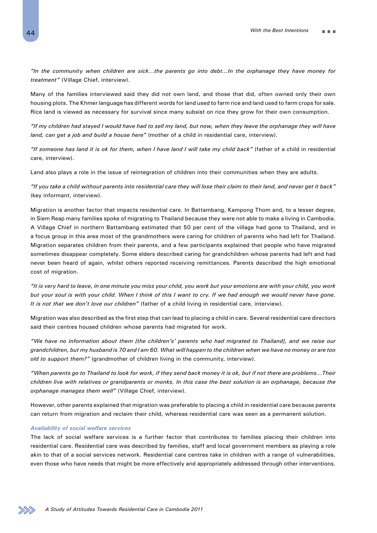*"In the community when children are sick…the parents go into debt...In the orphanage they have money for treatment"* (Village Chief, interview).

Many of the families interviewed said they did not own land, and those that did, often owned only their own housing plots. The Khmer language has different words for land used to farm rice and land used to farm crops for sale. Rice land is viewed as necessary for survival since many subsist on rice they grow for their own consumption.

*"If my children had stayed I would have had to sell my land, but now, when they leave the orphanage they will have land, can get a job and build a house here"* (mother of a child in residential care, interview).

*"If someone has land it is ok for them, when I have land I will take my child back"* (father of a child in residential care, interview).

Land also plays a role in the issue of reintegration of children into their communities when they are adults.

*"If you take a child without parents into residential care they will lose their claim to their land, and never get it back"* (key informant, interview).

Migration is another factor that impacts residential care. In Battambang, Kampong Thom and, to a lesser degree, in Siem Reap many families spoke of migrating to Thailand because they were not able to make a living in Cambodia. A Village Chief in northern Battambang estimated that 50 per cent of the village had gone to Thailand, and in a focus group in this area most of the grandmothers were caring for children of parents who had left for Thailand. Migration separates children from their parents, and a few participants explained that people who have migrated sometimes disappear completely. Some elders described caring for grandchildren whose parents had left and had never been heard of again, whilst others reported receiving remittances. Parents described the high emotional cost of migration.

*"It is very hard to leave, in one minute you miss your child, you work but your emotions are with your child, you work*  but your soul is with your child. When I think of this I want to cry. If we had enough we would never have gone. *It is not that we don't love our children"* (father of a child living in residential care, interview).

Migration was also described as the first step that can lead to placing a child in care. Several residential care directors said their centres housed children whose parents had migrated for work.

*"We have no information about them [the children's' parents who had migrated to Thailand], and we raise our grandchildren, but my husband is 70 and I am 60. What will happen to the children when we have no money or are too old to support them?"* (grandmother of children living in the community, interview).

*"When parents go to Thailand to look for work, if they send back money it is ok, but if not there are problems…Their children live with relatives or grandparents or monks. In this case the best solution is an orphanage, because the orphanage manages them well"* (Village Chief, interview).

However, other parents explained that migration was preferable to placing a child in residential care because parents can return from migration and reclaim their child, whereas residential care was seen as a permanent solution.

#### *Availability of social welfare services*

The lack of social welfare services is a further factor that contributes to families placing their children into residential care. Residential care was described by families, staff and local government members as playing a role akin to that of a social services network. Residential care centres take in children with a range of vulnerabilities, even those who have needs that might be more effectively and appropriately addressed through other interventions.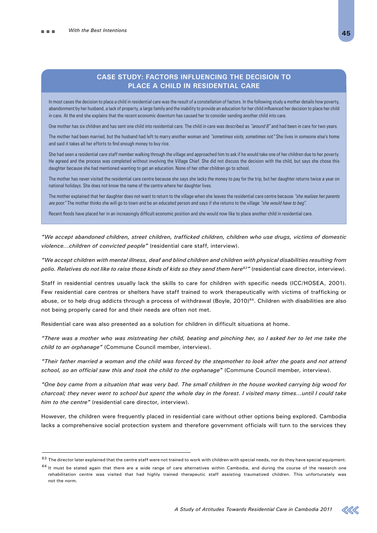# **Case study: Factors influencing the decision to place a child in residential care**

In most cases the decision to place a child in residential care was the result of a constellation of factors. In the following study a mother details how poverty, abandonment by her husband, a lack of property, a large family and the inability to provide an education for her child influenced her decision to place her child in care. At the end she explains that the recent economic downturn has caused her to consider sending another child into care.

One mother has six children and has sent one child into residential care. The child in care was described as *"around 8"* and had been in care for two years.

The mother had been married, but the husband had left to marry another woman and *"sometimes visits, sometimes not."* She lives in someone else's home and said it takes all her efforts to find enough money to buy rice.

She had seen a residential care staff member walking through the village and approached him to ask if he would take one of her children due to her poverty. He agreed and the process was completed without involving the Village Chief. She did not discuss the decision with the child, but says she chose this daughter because she had mentioned wanting to get an education. None of her other children go to school.

The mother has never visited the residential care centre because she says she lacks the money to pay for the trip, but her daughter returns twice a year on national holidays. She does not know the name of the centre where her daughter lives.

The mother explained that her daughter does not want to return to the village when she leaves the residential care centre because *"she realizes her parents are poor."* The mother thinks she will go to town and be an educated person and says if she returns to the village *"she would have to beg".*

Recent floods have placed her in an increasingly difficult economic position and she would now like to place another child in residential care.

*"We accept abandoned children, street children, trafficked children, children who use drugs, victims of domestic violence…children of convicted people"* (residential care staff, interview).

*"We accept children with mental illness, deaf and blind children and children with physical disabilities resulting from polio. Relatives do not like to raise those kinds of kids so they send them here63"* (residential care director, interview).

Staff in residential centres usually lack the skills to care for children with specific needs (ICC/HOSEA, 2001). Few residential care centres or shelters have staff trained to work therapeutically with victims of trafficking or abuse, or to help drug addicts through a process of withdrawal (Boyle, 2010)<sup>64</sup>. Children with disabilities are also not being properly cared for and their needs are often not met.

Residential care was also presented as a solution for children in difficult situations at home.

*"There was a mother who was mistreating her child, beating and pinching her, so I asked her to let me take the child to an orphanage"* (Commune Council member, interview).

*"Their father married a woman and the child was forced by the stepmother to look after the goats and not attend school, so an official saw this and took the child to the orphanage"* (Commune Council member, interview).

*"One boy came from a situation that was very bad. The small children in the house worked carrying big wood for charcoal; they never went to school but spent the whole day in the forest. I visited many times…until I could take him to the centre"* (residential care director, interview).

However, the children were frequently placed in residential care without other options being explored. Cambodia lacks a comprehensive social protection system and therefore government officials will turn to the services they



 $63$  The director later explained that the centre staff were not trained to work with children with special needs, nor do they have special equipment.

 $64$  It must be stated again that there are a wide range of care alternatives within Cambodia, and during the course of the research one rehabilitation centre was visited that had highly trained therapeutic staff assisting traumatized children. This unfortunately was not the norm.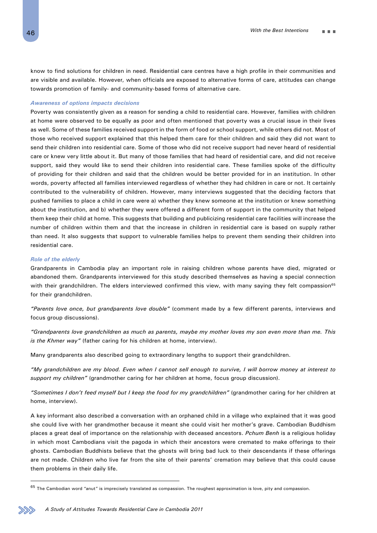know to find solutions for children in need. Residential care centres have a high profile in their communities and are visible and available. However, when officials are exposed to alternative forms of care, attitudes can change towards promotion of family- and community-based forms of alternative care.

#### *Awareness of options impacts decisions*

Poverty was consistently given as a reason for sending a child to residential care. However, families with children at home were observed to be equally as poor and often mentioned that poverty was a crucial issue in their lives as well. Some of these families received support in the form of food or school support, while others did not. Most of those who received support explained that this helped them care for their children and said they did not want to send their children into residential care. Some of those who did not receive support had never heard of residential care or knew very little about it. But many of those families that had heard of residential care, and did not receive support, said they would like to send their children into residential care. These families spoke of the difficulty of providing for their children and said that the children would be better provided for in an institution. In other words, poverty affected all families interviewed regardless of whether they had children in care or not. It certainly contributed to the vulnerability of children. However, many interviews suggested that the deciding factors that pushed families to place a child in care were a) whether they knew someone at the institution or knew something about the institution, and b) whether they were offered a different form of support in the community that helped them keep their child at home. This suggests that building and publicizing residential care facilities will increase the number of children within them and that the increase in children in residential care is based on supply rather than need. It also suggests that support to vulnerable families helps to prevent them sending their children into residential care.

#### *Role of the elderly*

Grandparents in Cambodia play an important role in raising children whose parents have died, migrated or abandoned them. Grandparents interviewed for this study described themselves as having a special connection with their grandchildren. The elders interviewed confirmed this view, with many saying they felt compassion<sup>65</sup> for their grandchildren.

*"Parents love once, but grandparents love double"* (comment made by a few different parents, interviews and focus group discussions).

*"Grandparents love grandchildren as much as parents, maybe my mother loves my son even more than me. This is the Khmer way"* (father caring for his children at home, interview).

Many grandparents also described going to extraordinary lengths to support their grandchildren.

*"My grandchildren are my blood. Even when I cannot sell enough to survive, I will borrow money at interest to support my children"* (grandmother caring for her children at home, focus group discussion).

*"Sometimes I don't feed myself but I keep the food for my grandchildren"* (grandmother caring for her children at home, interview).

A key informant also described a conversation with an orphaned child in a village who explained that it was good she could live with her grandmother because it meant she could visit her mother's grave. Cambodian Buddhism places a great deal of importance on the relationship with deceased ancestors. *Pchum Benh* is a religious holiday in which most Cambodians visit the pagoda in which their ancestors were cremated to make offerings to their ghosts. Cambodian Buddhists believe that the ghosts will bring bad luck to their descendants if these offerings are not made. Children who live far from the site of their parents' cremation may believe that this could cause them problems in their daily life.

 $65$  The Cambodian word "anut" is imprecisely translated as compassion. The roughest approximation is love, pity and compassion.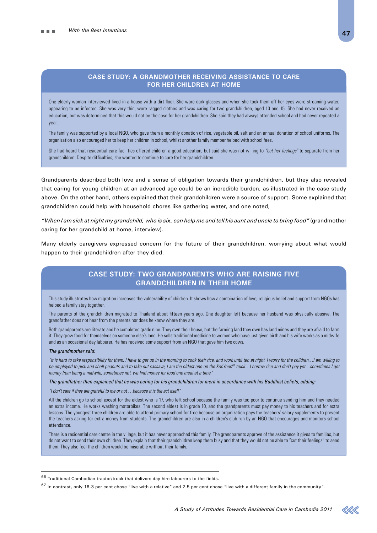### **Case study: A grandmother receiving assistance to care for her children at home**

One elderly woman interviewed lived in a house with a dirt floor. She wore dark glasses and when she took them off her eyes were streaming water, appearing to be infected. She was very thin, wore ragged clothes and was caring for two grandchildren, aged 10 and 15. She had never received an education, but was determined that this would not be the case for her grandchildren. She said they had always attended school and had never repeated a year.

The family was supported by a local NGO, who gave them a monthly donation of rice, vegetable oil, salt and an annual donation of school uniforms. The organization also encouraged her to keep her children in school, whilst another family member helped with school fees.

She had heard that residential care facilities offered children a good education, but said she was not willing to *"cut her feelings"* to separate from her grandchildren. Despite difficulties, she wanted to continue to care for her grandchildren.

Grandparents described both love and a sense of obligation towards their grandchildren, but they also revealed that caring for young children at an advanced age could be an incredible burden, as illustrated in the case study above. On the other hand, others explained that their grandchildren were a source of support. Some explained that grandchildren could help with household chores like gathering water, and one noted,

*"When I am sick at night my grandchild, who is six, can help me and tell his aunt and uncle to bring food"* (grandmother caring for her grandchild at home, interview).

Many elderly caregivers expressed concern for the future of their grandchildren, worrying about what would happen to their grandchildren after they died.

# **Case study: Two grandparents who are raising five grandchildren in their home**

This study illustrates how migration increases the vulnerability of children. It shows how a combination of love, religious belief and support from NGOs has helped a family stay together.

The parents of the grandchildren migrated to Thailand about fifteen years ago. One daughter left because her husband was physically abusive. The grandfather does not hear from the parents nor does he know where they are.

Both grandparents are literate and he completed grade nine. They own their house, but the farming land they own has land mines and they are afraid to farm it. They grow food for themselves on someone else's land. He sells traditional medicine to women who have just given birth and his wife works as a midwife and as an occasional day labourer. He has received some support from an NGO that gave him two cows.

#### *The grandmother said:*

*"It is hard to take responsibility for them. I have to get up in the morning to cook their rice, and work until ten at night. I worry for the children…I am willing to*  be employed to pick and shell peanuts and to take out cassava, I am the oldest one on the KohYoun<sup>66</sup> truck...I borrow rice and don't pay yet...sometimes I get *money from being a midwife, sometimes not, we find money for food one meal at a time."*

*The grandfather then explained that he was caring for his grandchildren for merit in accordance with his Buddhist beliefs, adding:*

*"I don't care if they are grateful to me or not …because it is the act itself."*

All the children go to school except for the eldest who is 17, who left school because the family was too poor to continue sending him and they needed an extra income. He works washing motorbikes. The second eldest is in grade 10, and the grandparents must pay money to his teachers and for extra lessons. The youngest three children are able to attend primary school for free because an organization pays the teachers' salary supplements to prevent the teachers asking for extra money from students. The grandchildren are also in a children's club run by an NGO that encourages and monitors school attendance.

There is a residential care centre in the village, but it has never approached this family. The grandparents approve of the assistance it gives to families, but do not want to send their own children. They explain that their grandchildren keep them busy and that they would not be able to "cut their feelings" to send them. They also feel the children would be miserable without their family.



 $^{66}$  Traditional Cambodian tractor/truck that delivers day hire labourers to the fields.

 $67$  In contrast, only 16.3 per cent chose "live with a relative" and 2.5 per cent chose "live with a different family in the community".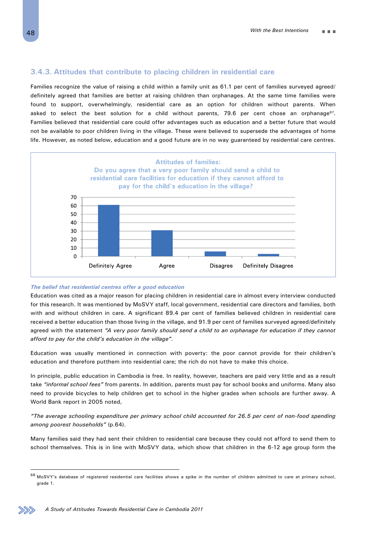# **3.4.3. Attitudes that contribute to placing children in residential care**

Families recognize the value of raising a child within a family unit as 61.1 per cent of families surveyed agreed/ definitely agreed that families are better at raising children than orphanages. At the same time families were found to support, overwhelmingly, residential care as an option for children without parents. When asked to select the best solution for a child without parents, 79.6 per cent chose an orphanage<sup>67</sup>. Families believed that residential care could offer advantages such as education and a better future that would not be available to poor children living in the village. These were believed to supersede the advantages of home life. However, as noted below, education and a good future are in no way guaranteed by residential care centres.



#### *The belief that residential centres offer a good education*

Education was cited as a major reason for placing children in residential care in almost every interview conducted for this research. It was mentioned by MoSVY staff, local government, residential care directors and families, both with and without children in care. A significant 89.4 per cent of families believed children in residential care received a better education than those living in the village, and 91.9 per cent of families surveyed agreed/definitely agreed with the statement *"A very poor family should send a child to an orphanage for education if they cannot afford to pay for the child's education in the village".*

Education was usually mentioned in connection with poverty: the poor cannot provide for their children's education and therefore putthem into residential care; the rich do not have to make this choice.

In principle, public education in Cambodia is free. In reality, however, teachers are paid very little and as a result take *"informal school fees"* from parents. In addition, parents must pay for school books and uniforms. Many also need to provide bicycles to help children get to school in the higher grades when schools are further away. A World Bank report in 2005 noted,

*"The average schooling expenditure per primary school child accounted for 26.5 per cent of non-food spending among poorest households"* (p.64).

Many families said they had sent their children to residential care because they could not afford to send them to school themselves. This is in line with MoSVY data, which show that children in the 6-12 age group form the



<sup>68</sup> MoSVY's database of registered residential care facilities shows a spike in the number of children admitted to care at primary school, grade 1.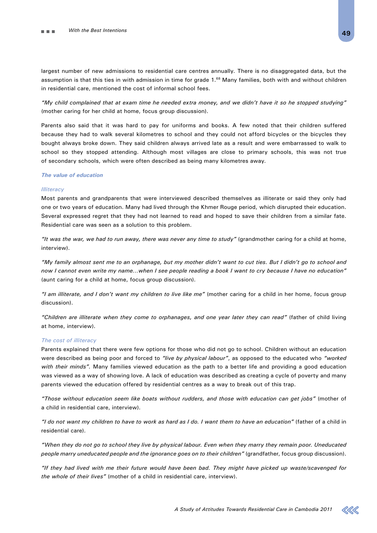largest number of new admissions to residential care centres annually. There is no disaggregated data, but the assumption is that this ties in with admission in time for grade 1.<sup>68</sup> Many families, both with and without children in residential care, mentioned the cost of informal school fees.

*"My child complained that at exam time he needed extra money, and we didn't have it so he stopped studying"* (mother caring for her child at home, focus group discussion).

Parents also said that it was hard to pay for uniforms and books. A few noted that their children suffered because they had to walk several kilometres to school and they could not afford bicycles or the bicycles they bought always broke down. They said children always arrived late as a result and were embarrassed to walk to school so they stopped attending. Although most villages are close to primary schools, this was not true of secondary schools, which were often described as being many kilometres away.

#### *The value of education*

#### *Illiteracy*

Most parents and grandparents that were interviewed described themselves as illiterate or said they only had one or two years of education. Many had lived through the Khmer Rouge period, which disrupted their education. Several expressed regret that they had not learned to read and hoped to save their children from a similar fate. Residential care was seen as a solution to this problem.

*"It was the war, we had to run away, there was never any time to study"* (grandmother caring for a child at home, interview).

*"My family almost sent me to an orphanage, but my mother didn't want to cut ties. But I didn't go to school and now I cannot even write my name…when I see people reading a book I want to cry because I have no education"* (aunt caring for a child at home, focus group discussion).

*"I am illiterate, and I don't want my children to live like me"* (mother caring for a child in her home, focus group discussion).

*"Children are illiterate when they come to orphanages, and one year later they can read"* (father of child living at home, interview).

#### *The cost of illiteracy*

Parents explained that there were few options for those who did not go to school. Children without an education were described as being poor and forced to *"live by physical labour"*, as opposed to the educated who *"worked with their minds".* Many families viewed education as the path to a better life and providing a good education was viewed as a way of showing love. A lack of education was described as creating a cycle of poverty and many parents viewed the education offered by residential centres as a way to break out of this trap.

*"Those without education seem like boats without rudders, and those with education can get jobs"* (mother of a child in residential care, interview).

*"I do not want my children to have to work as hard as I do. I want them to have an education"* (father of a child in residential care).

*"When they do not go to school they live by physical labour. Even when they marry they remain poor. Uneducated people marry uneducated people and the ignorance goes on to their children"* (grandfather, focus group discussion).

*"If they had lived with me their future would have been bad. They might have picked up waste/scavenged for the whole of their lives"* (mother of a child in residential care, interview).

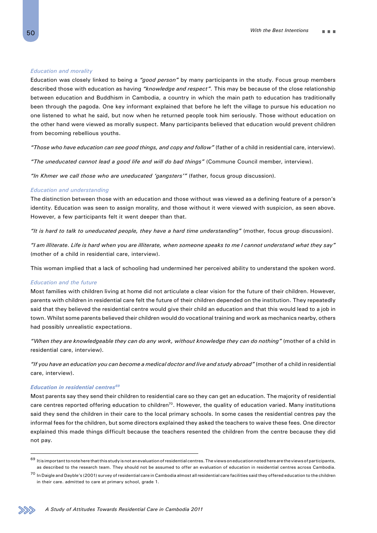#### *Education and morality*

Education was closely linked to being a *"good person"* by many participants in the study. Focus group members described those with education as having *"knowledge and respect".* This may be because of the close relationship between education and Buddhism in Cambodia, a country in which the main path to education has traditionally been through the pagoda. One key informant explained that before he left the village to pursue his education no one listened to what he said, but now when he returned people took him seriously. Those without education on the other hand were viewed as morally suspect. Many participants believed that education would prevent children from becoming rebellious youths.

*"Those who have education can see good things, and copy and follow"* (father of a child in residential care, interview).

*"The uneducated cannot lead a good life and will do bad things"* (Commune Council member, interview).

*"In Khmer we call those who are uneducated 'gangsters'"* (father, focus group discussion).

#### *Education and understanding*

The distinction between those with an education and those without was viewed as a defining feature of a person's identity. Education was seen to assign morality, and those without it were viewed with suspicion, as seen above. However, a few participants felt it went deeper than that.

*"It is hard to talk to uneducated people, they have a hard time understanding"* (mother, focus group discussion).

*"I am illiterate. Life is hard when you are illiterate, when someone speaks to me I cannot understand what they say"* (mother of a child in residential care, interview).

This woman implied that a lack of schooling had undermined her perceived ability to understand the spoken word.

#### *Education and the future*

Most families with children living at home did not articulate a clear vision for the future of their children. However, parents with children in residential care felt the future of their children depended on the institution. They repeatedly said that they believed the residential centre would give their child an education and that this would lead to a job in town. Whilst some parents believed their children would do vocational training and work as mechanics nearby, others had possibly unrealistic expectations.

*"When they are knowledgeable they can do any work, without knowledge they can do nothing"* (mother of a child in residential care, interview).

*"If you have an education you can become a medical doctor and live and study abroad"* (mother of a child in residential care, interview).

#### *Education in residential centres69*

Most parents say they send their children to residential care so they can get an education. The majority of residential care centres reported offering education to children<sup>70</sup>. However, the quality of education varied. Many institutions said they send the children in their care to the local primary schools. In some cases the residential centres pay the informal fees for the children, but some directors explained they asked the teachers to waive these fees. One director explained this made things difficult because the teachers resented the children from the centre because they did not pay.



 $^{69}$  It is important to note here that this study is not an evaluation of residential centres. The views on education noted here are the views of participants, as described to the research team. They should not be assumed to offer an evaluation of education in residential centres across Cambodia.

 $^{70}$  In Daigle and Dayble's (2001) survey of residential care in Cambodia almost all residential care facilities said they offered education to the children in their care. admitted to care at primary school, grade 1.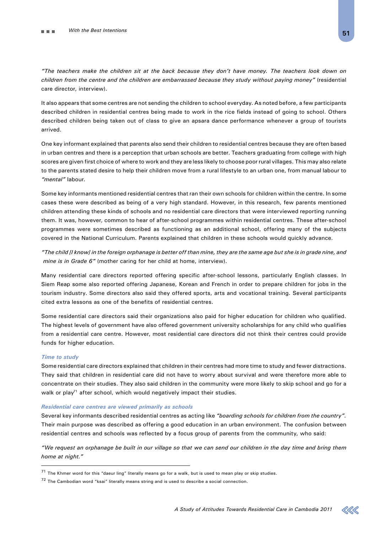*"The teachers make the children sit at the back because they don't have money. The teachers look down on children from the centre and the children are embarrassed because they study without paying money"* (residential care director, interview).

It also appears that some centres are not sending the children to school everyday. As noted before, a few participants described children in residential centres being made to work in the rice fields instead of going to school. Others described children being taken out of class to give an apsara dance performance whenever a group of tourists arrived.

One key informant explained that parents also send their children to residential centres because they are often based in urban centres and there is a perception that urban schools are better. Teachers graduating from college with high scores are given first choice of where to work and they are less likely to choose poor rural villages. This may also relate to the parents stated desire to help their children move from a rural lifestyle to an urban one, from manual labour to *"mental"* labour.

Some key informants mentioned residential centres that ran their own schools for children within the centre. In some cases these were described as being of a very high standard. However, in this research, few parents mentioned children attending these kinds of schools and no residential care directors that were interviewed reporting running them. It was, however, common to hear of after-school programmes within residential centres. These after-school programmes were sometimes described as functioning as an additional school, offering many of the subjects covered in the National Curriculum. Parents explained that children in these schools would quickly advance.

*"The child [I know] in the foreign orphanage is better off than mine, they are the same age but she is in grade nine, and mine is in Grade 6"* (mother caring for her child at home, interview).

Many residential care directors reported offering specific after-school lessons, particularly English classes. In Siem Reap some also reported offering Japanese, Korean and French in order to prepare children for jobs in the tourism industry. Some directors also said they offered sports, arts and vocational training. Several participants cited extra lessons as one of the benefits of residential centres.

Some residential care directors said their organizations also paid for higher education for children who qualified. The highest levels of government have also offered government university scholarships for any child who qualifies from a residential care centre. However, most residential care directors did not think their centres could provide funds for higher education.

#### *Time to study*

Some residential care directors explained that children in their centres had more time to study and fewer distractions. They said that children in residential care did not have to worry about survival and were therefore more able to concentrate on their studies. They also said children in the community were more likely to skip school and go for a walk or play<sup>71</sup> after school, which would negatively impact their studies.

#### *Residential care centres are viewed primarily as schools*

Several key informants described residential centres as acting like *"boarding schools for children from the country".* Their main purpose was described as offering a good education in an urban environment. The confusion between residential centres and schools was reflected by a focus group of parents from the community, who said:

*"We request an orphanage be built in our village so that we can send our children in the day time and bring them home at night."*



 $71$  The Khmer word for this "daeur ling" literally means go for a walk, but is used to mean play or skip studies.

 $72$  The Cambodian word "ksai" literally means string and is used to describe a social connection.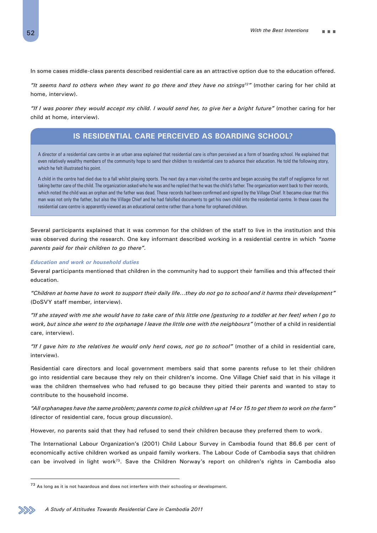In some cases middle-class parents described residential care as an attractive option due to the education offered.

*"It seems hard to others when they want to go there and they have no strings72"* (mother caring for her child at home, interview).

*"If I was poorer they would accept my child. I would send her, to give her a bright future"* (mother caring for her child at home, interview).

# **Is residential care perceived as boarding school?**

A director of a residential care centre in an urban area explained that residential care is often perceived as a form of boarding school. He explained that even relatively wealthy members of the community hope to send their children to residential care to advance their education. He told the following story, which he felt illustrated his point.

A child in the centre had died due to a fall whilst playing sports. The next day a man visited the centre and began accusing the staff of negligence for not taking better care of the child. The organization asked who he was and he replied that he was the child's father. The organization went back to their records, which noted the child was an orphan and the father was dead. These records had been confirmed and signed by the Village Chief. It became clear that this man was not only the father, but also the Village Chief and he had falsified documents to get his own child into the residential centre. In these cases the residential care centre is apparently viewed as an educational centre rather than a home for orphaned children.

Several participants explained that it was common for the children of the staff to live in the institution and this was observed during the research. One key informant described working in a residential centre in which *"some parents paid for their children to go there".*

#### *Education and work or household duties*

Several participants mentioned that children in the community had to support their families and this affected their education.

*"Children at home have to work to support their daily life…they do not go to school and it harms their development"* (DoSVY staff member, interview).

*"If she stayed with me she would have to take care of this little one [gesturing to a toddler at her feet] when I go to work, but since she went to the orphanage I leave the little one with the neighbours"* (mother of a child in residential care, interview).

*"If I gave him to the relatives he would only herd cows, not go to school"* (mother of a child in residential care, interview).

Residential care directors and local government members said that some parents refuse to let their children go into residential care because they rely on their children's income. One Village Chief said that in his village it was the children themselves who had refused to go because they pitied their parents and wanted to stay to contribute to the household income.

*"All orphanages have the same problem; parents come to pick children up at 14 or 15 to get them to work on the farm"* (director of residential care, focus group discussion).

However, no parents said that they had refused to send their children because they preferred them to work.

The International Labour Organization's (2001) Child Labour Survey in Cambodia found that 86.6 per cent of economically active children worked as unpaid family workers. The Labour Code of Cambodia says that children can be involved in light work73. Save the Children Norway's report on children's rights in Cambodia also

 $73$  As long as it is not hazardous and does not interfere with their schooling or development.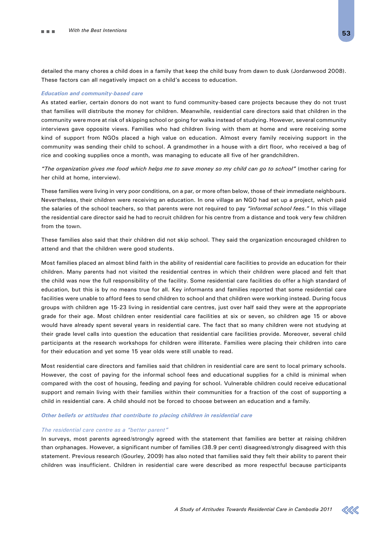detailed the many chores a child does in a family that keep the child busy from dawn to dusk (Jordanwood 2008). These factors can all negatively impact on a child's access to education.

#### *Education and community-based care*

As stated earlier, certain donors do not want to fund community-based care projects because they do not trust that families will distribute the money for children. Meanwhile, residential care directors said that children in the community were more at risk of skipping school or going for walks instead of studying. However, several community interviews gave opposite views. Families who had children living with them at home and were receiving some kind of support from NGOs placed a high value on education. Almost every family receiving support in the community was sending their child to school. A grandmother in a house with a dirt floor, who received a bag of rice and cooking supplies once a month, was managing to educate all five of her grandchildren.

*"The organization gives me food which helps me to save money so my child can go to school"* (mother caring for her child at home, interview).

These families were living in very poor conditions, on a par, or more often below, those of their immediate neighbours. Nevertheless, their children were receiving an education. In one village an NGO had set up a project, which paid the salaries of the school teachers, so that parents were not required to pay *"informal school fees."* In this village the residential care director said he had to recruit children for his centre from a distance and took very few children from the town.

These families also said that their children did not skip school. They said the organization encouraged children to attend and that the children were good students.

Most families placed an almost blind faith in the ability of residential care facilities to provide an education for their children. Many parents had not visited the residential centres in which their children were placed and felt that the child was now the full responsibility of the facility. Some residential care facilities do offer a high standard of education, but this is by no means true for all. Key informants and families reported that some residential care facilities were unable to afford fees to send children to school and that children were working instead. During focus groups with children age 15-23 living in residential care centres, just over half said they were at the appropriate grade for their age. Most children enter residential care facilities at six or seven, so children age 15 or above would have already spent several years in residential care. The fact that so many children were not studying at their grade level calls into question the education that residential care facilities provide. Moreover, several child participants at the research workshops for children were illiterate. Families were placing their children into care for their education and yet some 15 year olds were still unable to read.

Most residential care directors and families said that children in residential care are sent to local primary schools. However, the cost of paying for the informal school fees and educational supplies for a child is minimal when compared with the cost of housing, feeding and paying for school. Vulnerable children could receive educational support and remain living with their families within their communities for a fraction of the cost of supporting a child in residential care. A child should not be forced to choose between an education and a family.

#### *Other beliefs or attitudes that contribute to placing children in residential care*

#### *The residential care centre as a "better parent"*

In surveys, most parents agreed/strongly agreed with the statement that families are better at raising children than orphanages. However, a significant number of families (38.9 per cent) disagreed/strongly disagreed with this statement. Previous research (Gourley, 2009) has also noted that families said they felt their ability to parent their children was insufficient. Children in residential care were described as more respectful because participants

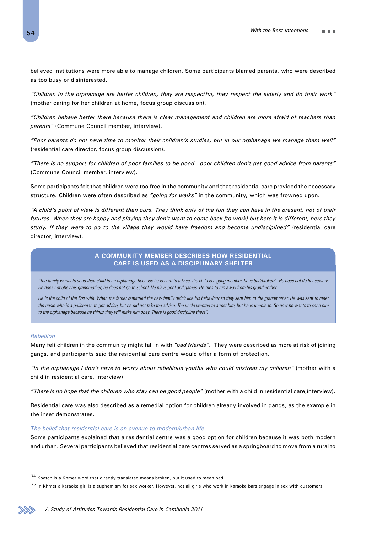believed institutions were more able to manage children. Some participants blamed parents, who were described as too busy or disinterested.

*"Children in the orphanage are better children, they are respectful, they respect the elderly and do their work"* (mother caring for her children at home, focus group discussion).

*"Children behave better there because there is clear management and children are more afraid of teachers than parents"* (Commune Council member, interview).

*"Poor parents do not have time to monitor their children's studies, but in our orphanage we manage them well"* (residential care director, focus group discussion).

*"There is no support for children of poor families to be good…poor children don't get good advice from parents"* (Commune Council member, interview).

Some participants felt that children were too free in the community and that residential care provided the necessary structure. Children were often described as *"going for walks"* in the community, which was frowned upon.

*"A child's point of view is different than ours. They think only of the fun they can have in the present, not of their futures. When they are happy and playing they don't want to come back [to work] but here it is different, here they study. If they were to go to the village they would have freedom and become undisciplined"* (residential care director, interview).

# **A community member describes how residential care is used as a disciplinary shelter**

*"The family wants to send their child to an orphanage because he is hard to advise, the child is a gang member, he is bad/broken74. He does not do housework. He does not obey his grandmother; he does not go to school. He plays pool and games. He tries to run away from his grandmother.*

He is the child of the first wife. When the father remarried the new family didn't like his behaviour so they sent him to the grandmother. He was sent to meet *the uncle who is a policeman to get advice, but he did not take the advice. The uncle wanted to arrest him, but he is unable to. So now he wants to send him to the orphanage because he thinks they will make him obey. There is good discipline there".*

#### *Rebellion*

Many felt children in the community might fall in with *"bad friends".* They were described as more at risk of joining gangs, and participants said the residential care centre would offer a form of protection.

*"In the orphanage I don't have to worry about rebellious youths who could mistreat my children"* (mother with a child in residential care, interview).

*"There is no hope that the children who stay can be good people"* (mother with a child in residential care,interview).

Residential care was also described as a remedial option for children already involved in gangs, as the example in the inset demonstrates.

#### *The belief that residential care is an avenue to modern/urban life*

Some participants explained that a residential centre was a good option for children because it was both modern and urban. Several participants believed that residential care centres served as a springboard to move from a rural to



<sup>74</sup> Koatch is a Khmer word that directly translated means broken, but it used to mean bad.

 $^{75}$  In Khmer a karaoke girl is a euphemism for sex worker. However, not all girls who work in karaoke bars engage in sex with customers.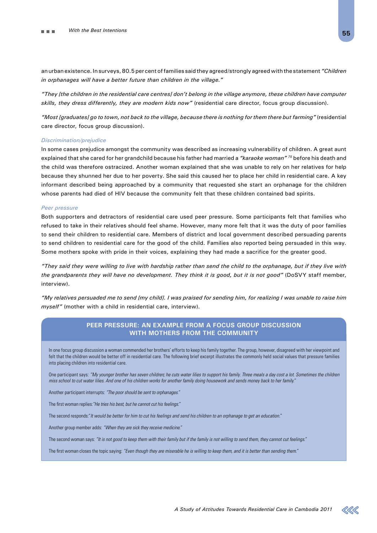an urban existence. In surveys, 80.5 per cent of families said they agreed/strongly agreed with the statement *"Children in orphanages will have a better future than children in the village."*

*"They [the children in the residential care centres] don't belong in the village anymore, these children have computer skills, they dress differently, they are modern kids now"* (residential care director, focus group discussion).

*"Most [graduates] go to town, not back to the village, because there is nothing for them there but farming"* (residential care director, focus group discussion).

#### *Discrimination/prejudice*

In some cases prejudice amongst the community was described as increasing vulnerability of children. A great aunt explained that she cared for her grandchild because his father had married a *"karaoke woman" 75* before his death and the child was therefore ostracized. Another woman explained that she was unable to rely on her relatives for help because they shunned her due to her poverty. She said this caused her to place her child in residential care. A key informant described being approached by a community that requested she start an orphanage for the children whose parents had died of HIV because the community felt that these children contained bad spirits.

#### *Peer pressure*

Both supporters and detractors of residential care used peer pressure. Some participants felt that families who refused to take in their relatives should feel shame. However, many more felt that it was the duty of poor families to send their children to residential care. Members of district and local government described persuading parents to send children to residential care for the good of the child. Families also reported being persuaded in this way. Some mothers spoke with pride in their voices, explaining they had made a sacrifice for the greater good.

*"They said they were willing to live with hardship rather than send the child to the orphanage, but if they live with the grandparents they will have no development. They think it is good, but it is not good"* (DoSVY staff member, interview).

*"My relatives persuaded me to send [my child]. I was praised for sending him, for realizing I was unable to raise him myself"* (mother with a child in residential care, interview).

### **Peer pressure: An example from a focus group discussion with mothers from the community**

In one focus group discussion a woman commended her brothers' efforts to keep his family together. The group, however, disagreed with her viewpoint and felt that the children would be better off in residential care. The following brief excerpt illustrates the commonly held social values that pressure families into placing children into residential care.

One participant says: *"My younger brother has seven children; he cuts water lilies to support his family. Three meals a day cost a lot. Sometimes the children miss school to cut water lilies. And one of his children works for another family doing housework and sends money back to her family."*

Another participant interrupts: *"The poor should be sent to orphanages."*

The first woman replies:*"He tries his best, but he cannot cut his feelings."*

The second responds:"*It would be better for him to cut his feelings and send his children to an orphanage to get an education."*

Another group member adds: *"When they are sick they receive medicine."*

The second woman says: *"It is not good to keep them with their family but if the family is not willing to send them, they cannot cut feelings."*

The first woman closes the topic saying: *"Even though they are miserable he is willing to keep them, and it is better than sending them."*

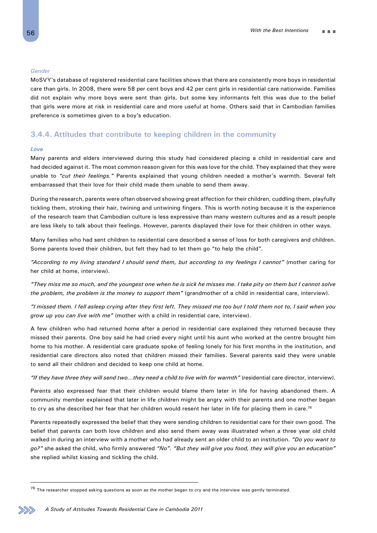#### *Gender*

MoSVY's database of registered residential care facilities shows that there are consistently more boys in residential care than girls. In 2008, there were 58 per cent boys and 42 per cent girls in residential care nationwide. Families did not explain why more boys were sent than girls, but some key informants felt this was due to the belief that girls were more at risk in residential care and more useful at home. Others said that in Cambodian families preference is sometimes given to a boy's education.

### **3.4.4. Attitudes that contribute to keeping children in the community**

#### *Love*

Many parents and elders interviewed during this study had considered placing a child in residential care and had decided against it. The most common reason given for this was love for the child. They explained that they were unable to *"cut their feelings."* Parents explained that young children needed a mother's warmth. Several felt embarrassed that their love for their child made them unable to send them away.

During the research, parents were often observed showing great affection for their children, cuddling them, playfully tickling them, stroking their hair, twining and untwining fingers. This is worth noting because it is the experience of the research team that Cambodian culture is less expressive than many western cultures and as a result people are less likely to talk about their feelings. However, parents displayed their love for their children in other ways.

Many families who had sent children to residential care described a sense of loss for both caregivers and children. Some parents loved their children, but felt they had to let them go "to help the child".

*"According to my living standard I should send them, but according to my feelings I cannot"* (mother caring for her child at home, interview).

*"They miss me so much, and the youngest one when he is sick he misses me. I take pity on them but I cannot solve the problem, the problem is the money to support them"* (grandmother of a child in residential care, interview).

*"I missed them. I fell asleep crying after they first left. They missed me too but I told them not to, I said when you grow up you can live with me"* (mother with a child in residential care, interview).

A few children who had returned home after a period in residential care explained they returned because they missed their parents. One boy said he had cried every night until his aunt who worked at the centre brought him home to his mother. A residential care graduate spoke of feeling lonely for his first months in the institution, and residential care directors also noted that children missed their families. Several parents said they were unable to send all their children and decided to keep one child at home.

*"If they have three they will send two…they need a child to live with for warmth"* (residential care director, interview).

Parents also expressed fear that their children would blame them later in life for having abandoned them. A community member explained that later in life children might be angry with their parents and one mother began to cry as she described her fear that her children would resent her later in life for placing them in care.<sup>76</sup>

Parents repeatedly expressed the belief that they were sending children to residential care for their own good. The belief that parents can both love children and also send them away was illustrated when a three year old child walked in during an interview with a mother who had already sent an older child to an institution. *"Do you want to go?"* she asked the child, who firmly answered *"No". "But they will give you food, they will give you an education"*  she replied whilst kissing and tickling the child.

 $76$  The researcher stopped asking questions as soon as the mother began to cry and the interview was gently terminated.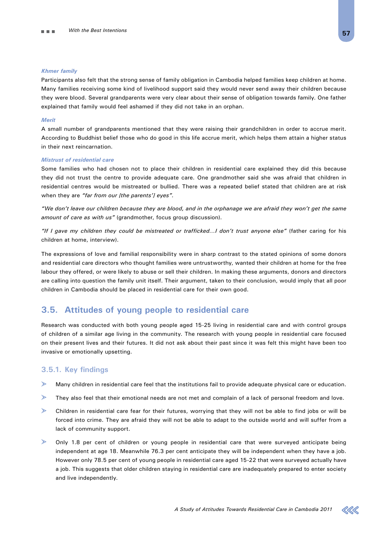#### *Khmer family*

Participants also felt that the strong sense of family obligation in Cambodia helped families keep children at home. Many families receiving some kind of livelihood support said they would never send away their children because they were blood. Several grandparents were very clear about their sense of obligation towards family. One father explained that family would feel ashamed if they did not take in an orphan.

#### *Merit*

A small number of grandparents mentioned that they were raising their grandchildren in order to accrue merit. According to Buddhist belief those who do good in this life accrue merit, which helps them attain a higher status in their next reincarnation.

#### *Mistrust of residential care*

Some families who had chosen not to place their children in residential care explained they did this because they did not trust the centre to provide adequate care. One grandmother said she was afraid that children in residential centres would be mistreated or bullied. There was a repeated belief stated that children are at risk when they are *"far from our [the parents'] eyes".*

*"We don't leave our children because they are blood, and in the orphanage we are afraid they won't get the same amount of care as with us"* (grandmother, focus group discussion).

*"If I gave my children they could be mistreated or trafficked…I don't trust anyone else"* (father caring for his children at home, interview).

The expressions of love and familial responsibility were in sharp contrast to the stated opinions of some donors and residential care directors who thought families were untrustworthy, wanted their children at home for the free labour they offered, or were likely to abuse or sell their children. In making these arguments, donors and directors are calling into question the family unit itself. Their argument, taken to their conclusion, would imply that all poor children in Cambodia should be placed in residential care for their own good.

# **3.5. Attitudes of young people to residential care**

Research was conducted with both young people aged 15-25 living in residential care and with control groups of children of a similar age living in the community. The research with young people in residential care focused on their present lives and their futures. It did not ask about their past since it was felt this might have been too invasive or emotionally upsetting.

# **3.5.1. Key findings**

- Many children in residential care feel that the institutions fail to provide adequate physical care or education.
- $\geqslant$ They also feel that their emotional needs are not met and complain of a lack of personal freedom and love.
- $\geqslant$ Children in residential care fear for their futures, worrying that they will not be able to find jobs or will be forced into crime. They are afraid they will not be able to adapt to the outside world and will suffer from a lack of community support.
- $\triangleright$ Only 1.8 per cent of children or young people in residential care that were surveyed anticipate being independent at age 18. Meanwhile 76.3 per cent anticipate they will be independent when they have a job. However only 78.5 per cent of young people in residential care aged 15-22 that were surveyed actually have a job. This suggests that older children staying in residential care are inadequately prepared to enter society and live independently.

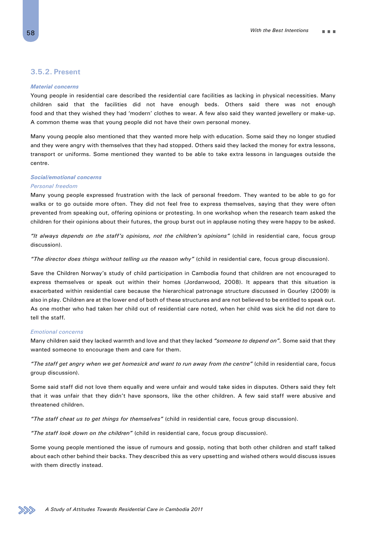### **3.5.2. Present**

#### *Material concerns*

Young people in residential care described the residential care facilities as lacking in physical necessities. Many children said that the facilities did not have enough beds. Others said there was not enough food and that they wished they had 'modern' clothes to wear. A few also said they wanted jewellery or make-up. A common theme was that young people did not have their own personal money.

Many young people also mentioned that they wanted more help with education. Some said they no longer studied and they were angry with themselves that they had stopped. Others said they lacked the money for extra lessons, transport or uniforms. Some mentioned they wanted to be able to take extra lessons in languages outside the centre.

### *Social/emotional concerns*

#### *Personal freedom*

Many young people expressed frustration with the lack of personal freedom. They wanted to be able to go for walks or to go outside more often. They did not feel free to express themselves, saying that they were often prevented from speaking out, offering opinions or protesting. In one workshop when the research team asked the children for their opinions about their futures, the group burst out in applause noting they were happy to be asked.

*"It always depends on the staff's opinions, not the children's opinions"* (child in residential care, focus group discussion).

*"The director does things without telling us the reason why"* (child in residential care, focus group discussion).

Save the Children Norway's study of child participation in Cambodia found that children are not encouraged to express themselves or speak out within their homes (Jordanwood, 2008). It appears that this situation is exacerbated within residential care because the hierarchical patronage structure discussed in Gourley (2009) is also in play. Children are at the lower end of both of these structures and are not believed to be entitled to speak out. As one mother who had taken her child out of residential care noted, when her child was sick he did not dare to tell the staff.

#### *Emotional concerns*

Many children said they lacked warmth and love and that they lacked *"someone to depend on".* Some said that they wanted someone to encourage them and care for them.

*"The staff get angry when we get homesick and want to run away from the centre"* (child in residential care, focus group discussion).

Some said staff did not love them equally and were unfair and would take sides in disputes. Others said they felt that it was unfair that they didn't have sponsors, like the other children. A few said staff were abusive and threatened children.

*"The staff cheat us to get things for themselves"* (child in residential care, focus group discussion).

*"The staff look down on the children"* (child in residential care, focus group discussion).

Some young people mentioned the issue of rumours and gossip, noting that both other children and staff talked about each other behind their backs. They described this as very upsetting and wished others would discuss issues with them directly instead.

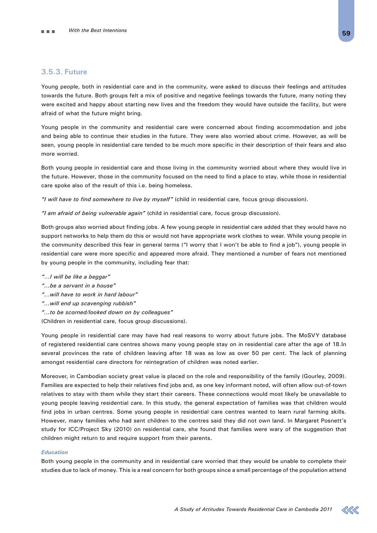# **3.5.3. Future**

Young people, both in residential care and in the community, were asked to discuss their feelings and attitudes towards the future. Both groups felt a mix of positive and negative feelings towards the future, many noting they were excited and happy about starting new lives and the freedom they would have outside the facility, but were afraid of what the future might bring.

Young people in the community and residential care were concerned about finding accommodation and jobs and being able to continue their studies in the future. They were also worried about crime. However, as will be seen, young people in residential care tended to be much more specific in their description of their fears and also more worried.

Both young people in residential care and those living in the community worried about where they would live in the future. However, those in the community focused on the need to find a place to stay, while those in residential care spoke also of the result of this i.e. being homeless.

*"I will have to find somewhere to live by myself"* (child in residential care, focus group discussion).

*"I am afraid of being vulnerable again"* (child in residential care, focus group discussion).

Both groups also worried about finding jobs. A few young people in residential care added that they would have no support networks to help them do this or would not have appropriate work clothes to wear. While young people in the community described this fear in general terms ("I worry that I won't be able to find a job"), young people in residential care were more specific and appeared more afraid. They mentioned a number of fears not mentioned by young people in the community, including fear that:

- *"…I will be like a beggar"*
- *"…be a servant in a house"*
- *"…will have to work in hard labour"*
- *"…will end up scavenging rubbish"*
- *"…to be scorned/looked down on by colleagues"*

(Children in residential care, focus group discussions).

Young people in residential care may have had real reasons to worry about future jobs. The MoSVY database of registered residential care centres shows many young people stay on in residential care after the age of 18.In several provinces the rate of children leaving after 18 was as low as over 50 per cent. The lack of planning amongst residential care directors for reintegration of children was noted earlier.

Moreover, in Cambodian society great value is placed on the role and responsibility of the family (Gourley, 2009). Families are expected to help their relatives find jobs and, as one key informant noted, will often allow out-of-town relatives to stay with them while they start their careers. These connections would most likely be unavailable to young people leaving residential care. In this study, the general expectation of families was that children would find jobs in urban centres. Some young people in residential care centres wanted to learn rural farming skills. However, many families who had sent children to the centres said they did not own land. In Margaret Posnett's study for ICC/Project Sky (2010) on residential care, she found that families were wary of the suggestion that children might return to and require support from their parents.

#### *Education*

Both young people in the community and in residential care worried that they would be unable to complete their studies due to lack of money. This is a real concern for both groups since a small percentage of the population attend

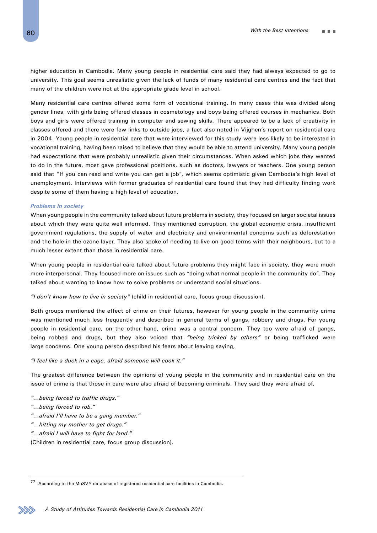higher education in Cambodia. Many young people in residential care said they had always expected to go to university. This goal seems unrealistic given the lack of funds of many residential care centres and the fact that many of the children were not at the appropriate grade level in school.

Many residential care centres offered some form of vocational training. In many cases this was divided along gender lines, with girls being offered classes in cosmetology and boys being offered courses in mechanics. Both boys and girls were offered training in computer and sewing skills. There appeared to be a lack of creativity in classes offered and there were few links to outside jobs, a fact also noted in Vijghen's report on residential care in 2004. Young people in residential care that were interviewed for this study were less likely to be interested in vocational training, having been raised to believe that they would be able to attend university. Many young people had expectations that were probably unrealistic given their circumstances. When asked which jobs they wanted to do in the future, most gave professional positions, such as doctors, lawyers or teachers. One young person said that "If you can read and write you can get a job", which seems optimistic given Cambodia's high level of unemployment. Interviews with former graduates of residential care found that they had difficulty finding work despite some of them having a high level of education.

#### *Problems in society*

When young people in the community talked about future problems in society, they focused on larger societal issues about which they were quite well informed. They mentioned corruption, the global economic crisis, insufficient government regulations, the supply of water and electricity and environmental concerns such as deforestation and the hole in the ozone layer. They also spoke of needing to live on good terms with their neighbours, but to a much lesser extent than those in residential care.

When young people in residential care talked about future problems they might face in society, they were much more interpersonal. They focused more on issues such as "doing what normal people in the community do". They talked about wanting to know how to solve problems or understand social situations.

*"I don't know how to live in society"* (child in residential care, focus group discussion).

Both groups mentioned the effect of crime on their futures, however for young people in the community crime was mentioned much less frequently and described in general terms of gangs, robbery and drugs. For young people in residential care, on the other hand, crime was a central concern. They too were afraid of gangs, being robbed and drugs, but they also voiced that *"being tricked by others"* or being trafficked were large concerns. One young person described his fears about leaving saying,

#### *"I feel like a duck in a cage, afraid someone will cook it."*

The greatest difference between the opinions of young people in the community and in residential care on the issue of crime is that those in care were also afraid of becoming criminals. They said they were afraid of,

- *"…being forced to traffic drugs."*
- *"…being forced to rob."*
- *"…afraid I'll have to be a gang member."*
- *"…hitting my mother to get drugs."*
- *"…afraid I will have to fight for land."*

(Children in residential care, focus group discussion).

<sup>77</sup> According to the MoSVY database of registered residential care facilities in Cambodia.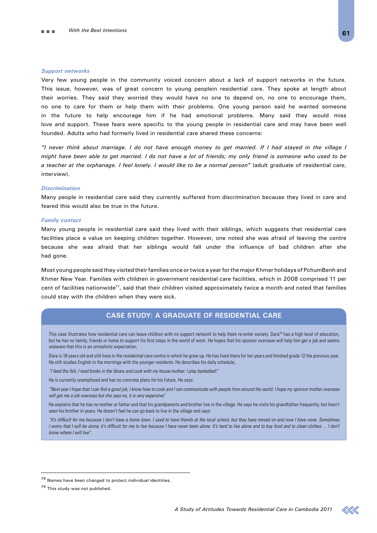#### *Support networks*

Very few young people in the community voiced concern about a lack of support networks in the future. This issue, however, was of great concern to young peoplein residential care. They spoke at length about their worries. They said they worried they would have no one to depend on, no one to encourage them, no one to care for them or help them with their problems. One young person said he wanted someone in the future to help encourage him if he had emotional problems. Many said they would miss love and support. These fears were specific to the young people in residential care and may have been well founded. Adults who had formerly lived in residential care shared these concerns:

*"I never think about marriage. I do not have enough money to get married. If I had stayed in the village I might have been able to get married. I do not have a lot of friends; my only friend is someone who used to be* a teacher at the orphanage. I feel lonely. I would like to be a normal person" (adult graduate of residential care, interview).

#### *Discrimination*

Many people in residential care said they currently suffered from discrimination because they lived in care and feared this would also be true in the future.

#### *Family contact*

Many young people in residential care said they lived with their siblings, which suggests that residential care facilities place a value on keeping children together. However, one noted she was afraid of leaving the centre because she was afraid that her siblings would fall under the influence of bad children after she had gone.

Most young people said they visited their families once or twice a year for the major Khmer holidays of PchumBenh and Khmer New Year. Families with children in government residential care facilities, which in 2008 comprised 11 per cent of facilities nationwide<sup>77</sup>, said that their children visited approximately twice a month and noted that families could stay with the children when they were sick.

# **Case study: A graduate of residential care**

This case illustrates how residential care can leave children with no support network to help them re-enter society. Dara<sup>78</sup> has a high level of education, but he has no family, friends or home to support his first steps in the world of work. He hopes that his sponsor overseas will help him get a job and seems unaware that this is an unrealistic expectation.

Dara is 18 years old and still lives in the residential care centre in which he grew up. He has lived there for ten years and finished grade 12 the previous year. He still studies English in the mornings with the younger residents. He describes his daily schedule,:

*"I feed the fish, I read books in the library and cook with my house-mother. I play basketball."*

He is currently unemployed and has no concrete plans for his future. He says:

*"Next year I hope that I can find a good job, I know how to cook and I can communicate with people from around the world. I hope my sponsor mother overseas will get me a job overseas but she says no, it is very expensive".*

He explains that he has no mother or father and that his grandparents and brother live in the village. He says he visits his grandfather frequently, but hasn't seen his brother in years. He doesn't feel he can go back to live in the village and says:

*"It's difficult for me because I don't have a home town. I used to have friends at the local school, but they have moved on and now I have none. Sometimes I worry that I will be alone; it's difficult for me to live because I have never been alone. It's hard to live alone and to buy food and to clean clothes.... I don't know where I will live".*



<sup>78</sup> Names have been changed to protect individual identities.

<sup>79</sup> This study was not published.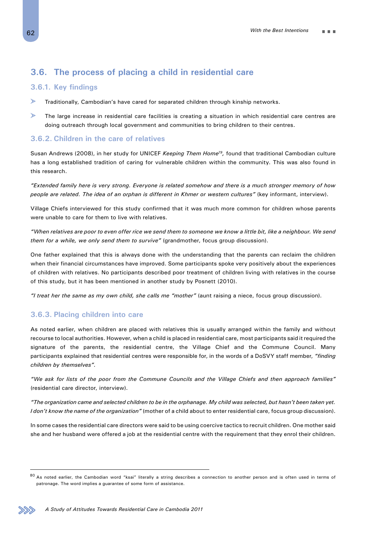# **3.6. The process of placing a child in residential care**

# **3.6.1. Key findings**

- $\geqslant$ Traditionally, Cambodian's have cared for separated children through kinship networks.
- $\geq$ The large increase in residential care facilities is creating a situation in which residential care centres are doing outreach through local government and communities to bring children to their centres.

# **3.6.2. Children in the care of relatives**

Susan Andrews (2008), in her study for UNICEF *Keeping Them Home79,* found that traditional Cambodian culture has a long established tradition of caring for vulnerable children within the community. This was also found in this research.

*"Extended family here is very strong. Everyone is related somehow and there is a much stronger memory of how people are related. The idea of an orphan is different in Khmer or western cultures"* (key informant, interview).

Village Chiefs interviewed for this study confirmed that it was much more common for children whose parents were unable to care for them to live with relatives.

*"When relatives are poor to even offer rice we send them to someone we know a little bit, like a neighbour. We send them for a while, we only send them to survive"* (grandmother, focus group discussion).

One father explained that this is always done with the understanding that the parents can reclaim the children when their financial circumstances have improved. Some participants spoke very positively about the experiences of children with relatives. No participants described poor treatment of children living with relatives in the course of this study, but it has been mentioned in another study by Posnett (2010).

*"I treat her the same as my own child, she calls me "mother"* (aunt raising a niece, focus group discussion).

# **3.6.3. Placing children into care**

As noted earlier, when children are placed with relatives this is usually arranged within the family and without recourse to local authorities. However, when a child is placed in residential care, most participants said it required the signature of the parents, the residential centre, the Village Chief and the Commune Council. Many participants explained that residential centres were responsible for, in the words of a DoSVY staff member, *"finding children by themselves".*

*"We ask for lists of the poor from the Commune Councils and the Village Chiefs and then approach families"* (residential care director, interview).

*"The organization came and selected children to be in the orphanage. My child was selected, but hasn't been taken yet. I don't know the name of the organization"* (mother of a child about to enter residential care, focus group discussion).

In some cases the residential care directors were said to be using coercive tactics to recruit children. One mother said she and her husband were offered a job at the residential centre with the requirement that they enrol their children.



<sup>80</sup> As noted earlier, the Cambodian word "ksai" literally a string describes a connection to another person and is often used in terms of patronage. The word implies a guarantee of some form of assistance.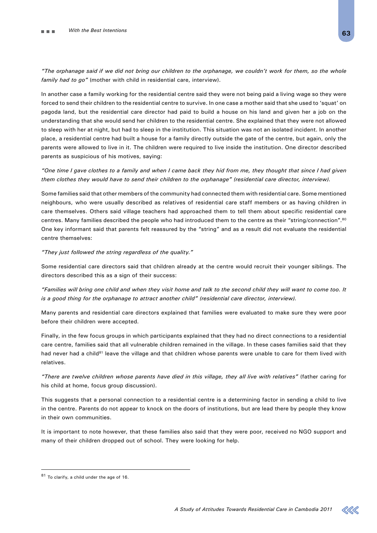*"The orphanage said if we did not bring our children to the orphanage, we couldn't work for them, so the whole family had to go"* (mother with child in residential care, interview).

In another case a family working for the residential centre said they were not being paid a living wage so they were forced to send their children to the residential centre to survive. In one case a mother said that she used to 'squat' on pagoda land, but the residential care director had paid to build a house on his land and given her a job on the understanding that she would send her children to the residential centre. She explained that they were not allowed to sleep with her at night, but had to sleep in the institution. This situation was not an isolated incident. In another place, a residential centre had built a house for a family directly outside the gate of the centre, but again, only the parents were allowed to live in it. The children were required to live inside the institution. One director described parents as suspicious of his motives, saying:

*"One time I gave clothes to a family and when I came back they hid from me, they thought that since I had given them clothes they would have to send their children to the orphanage" (residential care director, interview).*

Some families said that other members of the community had connected them with residential care. Some mentioned neighbours, who were usually described as relatives of residential care staff members or as having children in care themselves. Others said village teachers had approached them to tell them about specific residential care centres. Many families described the people who had introduced them to the centre as their "string/connection".80 One key informant said that parents felt reassured by the "string" and as a result did not evaluate the residential centre themselves:

#### *"They just followed the string regardless of the quality."*

Some residential care directors said that children already at the centre would recruit their younger siblings. The directors described this as a sign of their success:

*"Families will bring one child and when they visit home and talk to the second child they will want to come too. It is a good thing for the orphanage to attract another child" (residential care director, interview).*

Many parents and residential care directors explained that families were evaluated to make sure they were poor before their children were accepted.

Finally, in the few focus groups in which participants explained that they had no direct connections to a residential care centre, families said that all vulnerable children remained in the village. In these cases families said that they had never had a child<sup>81</sup> leave the village and that children whose parents were unable to care for them lived with relatives.

*"There are twelve children whose parents have died in this village, they all live with relatives"* (father caring for his child at home, focus group discussion).

This suggests that a personal connection to a residential centre is a determining factor in sending a child to live in the centre. Parents do not appear to knock on the doors of institutions, but are lead there by people they know in their own communities.

It is important to note however, that these families also said that they were poor, received no NGO support and many of their children dropped out of school. They were looking for help.



<sup>81</sup> To clarify, a child under the age of 16.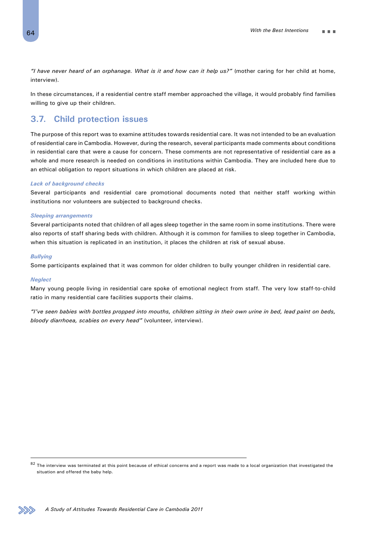*"I have never heard of an orphanage. What is it and how can it help us?"* (mother caring for her child at home, interview).

In these circumstances, if a residential centre staff member approached the village, it would probably find families willing to give up their children.

# **3.7. Child protection issues**

The purpose of this report was to examine attitudes towards residential care. It was not intended to be an evaluation of residential care in Cambodia. However, during the research, several participants made comments about conditions in residential care that were a cause for concern. These comments are not representative of residential care as a whole and more research is needed on conditions in institutions within Cambodia. They are included here due to an ethical obligation to report situations in which children are placed at risk.

#### *Lack of background checks*

Several participants and residential care promotional documents noted that neither staff working within institutions nor volunteers are subjected to background checks.

#### *Sleeping arrangements*

Several participants noted that children of all ages sleep together in the same room in some institutions. There were also reports of staff sharing beds with children. Although it is common for families to sleep together in Cambodia, when this situation is replicated in an institution, it places the children at risk of sexual abuse.

#### *Bullying*

Some participants explained that it was common for older children to bully younger children in residential care.

#### *Neglect*

Many young people living in residential care spoke of emotional neglect from staff. The very low staff-to-child ratio in many residential care facilities supports their claims.

*"I've seen babies with bottles propped into mouths, children sitting in their own urine in bed, lead paint on beds, bloody diarrhoea, scabies on every head"* (volunteer, interview).



 $82$  The interview was terminated at this point because of ethical concerns and a report was made to a local organization that investigated the situation and offered the baby help.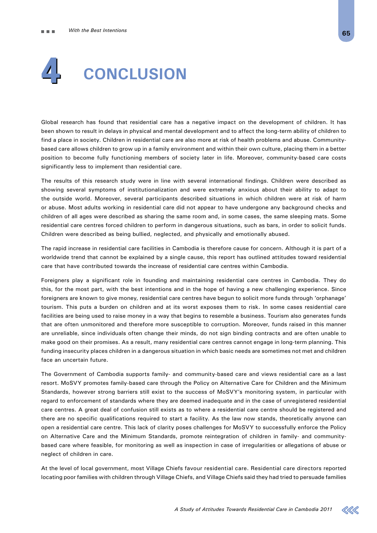

Global research has found that residential care has a negative impact on the development of children. It has been shown to result in delays in physical and mental development and to affect the long-term ability of children to find a place in society. Children in residential care are also more at risk of health problems and abuse. Communitybased care allows children to grow up in a family environment and within their own culture, placing them in a better position to become fully functioning members of society later in life. Moreover, community-based care costs significantly less to implement than residential care.

The results of this research study were in line with several international findings. Children were described as showing several symptoms of institutionalization and were extremely anxious about their ability to adapt to the outside world. Moreover, several participants described situations in which children were at risk of harm or abuse. Most adults working in residential care did not appear to have undergone any background checks and children of all ages were described as sharing the same room and, in some cases, the same sleeping mats. Some residential care centres forced children to perform in dangerous situations, such as bars, in order to solicit funds. Children were described as being bullied, neglected, and physically and emotionally abused.

The rapid increase in residential care facilities in Cambodia is therefore cause for concern. Although it is part of a worldwide trend that cannot be explained by a single cause, this report has outlined attitudes toward residential care that have contributed towards the increase of residential care centres within Cambodia.

Foreigners play a significant role in founding and maintaining residential care centres in Cambodia. They do this, for the most part, with the best intentions and in the hope of having a new challenging experience. Since foreigners are known to give money, residential care centres have begun to solicit more funds through 'orphanage' tourism. This puts a burden on children and at its worst exposes them to risk. In some cases residential care facilities are being used to raise money in a way that begins to resemble a business. Tourism also generates funds that are often unmonitored and therefore more susceptible to corruption. Moreover, funds raised in this manner are unreliable, since individuals often change their minds, do not sign binding contracts and are often unable to make good on their promises. As a result, many residential care centres cannot engage in long-term planning. This funding insecurity places children in a dangerous situation in which basic needs are sometimes not met and children face an uncertain future.

The Government of Cambodia supports family- and community-based care and views residential care as a last resort. MoSVY promotes family-based care through the Policy on Alternative Care for Children and the Minimum Standards, however strong barriers still exist to the success of MoSVY's monitoring system, in particular with regard to enforcement of standards where they are deemed inadequate and in the case of unregistered residential care centres. A great deal of confusion still exists as to where a residential care centre should be registered and there are no specific qualifications required to start a facility. As the law now stands, theoretically anyone can open a residential care centre. This lack of clarity poses challenges for MoSVY to successfully enforce the Policy on Alternative Care and the Minimum Standards, promote reintegration of children in family- and communitybased care where feasible, for monitoring as well as inspection in case of irregularities or allegations of abuse or neglect of children in care.

At the level of local government, most Village Chiefs favour residential care. Residential care directors reported locating poor families with children through Village Chiefs, and Village Chiefs said they had tried to persuade families

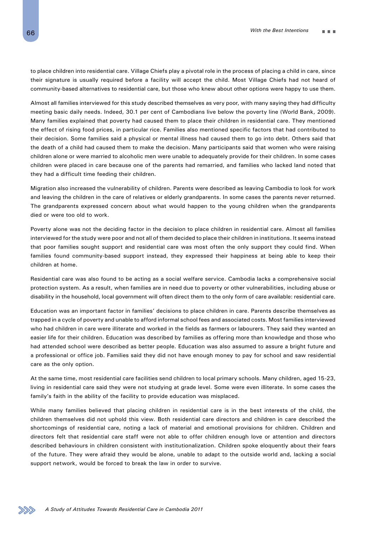to place children into residential care. Village Chiefs play a pivotal role in the process of placing a child in care, since their signature is usually required before a facility will accept the child. Most Village Chiefs had not heard of community-based alternatives to residential care, but those who knew about other options were happy to use them.

Almost all families interviewed for this study described themselves as very poor, with many saying they had difficulty meeting basic daily needs. Indeed, 30.1 per cent of Cambodians live below the poverty line (World Bank, 2009). Many families explained that poverty had caused them to place their children in residential care. They mentioned the effect of rising food prices, in particular rice. Families also mentioned specific factors that had contributed to their decision. Some families said a physical or mental illness had caused them to go into debt. Others said that the death of a child had caused them to make the decision. Many participants said that women who were raising children alone or were married to alcoholic men were unable to adequately provide for their children. In some cases children were placed in care because one of the parents had remarried, and families who lacked land noted that they had a difficult time feeding their children.

Migration also increased the vulnerability of children. Parents were described as leaving Cambodia to look for work and leaving the children in the care of relatives or elderly grandparents. In some cases the parents never returned. The grandparents expressed concern about what would happen to the young children when the grandparents died or were too old to work.

Poverty alone was not the deciding factor in the decision to place children in residential care. Almost all families interviewed for the study were poor and not all of them decided to place their children in institutions. It seems instead that poor families sought support and residential care was most often the only support they could find. When families found community-based support instead, they expressed their happiness at being able to keep their children at home.

Residential care was also found to be acting as a social welfare service. Cambodia lacks a comprehensive social protection system. As a result, when families are in need due to poverty or other vulnerabilities, including abuse or disability in the household, local government will often direct them to the only form of care available: residential care.

Education was an important factor in families' decisions to place children in care. Parents describe themselves as trapped in a cycle of poverty and unable to afford informal school fees and associated costs. Most families interviewed who had children in care were illiterate and worked in the fields as farmers or labourers. They said they wanted an easier life for their children. Education was described by families as offering more than knowledge and those who had attended school were described as better people. Education was also assumed to assure a bright future and a professional or office job. Families said they did not have enough money to pay for school and saw residential care as the only option.

At the same time, most residential care facilities send children to local primary schools. Many children, aged 15-23, living in residential care said they were not studying at grade level. Some were even illiterate. In some cases the family's faith in the ability of the facility to provide education was misplaced.

While many families believed that placing children in residential care is in the best interests of the child, the children themselves did not uphold this view. Both residential care directors and children in care described the shortcomings of residential care, noting a lack of material and emotional provisions for children. Children and directors felt that residential care staff were not able to offer children enough love or attention and directors described behaviours in children consistent with institutionalization. Children spoke eloquently about their fears of the future. They were afraid they would be alone, unable to adapt to the outside world and, lacking a social support network, would be forced to break the law in order to survive.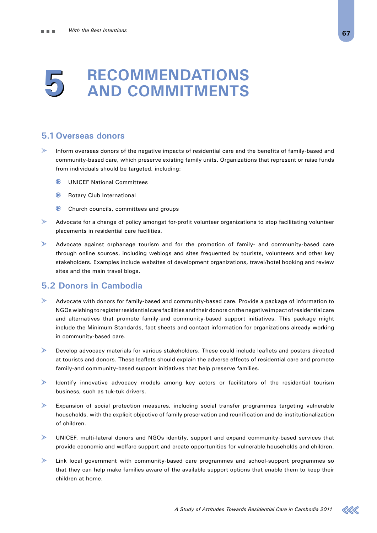# **Recommendations and Commitments 5**

# **5.1 Overseas donors**

- $\geqslant$ Inform overseas donors of the negative impacts of residential care and the benefits of family-based and community-based care, which preserve existing family units. Organizations that represent or raise funds from individuals should be targeted, including:
	- **E** UNICEF National Committees
	- **Rotary Club International**
	- Church councils, committees and groups
- ↘ Advocate for a change of policy amongst for-profit volunteer organizations to stop facilitating volunteer placements in residential care facilities.
- $\triangleright$ Advocate against orphanage tourism and for the promotion of family- and community-based care through online sources, including weblogs and sites frequented by tourists, volunteers and other key stakeholders. Examples include websites of development organizations, travel/hotel booking and review sites and the main travel blogs.

# **5.2 Donors in Cambodia**

- $\rightarrow$ Advocate with donors for family-based and community-based care. Provide a package of information to NGOs wishing to register residential care facilities and their donors on the negative impact of residential care and alternatives that promote family-and community-based support initiatives. This package might include the Minimum Standards, fact sheets and contact information for organizations already working in community-based care.
- $\geq$ Develop advocacy materials for various stakeholders. These could include leaflets and posters directed at tourists and donors. These leaflets should explain the adverse effects of residential care and promote family-and community-based support initiatives that help preserve families.
- $\geqslant$ Identify innovative advocacy models among key actors or facilitators of the residential tourism business, such as tuk-tuk drivers.
- $\geqslant$ Expansion of social protection measures, including social transfer programmes targeting vulnerable households, with the explicit objective of family preservation and reunification and de-institutionalization of children.
- UNICEF, multi-lateral donors and NGOs identify, support and expand community-based services that provide economic and welfare support and create opportunities for vulnerable households and children.
- $\geqslant$ Link local government with community-based care programmes and school-support programmes so that they can help make families aware of the available support options that enable them to keep their children at home.

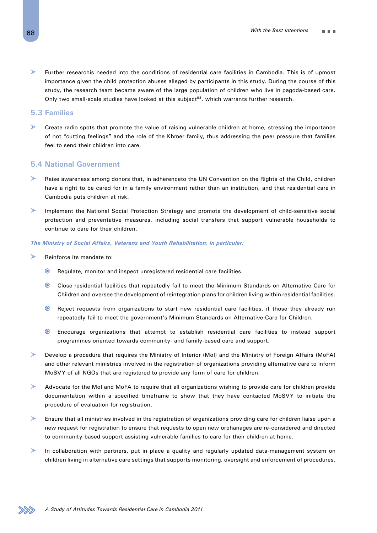$\mathcal{P}$ Further researchis needed into the conditions of residential care facilities in Cambodia. This is of upmost importance given the child protection abuses alleged by participants in this study. During the course of this study, the research team became aware of the large population of children who live in pagoda-based care. Only two small-scale studies have looked at this subject $83$ , which warrants further research.

### **5.3 Families**

 $\mathbb{Z}$ Create radio spots that promote the value of raising vulnerable children at home, stressing the importance of not "cutting feelings" and the role of the Khmer family, thus addressing the peer pressure that families feel to send their children into care.

# **5.4 National Government**

- $\mathbf{L}$ Raise awareness among donors that, in adherenceto the UN Convention on the Rights of the Child, children have a right to be cared for in a family environment rather than an institution, and that residential care in Cambodia puts children at risk.
- $\geqslant$ Implement the National Social Protection Strategy and promote the development of child-sensitive social protection and preventative measures, including social transfers that support vulnerable households to continue to care for their children.

#### *The Ministry of Social Affairs, Veterans and Youth Rehabilitation, in particular:*

- ↘ Reinforce its mandate to:
	- $\bullet$ Regulate, monitor and inspect unregistered residential care facilities.
	- Close residential facilities that repeatedly fail to meet the Minimum Standards on Alternative Care for Children and oversee the development of reintegration plans for children living within residential facilities.
	- $\bullet$  Reject requests from organizations to start new residential care facilities, if those they already run repeatedly fail to meet the government's Minimum Standards on Alternative Care for Children.
	- Encourage organizations that attempt to establish residential care facilities to instead support programmes oriented towards community- and family-based care and support.
- $\gg$ Develop a procedure that requires the Ministry of Interior (MoI) and the Ministry of Foreign Affairs (MoFA) and other relevant ministries involved in the registration of organizations providing alternative care to inform MoSVY of all NGOs that are registered to provide any form of care for children.
- $\mathcal{P}$ Advocate for the MoI and MoFA to require that all organizations wishing to provide care for children provide documentation within a specified timeframe to show that they have contacted MoSVY to initiate the procedure of evaluation for registration.
- $\mathcal{P}$ Ensure that all ministries involved in the registration of organizations providing care for children liaise upon a new request for registration to ensure that requests to open new orphanages are re-considered and directed to community-based support assisting vulnerable families to care for their children at home.
- $\mathcal{P}$ In collaboration with partners, put in place a quality and regularly updated data-management system on children living in alternative care settings that supports monitoring, oversight and enforcement of procedures.

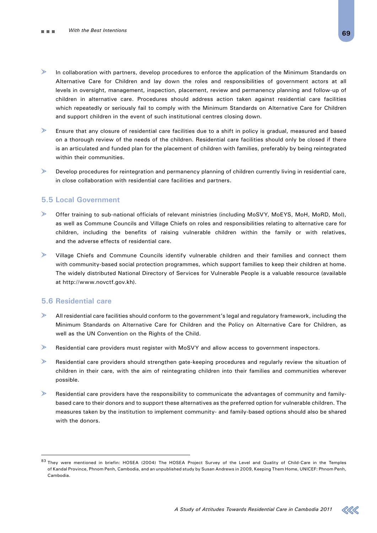- $\geqslant$ In collaboration with partners, develop procedures to enforce the application of the Minimum Standards on Alternative Care for Children and lay down the roles and responsibilities of government actors at all levels in oversight, management, inspection, placement, review and permanency planning and follow-up of children in alternative care. Procedures should address action taken against residential care facilities which repeatedly or seriously fail to comply with the Minimum Standards on Alternative Care for Children and support children in the event of such institutional centres closing down.
- $\triangleright$ Ensure that any closure of residential care facilities due to a shift in policy is gradual, measured and based on a thorough review of the needs of the children. Residential care facilities should only be closed if there is an articulated and funded plan for the placement of children with families, preferably by being reintegrated within their communities.
- $\geqslant$ Develop procedures for reintegration and permanency planning of children currently living in residential care, in close collaboration with residential care facilities and partners.

# **5.5 Local Government**

- Offer training to sub-national officials of relevant ministries (including MoSVY, MoEYS, MoH, MoRD, MoI), as well as Commune Councils and Village Chiefs on roles and responsibilities relating to alternative care for children, including the benefits of raising vulnerable children within the family or with relatives, and the adverse effects of residential care.
- $\geqslant$ Village Chiefs and Commune Councils identify vulnerable children and their families and connect them with community-based social protection programmes, which support families to keep their children at home. The widely distributed National Directory of Services for Vulnerable People is a valuable resource (available at http://www.novctf.gov.kh).

# **5.6 Residential care**

- $\triangleright$ All residential care facilities should conform to the government's legal and regulatory framework, including the Minimum Standards on Alternative Care for Children and the Policy on Alternative Care for Children, as well as the UN Convention on the Rights of the Child.
- ➣ Residential care providers must register with MoSVY and allow access to government inspectors.
- $\geqslant$ Residential care providers should strengthen gate-keeping procedures and regularly review the situation of children in their care, with the aim of reintegrating children into their families and communities wherever possible.
- $\mathbf{v}$ Residential care providers have the responsibility to communicate the advantages of community and familybased care to their donors and to support these alternatives as the preferred option for vulnerable children. The measures taken by the institution to implement community- and family-based options should also be shared with the donors.



<sup>83</sup> They were mentioned in briefin: HOSEA (2004) The HOSEA Project Survey of the Level and Quality of Child-Care in the Temples of Kandal Province, Phnom Penh, Cambodia, and an unpublished study by Susan Andrews in 2009, Keeping Them Home, UNICEF: Phnom Penh, Cambodia.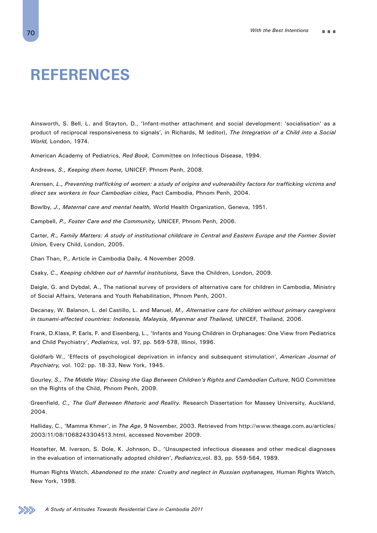# **References**

Ainsworth, S. Bell, L. and Stayton, D., 'Infant-mother attachment and social development: 'socialisation' as a product of reciprocal responsiveness to signals', in Richards, M (editor), *The Integration of a Child into a Social World,* London, 1974.

American Academy of Pediatrics, *Red Book,* Committee on Infectious Disease, 1994.

Andrews, *S., Keeping them home,* UNICEF, Phnom Penh, 2008.

Arensen, *L., Preventing trafficking of women: a study of origins and vulnerability factors for trafficking victims and direct sex workers in four Cambodian cities,* Pact Cambodia, Phnom Penh, 2004.

Bowlby, *J., Maternal care and mental health,* World Health Organization, Geneva, 1951.

Campbell, *P., Foster Care and the Community,* UNICEF, Phnom Penh, 2006.

Carter, *R., Family Matters: A study of institutional childcare in Central and Eastern Europe and the Former Soviet Union,* Every Child, London, 2005.

Chan Than, P., Article in Cambodia Daily, 4 November 2009.

Csaky, *C., Keeping children out of harmful institutions,* Save the Children, London, 2009.

Daigle, G. and Dybdal, A., The national survey of providers of alternative care for children in Cambodia, Ministry of Social Affairs, Veterans and Youth Rehabilitation, Phnom Penh, 2001.

Decanay, W. Balanon, L. del Castillo, L. and Manuel, *M., Alternative care for children without primary caregivers in tsunami-affected countries: Indonesia, Malaysia, Myanmar and Thailand,* UNICEF, Thailand, 2006.

Frank, D.Klass, P. Earls, F. and Eisenberg, L., 'Infants and Young Children in Orphanages: One View from Pediatrics and Child Psychiatry', *Pediatrics,* vol. 97, pp. 569-578, Illinoi, 1996.

Goldfarb W., 'Effects of psychological deprivation in infancy and subsequent stimulation', *American Journal of Psychiatry,* vol. 102: pp. 18-33, New York, 1945.

Gourley, S., The Middle Way: Closing the Gap Between Children's Rights and Cambodian Culture, NGO Committee on the Rights of the Child, Phnom Penh, 2009.

Greenfield, *C., The Gulf Between Rhetoric and Reality.* Research Dissertation for Massey University, Auckland, 2004.

Halliday, C., 'Mamma Khmer', in *The Age*, 9 November, 2003. Retrieved from http://www.theage.com.au/articles/ 2003/11/08/1068243304513.html, accessed November 2009.

Hostefter, M. Iverson, S. Dole, K. Johnson, D., 'Unsuspected infectious diseases and other medical diagnoses in the evaluation of internationally adopted children', *Pediatrics,*vol. 83, pp. 559-564, 1989.

Human Rights Watch, *Abandoned to the state: Cruelty and neglect in Russian orphanages,* Human Rights Watch, New York, 1998.

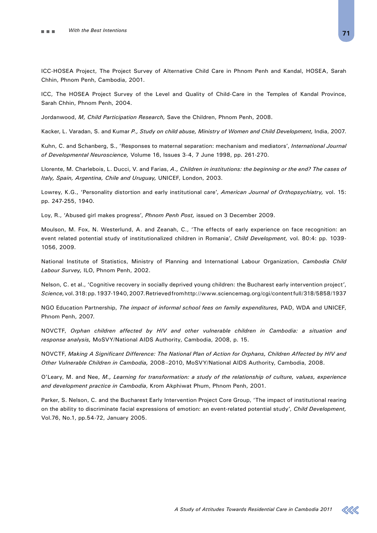ICC-HOSEA Project, The Project Survey of Alternative Child Care in Phnom Penh and Kandal, HOSEA, Sarah Chhin, Phnom Penh, Cambodia, 2001.

ICC, The HOSEA Project Survey of the Level and Quality of Child-Care in the Temples of Kandal Province, Sarah Chhin, Phnom Penh, 2004.

Jordanwood, *M, Child Participation Research,* Save the Children, Phnom Penh, 2008.

Kacker, L. Varadan, S. and Kumar *P., Study on child abuse, Ministry of Women and Child Development,* India, 2007.

Kuhn, C. and Schanberg, S., 'Responses to maternal separation: mechanism and mediators', *International Journal of Developmental Neuroscience,* Volume 16, Issues 3-4, 7 June 1998, pp. 261-270.

Llorente, M. Charlebois, L. Ducci, V. and Farias, *A., Children in institutions: the beginning or the end? The cases of Italy, Spain, Argentina, Chile and Uruguay,* UNICEF, London, 2003.

Lowrey, K.G., 'Personality distortion and early institutional care', *American Journal of Orthopsychiatry,* vol. 15: pp. 247-255, 1940.

Loy, R., 'Abused girl makes progress', *Phnom Penh Post,* issued on 3 December 2009.

Moulson, M. Fox, N. Westerlund, A. and Zeanah, C., 'The effects of early experience on face recognition: an event related potential study of institutionalized children in Romania', *Child Development,* vol. 80:4: pp. 1039- 1056, 2009.

National Institute of Statistics, Ministry of Planning and International Labour Organization, *Cambodia Child Labour Survey,* ILO, Phnom Penh, 2002.

Nelson, C. et al., 'Cognitive recovery in socially deprived young children: the Bucharest early intervention project', *Science,* vol. 318: pp. 1937-1940, 2007. Retrieved from http://www.sciencemag.org/cgi/content full/318/5858/1937

NGO Education Partnership, *The impact of informal school fees on family expenditures,* PAD, WDA and UNICEF, Phnom Penh, 2007.

NOVCTF, *Orphan children affected by HIV and other vulnerable children in Cambodia: a situation and response analysis,* MoSVY/National AIDS Authority, Cambodia, 2008, p. 15.

NOVCTF, *Making A Significant Difference: The National Plan of Action for Orphans, Children Affected by HIV and Other Vulnerable Children in Cambodia,* 2008–2010, MoSVY/National AIDS Authority, Cambodia, 2008.

O'Leary, M. and Nee, *M., Learning for transformation: a study of the relationship of culture, values, experience and development practice in Cambodia*, Krom Akphiwat Phum, Phnom Penh, 2001.

Parker, S. Nelson, C. and the Bucharest Early Intervention Project Core Group, 'The impact of institutional rearing on the ability to discriminate facial expressions of emotion: an event-related potential study', *Child Development,*  Vol.76, No.1, pp.54-72, January 2005.

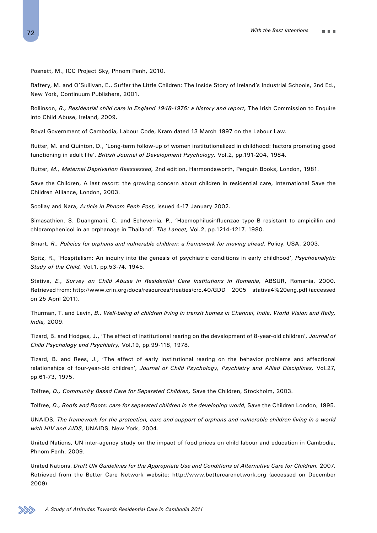Posnett, M., ICC Project Sky, Phnom Penh, 2010.

Raftery, M. and O'Sullivan, E., Suffer the Little Children: The Inside Story of Ireland's Industrial Schools, 2nd Ed., New York, Continuum Publishers, 2001.

Rollinson, *R., Residential child care in England 1948-1975: a history and report,* The Irish Commission to Enquire into Child Abuse, Ireland, 2009.

Royal Government of Cambodia, Labour Code, Kram dated 13 March 1997 on the Labour Law.

Rutter, M. and Quinton, D., 'Long-term follow-up of women institutionalized in childhood: factors promoting good functioning in adult life', *British Journal of Development Psychology,* Vol.2, pp.191-204, 1984.

Rutter, *M., Maternal Deprivation Reassessed,* 2nd edition, Harmondsworth, Penguin Books, London, 1981.

Save the Children, A last resort: the growing concern about children in residential care, International Save the Children Alliance, London, 2003.

Scollay and Nara, *Article in Phnom Penh Post,* issued 4-17 January 2002.

Simasathien, S. Duangmani, C. and Echeverria, P., 'Haemophilusinfluenzae type B resistant to ampicillin and chloramphenicol in an orphanage in Thailand'. *The Lancet,* Vol.2, pp.1214-1217, 1980.

Smart, *R., Policies for orphans and vulnerable children: a framework for moving ahead,* Policy, USA, 2003.

Spitz, R., 'Hospitalism: An inquiry into the genesis of psychiatric conditions in early childhood', *Psychoanalytic Study of the Child,* Vol.1, pp.53-74, 1945.

Stativa, *E., Survey on Child Abuse in Residential Care Institutions in Romania,* ABSUR, Romania, 2000. Retrieved from: http://www.crin.org/docs/resources/treaties/crc.40/GDD \_ 2005 \_ stativa4%20eng.pdf (accessed on 25 April 2011).

Thurman, T. and Lavin, *B., Well-being of children living in transit homes in Chennai, India, World Vision and Rally, India,* 2009.

Tizard, B. and Hodges, J., 'The effect of institutional rearing on the development of 8-year-old children', *Journal of Child Psychology and Psychiatry,* Vol.19, pp.99-118, 1978.

Tizard, B. and Rees, J., 'The effect of early institutional rearing on the behavior problems and affectional relationships of four-year-old children', *Journal of Child Psychology, Psychiatry and Allied Disciplines,* Vol.27, pp.61-73, 1975.

Tolfree, *D., Community Based Care for Separated Children,* Save the Children, Stockholm, 2003.

Tolfree, *D., Roofs and Roots: care for separated children in the developing world,* Save the Children London, 1995.

UNAIDS, *The framework for the protection, care and support of orphans and vulnerable children living in a world with HIV and AIDS,* UNAIDS, New York, 2004.

United Nations, UN inter-agency study on the impact of food prices on child labour and education in Cambodia, Phnom Penh, 2009.

United Nations, *Draft UN Guidelines for the Appropriate Use and Conditions of Alternative Care for Children,* 2007. Retrieved from the Better Care Network website: http://www.bettercarenetwork.org (accessed on December 2009).

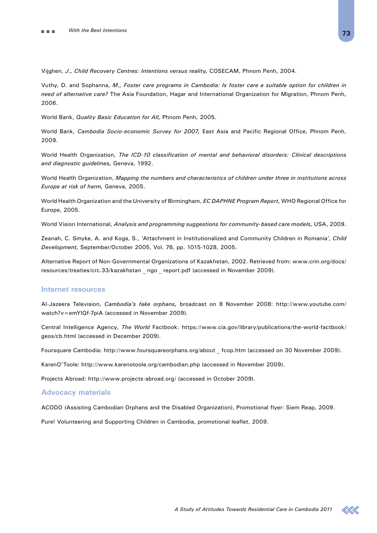Vijghen, *J., Child Recovery Centres: Intentions versus reality,* COSECAM, Phnom Penh, 2004.

Vuthy, D. and Sophanna, *M., Foster care programs in Cambodia: Is foster care a suitable option for children in need of alternative care?* The Asia Foundation, Hagar and International Organization for Migration, Phnom Penh, 2006.

World Bank, *Quality Basic Education for All,* Phnom Penh, 2005.

World Bank, *Cambodia Socio-economic Survey for 2007,* East Asia and Pacific Regional Office, Phnom Penh, 2009.

World Health Organization, *The ICD-10 classification of mental and behavioral disorders: Clinical descriptions and diagnostic guidelines,* Geneva, 1992.

World Health Organization, *Mapping the numbers and characteristics of children under three in institutions across Europe at risk of harm,* Geneva, 2005.

World Health Organization and the University of Birmingham, *EC DAPHNE Program Report,* WHO Regional Office for Europe, 2005.

World Vision International, *Analysis and programming suggestions for community-based care models,* USA, 2009.

Zeanah, C. Smyke, A. and Koga, S., 'Attachment in Institutionalized and Community Children in Romania', *Child Development,* September/October 2005, Vol. 76, pp. 1015-1028, 2005.

Alternative Report of Non-Governmental Organizations of Kazakhstan, 2002. Retrieved from: www.crin.org/docs/ resources/treaties/crc.33/kazakhstan \_ ngo \_ report.pdf (accessed in November 2009).

## **Internet resources**

Al-Jazeera Television, *Cambodia's fake orphans,* broadcast on 8 November 2008: http://www.youtube.com/ watch?v=emYlQf-7piA (accessed in November 2009).

Central Intelligence Agency, *The World* Factbook: https://www.cia.gov/library/publications/the-world-factbook/ geos/cb.html (accessed in December 2009).

Foursquare Cambodia: http://www.foursquareorphans.org/about \_ fcop.htm (accessed on 30 November 2009).

KarenO'Toole: http://www.karenotoole.org/cambodian.php (accessed in November 2009).

Projects Abroad: http://www.projects-abroad.org/ (accessed in October 2009).

## **Advocacy materials**

ACODO (Assisting Cambodian Orphans and the Disabled Organization), Promotional flyer: Siem Reap, 2009.

Pure! Volunteering and Supporting Children in Cambodia, promotional leaflet, 2009.